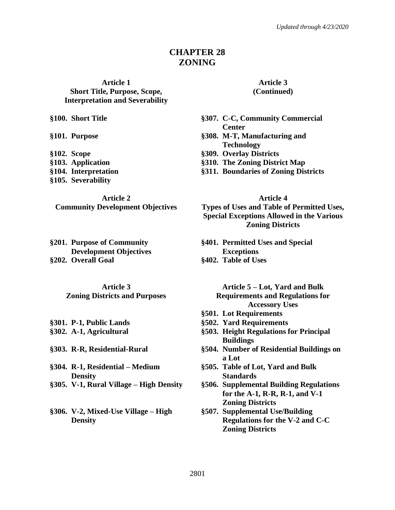# **CHAPTER 28 ZONING**

#### **Article 1 Short Title, Purpose, Scope, Interpretation and Severability**

- 
- **§105. Severability**

#### **Article 2**

**Community Development Objectives**

**§201. Purpose of Community Development Objectives §202. Overall Goal §402. Table of Uses**

**Article 3 Zoning Districts and Purposes**

**§304. R-1, Residential – Medium Density**

- 
- **§306. V-2, Mixed-Use Village – High Density**

**Article 3 (Continued)**

- **§100. Short Title §307. C-C, Community Commercial Center**
- **§101. Purpose §308. M-T, Manufacturing and Technology**
- **§102. Scope §309. Overlay Districts**
- **§103. Application §310. The Zoning District Map**
- **§104. Interpretation §311. Boundaries of Zoning Districts**

**Article 4**

**Types of Uses and Table of Permitted Uses, Special Exceptions Allowed in the Various Zoning Districts**

- **§401. Permitted Uses and Special Exceptions**
- 

**Article 5 – Lot, Yard and Bulk Requirements and Regulations for Accessory Uses**

- **§501. Lot Requirements**
- **§301. P-1, Public Lands §502. Yard Requirements**
- **§302. A-1, Agricultural §503. Height Regulations for Principal Buildings**
- **§303. R-R, Residential-Rural §504. Number of Residential Buildings on a Lot**
	- **§505. Table of Lot, Yard and Bulk Standards**
- **§305. V-1, Rural Village – High Density §506. Supplemental Building Regulations for the A-1, R-R, R-1, and V-1 Zoning Districts**
	- **§507. Supplemental Use/Building Regulations for the V-2 and C-C Zoning Districts**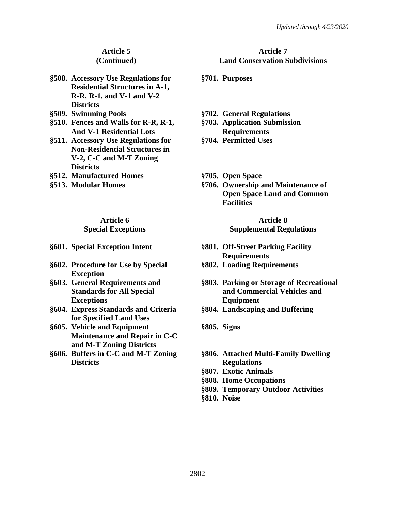#### **Article 5 (Continued)**

- **§508. Accessory Use Regulations for Residential Structures in A-1, R-R, R-1, and V-1 and V-2 Districts**
- 
- **§510. Fences and Walls for R-R, R-1, And V-1 Residential Lots**
- **§511. Accessory Use Regulations for Non-Residential Structures in V-2, C-C and M-T Zoning Districts**
- **§512. Manufactured Homes §705. Open Space**
- 

# **Article 6**

**Special Exceptions**

- 
- **§602. Procedure for Use by Special Exception**
- **§603. General Requirements and Standards for All Special Exceptions**
- **§604. Express Standards and Criteria for Specified Land Uses**
- **§605. Vehicle and Equipment Maintenance and Repair in C-C and M-T Zoning Districts**
- **§606. Buffers in C-C and M-T Zoning Districts**

#### **Article 7 Land Conservation Subdivisions**

- **§701. Purposes**
- **§509. Swimming Pools §702. General Regulations**
	- **§703. Application Submission Requirements**
	- **§704. Permitted Uses**
	-
- **§513. Modular Homes §706. Ownership and Maintenance of Open Space Land and Common Facilities**

#### **Article 8 Supplemental Regulations**

- **§601. Special Exception Intent §801. Off-Street Parking Facility Requirements**
	- **§802. Loading Requirements**
	- **§803. Parking or Storage of Recreational and Commercial Vehicles and Equipment**
	- **§804. Landscaping and Buffering**
	- **§805. Signs**
	- **§806. Attached Multi-Family Dwelling Regulations**
	- **§807. Exotic Animals**
	- **§808. Home Occupations**
	- **§809. Temporary Outdoor Activities**
	- **§810. Noise**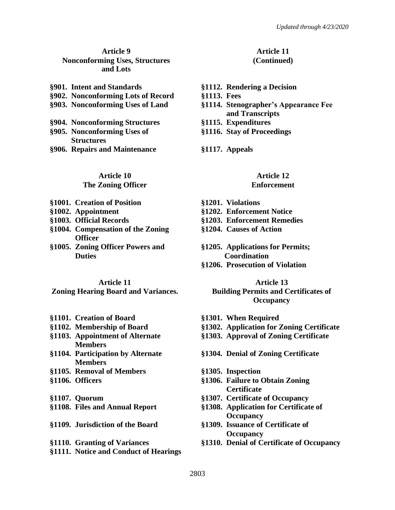#### **Article 9 Nonconforming Uses, Structures and Lots**

| §901. Intent and Standards        |  |  |  |  |  |  |
|-----------------------------------|--|--|--|--|--|--|
| §902. Nonconforming Lots of Recor |  |  |  |  |  |  |
| §903. Nonconforming Uses of Land  |  |  |  |  |  |  |
|                                   |  |  |  |  |  |  |

- **§904. Nonconforming Structures §1115. Expenditures §905. Nonconforming Uses of Structures**
- **§906. Repairs and Maintenance §1117. Appeals**

#### **Article 10 The Zoning Officer**

- **§1001. Creation of Position §1201. Violations**
- 
- 
- **§1004. Compensation of the Zoning Officer**
- **§1005. Zoning Officer Powers and Duties**

#### **Article 11**

# **Zoning Hearing Board and Variances.**

- **§1101. Creation of Board §1301. When Required**
- 
- **§1103. Appointment of Alternate Members**
- **§1104. Participation by Alternate Members**
- **§1105. Removal of Members §1305. Inspection**
- 
- 
- 
- **§1109. Jurisdiction of the Board §1309. Issuance of Certificate of**
- 
- **§1111. Notice and Conduct of Hearings**

#### **Article 11 (Continued)**

- **§901. Intent and Standards §1112. Rendering a Decision**
- **§902. Nonconforming Lots of Record §1113. Fees**
	- **§903. Nonconforming Uses of Land §1114. Stenographer's Appearance Fee and Transcripts**
	-
	- **§1116. Stay of Proceedings**
	-

# **Article 12**

#### **Enforcement**

- 
- **§1002. Appointment §1202. Enforcement Notice**
- **§1003. Official Records §1203. Enforcement Remedies**
	- **§1204. Causes of Action**
	- **§1205. Applications for Permits; Coordination**
	- **§1206. Prosecution of Violation**

#### **Article 13**

# **Building Permits and Certificates of Occupancy**

- 
- **§1102. Membership of Board §1302. Application for Zoning Certificate**
	- **§1303. Approval of Zoning Certificate**
	- **§1304. Denial of Zoning Certificate**
	-
- **§1106. Officers §1306. Failure to Obtain Zoning Certificate**
- **§1107. Quorum §1307. Certificate of Occupancy**
- **§1108. Files and Annual Report §1308. Application for Certificate of Occupancy**
	- **Occupancy**
- **§1110. Granting of Variances §1310. Denial of Certificate of Occupancy**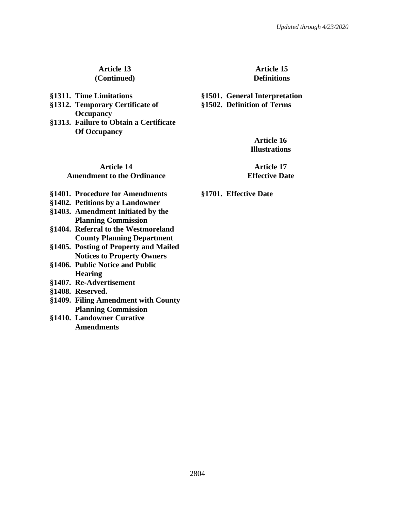#### **Article 13 (Continued)**

- 
- **§1312. Temporary Certificate of Occupancy §1313. Failure to Obtain a Certificate**
- **Of Occupancy**

#### **Article 15 Definitions**

**§1311. Time Limitations §1501. General Interpretation §1502. Definition of Terms**

**Article 16 Illustrations**

# **Article 14 Amendment to the Ordinance**

**Article 17 Effective Date**

- **§1401. Procedure for Amendments §1701. Effective Date**
- **§1402. Petitions by a Landowner**
- **§1403. Amendment Initiated by the Planning Commission**
- **§1404. Referral to the Westmoreland County Planning Department**
- **§1405. Posting of Property and Mailed Notices to Property Owners**
- **§1406. Public Notice and Public Hearing**
- **§1407. Re-Advertisement**
- **§1408. Reserved.**
- **§1409. Filing Amendment with County Planning Commission**
- **§1410. Landowner Curative Amendments**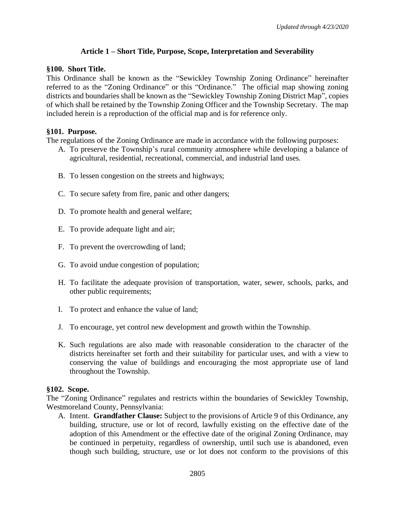# **Article 1 – Short Title, Purpose, Scope, Interpretation and Severability**

#### **§100. Short Title.**

This Ordinance shall be known as the "Sewickley Township Zoning Ordinance" hereinafter referred to as the "Zoning Ordinance" or this "Ordinance." The official map showing zoning districts and boundaries shall be known as the "Sewickley Township Zoning District Map", copies of which shall be retained by the Township Zoning Officer and the Township Secretary. The map included herein is a reproduction of the official map and is for reference only.

# **§101. Purpose.**

The regulations of the Zoning Ordinance are made in accordance with the following purposes:

- A. To preserve the Township's rural community atmosphere while developing a balance of agricultural, residential, recreational, commercial, and industrial land uses.
- B. To lessen congestion on the streets and highways;
- C. To secure safety from fire, panic and other dangers;
- D. To promote health and general welfare;
- E. To provide adequate light and air;
- F. To prevent the overcrowding of land;
- G. To avoid undue congestion of population;
- H. To facilitate the adequate provision of transportation, water, sewer, schools, parks, and other public requirements;
- I. To protect and enhance the value of land;
- J. To encourage, yet control new development and growth within the Township.
- K. Such regulations are also made with reasonable consideration to the character of the districts hereinafter set forth and their suitability for particular uses, and with a view to conserving the value of buildings and encouraging the most appropriate use of land throughout the Township.

# **§102. Scope.**

The "Zoning Ordinance" regulates and restricts within the boundaries of Sewickley Township, Westmoreland County, Pennsylvania:

A. Intent. **Grandfather Clause:** Subject to the provisions of Article 9 of this Ordinance, any building, structure, use or lot of record, lawfully existing on the effective date of the adoption of this Amendment or the effective date of the original Zoning Ordinance, may be continued in perpetuity, regardless of ownership, until such use is abandoned, even though such building, structure, use or lot does not conform to the provisions of this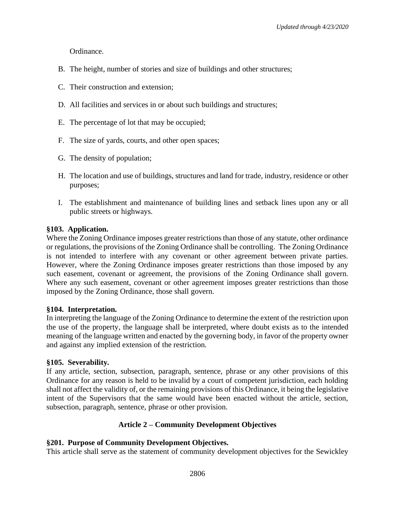Ordinance.

- B. The height, number of stories and size of buildings and other structures;
- C. Their construction and extension;
- D. All facilities and services in or about such buildings and structures;
- E. The percentage of lot that may be occupied;
- F. The size of yards, courts, and other open spaces;
- G. The density of population;
- H. The location and use of buildings, structures and land for trade, industry, residence or other purposes;
- I. The establishment and maintenance of building lines and setback lines upon any or all public streets or highways.

# **§103. Application.**

Where the Zoning Ordinance imposes greater restrictions than those of any statute, other ordinance or regulations, the provisions of the Zoning Ordinance shall be controlling. The Zoning Ordinance is not intended to interfere with any covenant or other agreement between private parties. However, where the Zoning Ordinance imposes greater restrictions than those imposed by any such easement, covenant or agreement, the provisions of the Zoning Ordinance shall govern. Where any such easement, covenant or other agreement imposes greater restrictions than those imposed by the Zoning Ordinance, those shall govern.

#### **§104. Interpretation.**

In interpreting the language of the Zoning Ordinance to determine the extent of the restriction upon the use of the property, the language shall be interpreted, where doubt exists as to the intended meaning of the language written and enacted by the governing body, in favor of the property owner and against any implied extension of the restriction.

# **§105. Severability.**

If any article, section, subsection, paragraph, sentence, phrase or any other provisions of this Ordinance for any reason is held to be invalid by a court of competent jurisdiction, each holding shall not affect the validity of, or the remaining provisions of this Ordinance, it being the legislative intent of the Supervisors that the same would have been enacted without the article, section, subsection, paragraph, sentence, phrase or other provision.

# **Article 2 – Community Development Objectives**

# **§201. Purpose of Community Development Objectives.**

This article shall serve as the statement of community development objectives for the Sewickley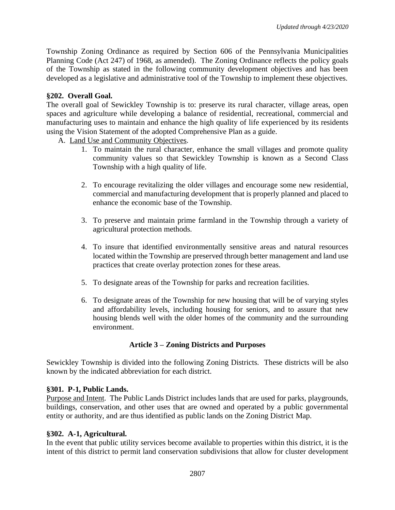Township Zoning Ordinance as required by Section 606 of the Pennsylvania Municipalities Planning Code (Act 247) of 1968, as amended). The Zoning Ordinance reflects the policy goals of the Township as stated in the following community development objectives and has been developed as a legislative and administrative tool of the Township to implement these objectives.

# **§202. Overall Goal.**

The overall goal of Sewickley Township is to: preserve its rural character, village areas, open spaces and agriculture while developing a balance of residential, recreational, commercial and manufacturing uses to maintain and enhance the high quality of life experienced by its residents using the Vision Statement of the adopted Comprehensive Plan as a guide.

- A. Land Use and Community Objectives.
	- 1. To maintain the rural character, enhance the small villages and promote quality community values so that Sewickley Township is known as a Second Class Township with a high quality of life.
	- 2. To encourage revitalizing the older villages and encourage some new residential, commercial and manufacturing development that is properly planned and placed to enhance the economic base of the Township.
	- 3. To preserve and maintain prime farmland in the Township through a variety of agricultural protection methods.
	- 4. To insure that identified environmentally sensitive areas and natural resources located within the Township are preserved through better management and land use practices that create overlay protection zones for these areas.
	- 5. To designate areas of the Township for parks and recreation facilities.
	- 6. To designate areas of the Township for new housing that will be of varying styles and affordability levels, including housing for seniors, and to assure that new housing blends well with the older homes of the community and the surrounding environment.

# **Article 3 – Zoning Districts and Purposes**

Sewickley Township is divided into the following Zoning Districts. These districts will be also known by the indicated abbreviation for each district.

# **§301. P-1, Public Lands.**

Purpose and Intent. The Public Lands District includes lands that are used for parks, playgrounds, buildings, conservation, and other uses that are owned and operated by a public governmental entity or authority, and are thus identified as public lands on the Zoning District Map.

# **§302. A-1, Agricultural.**

In the event that public utility services become available to properties within this district, it is the intent of this district to permit land conservation subdivisions that allow for cluster development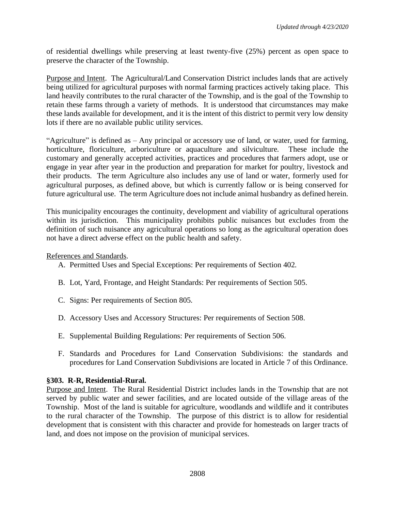of residential dwellings while preserving at least twenty-five (25%) percent as open space to preserve the character of the Township.

Purpose and Intent. The Agricultural/Land Conservation District includes lands that are actively being utilized for agricultural purposes with normal farming practices actively taking place. This land heavily contributes to the rural character of the Township, and is the goal of the Township to retain these farms through a variety of methods. It is understood that circumstances may make these lands available for development, and it is the intent of this district to permit very low density lots if there are no available public utility services.

"Agriculture" is defined as – Any principal or accessory use of land, or water, used for farming, horticulture, floriculture, arboriculture or aquaculture and silviculture. These include the customary and generally accepted activities, practices and procedures that farmers adopt, use or engage in year after year in the production and preparation for market for poultry, livestock and their products. The term Agriculture also includes any use of land or water, formerly used for agricultural purposes, as defined above, but which is currently fallow or is being conserved for future agricultural use. The term Agriculture does not include animal husbandry as defined herein.

This municipality encourages the continuity, development and viability of agricultural operations within its jurisdiction. This municipality prohibits public nuisances but excludes from the definition of such nuisance any agricultural operations so long as the agricultural operation does not have a direct adverse effect on the public health and safety.

References and Standards.

- A. Permitted Uses and Special Exceptions: Per requirements of Section 402.
- B. Lot, Yard, Frontage, and Height Standards: Per requirements of Section 505.
- C. Signs: Per requirements of Section 805.
- D. Accessory Uses and Accessory Structures: Per requirements of Section 508.
- E. Supplemental Building Regulations: Per requirements of Section 506.
- F. Standards and Procedures for Land Conservation Subdivisions: the standards and procedures for Land Conservation Subdivisions are located in Article 7 of this Ordinance.

# **§303. R-R, Residential-Rural.**

Purpose and Intent. The Rural Residential District includes lands in the Township that are not served by public water and sewer facilities, and are located outside of the village areas of the Township. Most of the land is suitable for agriculture, woodlands and wildlife and it contributes to the rural character of the Township. The purpose of this district is to allow for residential development that is consistent with this character and provide for homesteads on larger tracts of land, and does not impose on the provision of municipal services.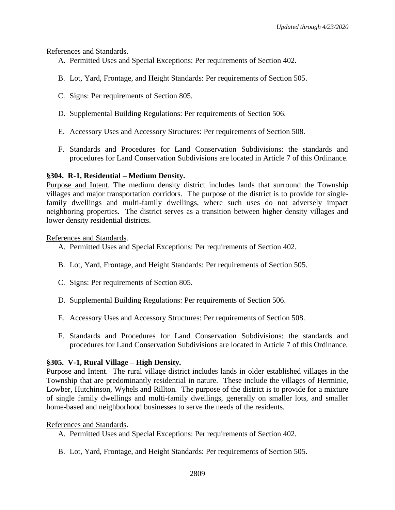#### References and Standards.

- A. Permitted Uses and Special Exceptions: Per requirements of Section 402.
- B. Lot, Yard, Frontage, and Height Standards: Per requirements of Section 505.
- C. Signs: Per requirements of Section 805.
- D. Supplemental Building Regulations: Per requirements of Section 506.
- E. Accessory Uses and Accessory Structures: Per requirements of Section 508.
- F. Standards and Procedures for Land Conservation Subdivisions: the standards and procedures for Land Conservation Subdivisions are located in Article 7 of this Ordinance.

# **§304. R-1, Residential – Medium Density.**

Purpose and Intent. The medium density district includes lands that surround the Township villages and major transportation corridors. The purpose of the district is to provide for singlefamily dwellings and multi-family dwellings, where such uses do not adversely impact neighboring properties. The district serves as a transition between higher density villages and lower density residential districts.

#### References and Standards.

- A. Permitted Uses and Special Exceptions: Per requirements of Section 402.
- B. Lot, Yard, Frontage, and Height Standards: Per requirements of Section 505.
- C. Signs: Per requirements of Section 805.
- D. Supplemental Building Regulations: Per requirements of Section 506.
- E. Accessory Uses and Accessory Structures: Per requirements of Section 508.
- F. Standards and Procedures for Land Conservation Subdivisions: the standards and procedures for Land Conservation Subdivisions are located in Article 7 of this Ordinance.

# **§305. V-1, Rural Village – High Density.**

Purpose and Intent. The rural village district includes lands in older established villages in the Township that are predominantly residential in nature. These include the villages of Herminie, Lowber, Hutchinson, Wyhels and Rillton. The purpose of the district is to provide for a mixture of single family dwellings and multi-family dwellings, generally on smaller lots, and smaller home-based and neighborhood businesses to serve the needs of the residents.

# References and Standards.

- A. Permitted Uses and Special Exceptions: Per requirements of Section 402.
- B. Lot, Yard, Frontage, and Height Standards: Per requirements of Section 505.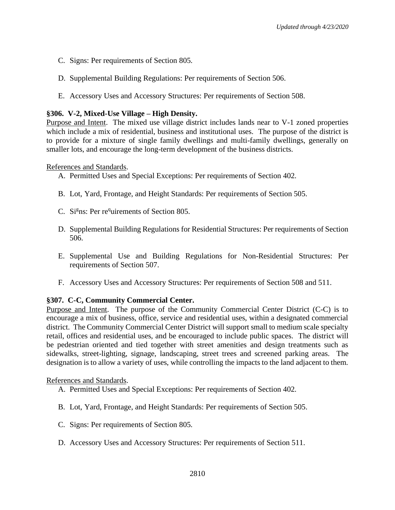- C. Signs: Per requirements of Section 805.
- D. Supplemental Building Regulations: Per requirements of Section 506.
- E. Accessory Uses and Accessory Structures: Per requirements of Section 508.

#### **§306. V-2, Mixed-Use Village – High Density.**

Purpose and Intent. The mixed use village district includes lands near to V-1 zoned properties which include a mix of residential, business and institutional uses. The purpose of the district is to provide for a mixture of single family dwellings and multi-family dwellings, generally on smaller lots, and encourage the long-term development of the business districts.

References and Standards.

- A. Permitted Uses and Special Exceptions: Per requirements of Section 402.
- B. Lot, Yard, Frontage, and Height Standards: Per requirements of Section 505.
- C. Si<sup>g</sup>ns: Per re<sup>q</sup>uirements of Section 805.
- D. Supplemental Building Regulations for Residential Structures: Per requirements of Section 506.
- E. Supplemental Use and Building Regulations for Non-Residential Structures: Per requirements of Section 507.
- F. Accessory Uses and Accessory Structures: Per requirements of Section 508 and 511.

#### **§307. C-C, Community Commercial Center.**

Purpose and Intent. The purpose of the Community Commercial Center District (C-C) is to encourage a mix of business, office, service and residential uses, within a designated commercial district. The Community Commercial Center District will support small to medium scale specialty retail, offices and residential uses, and be encouraged to include public spaces. The district will be pedestrian oriented and tied together with street amenities and design treatments such as sidewalks, street-lighting, signage, landscaping, street trees and screened parking areas. The designation is to allow a variety of uses, while controlling the impacts to the land adjacent to them.

#### References and Standards.

- A. Permitted Uses and Special Exceptions: Per requirements of Section 402.
- B. Lot, Yard, Frontage, and Height Standards: Per requirements of Section 505.
- C. Signs: Per requirements of Section 805.
- D. Accessory Uses and Accessory Structures: Per requirements of Section 511.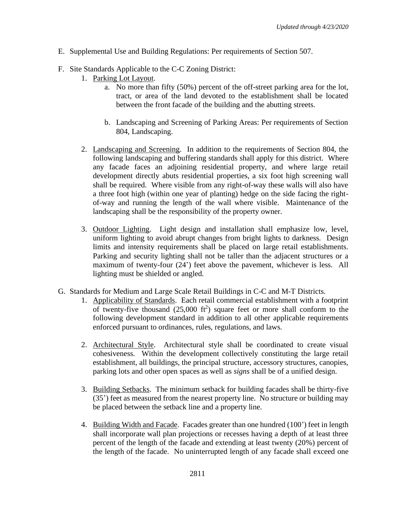- E. Supplemental Use and Building Regulations: Per requirements of Section 507.
- F. Site Standards Applicable to the C-C Zoning District:
	- 1. Parking Lot Layout.
		- a. No more than fifty (50%) percent of the off-street parking area for the lot, tract, or area of the land devoted to the establishment shall be located between the front facade of the building and the abutting streets.
		- b. Landscaping and Screening of Parking Areas: Per requirements of Section 804, Landscaping.
	- 2. Landscaping and Screening. In addition to the requirements of Section 804, the following landscaping and buffering standards shall apply for this district. Where any facade faces an adjoining residential property, and where large retail development directly abuts residential properties, a six foot high screening wall shall be required. Where visible from any right-of-way these walls will also have a three foot high (within one year of planting) hedge on the side facing the rightof-way and running the length of the wall where visible. Maintenance of the landscaping shall be the responsibility of the property owner.
	- 3. Outdoor Lighting. Light design and installation shall emphasize low, level, uniform lighting to avoid abrupt changes from bright lights to darkness. Design limits and intensity requirements shall be placed on large retail establishments. Parking and security lighting shall not be taller than the adjacent structures or a maximum of twenty-four (24') feet above the pavement, whichever is less. All lighting must be shielded or angled.
- G. Standards for Medium and Large Scale Retail Buildings in C-C and M-T Districts.
	- 1. Applicability of Standards. Each retail commercial establishment with a footprint of twenty-five thousand  $(25,000 \text{ ft}^2)$  square feet or more shall conform to the following development standard in addition to all other applicable requirements enforced pursuant to ordinances, rules, regulations, and laws.
	- 2. Architectural Style. Architectural style shall be coordinated to create visual cohesiveness. Within the development collectively constituting the large retail establishment, all buildings, the principal structure, accessory structures, canopies, parking lots and other open spaces as well as *signs* shall be of a unified design.
	- 3. Building Setbacks. The minimum setback for building facades shall be thirty-five (35') feet as measured from the nearest property line. No structure or building may be placed between the setback line and a property line.
	- 4. Building Width and Facade. Facades greater than one hundred (100') feet in length shall incorporate wall plan projections or recesses having a depth of at least three percent of the length of the facade and extending at least twenty (20%) percent of the length of the facade. No uninterrupted length of any facade shall exceed one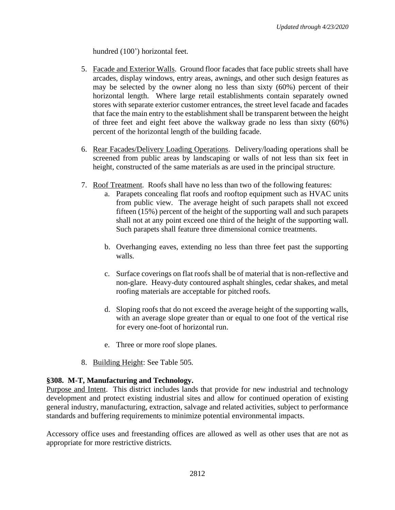hundred (100') horizontal feet.

- 5. Facade and Exterior Walls. Ground floor facades that face public streets shall have arcades, display windows, entry areas, awnings, and other such design features as may be selected by the owner along no less than sixty (60%) percent of their horizontal length. Where large retail establishments contain separately owned stores with separate exterior customer entrances, the street level facade and facades that face the main entry to the establishment shall be transparent between the height of three feet and eight feet above the walkway grade no less than sixty (60%) percent of the horizontal length of the building facade.
- 6. Rear Facades/Delivery Loading Operations. Delivery/loading operations shall be screened from public areas by landscaping or walls of not less than six feet in height, constructed of the same materials as are used in the principal structure.
- 7. Roof Treatment. Roofs shall have no less than two of the following features:
	- a. Parapets concealing flat roofs and rooftop equipment such as HVAC units from public view. The average height of such parapets shall not exceed fifteen (15%) percent of the height of the supporting wall and such parapets shall not at any point exceed one third of the height of the supporting wall. Such parapets shall feature three dimensional cornice treatments.
	- b. Overhanging eaves, extending no less than three feet past the supporting walls.
	- c. Surface coverings on flat roofs shall be of material that is non-reflective and non-glare. Heavy-duty contoured asphalt shingles, cedar shakes, and metal roofing materials are acceptable for pitched roofs.
	- d. Sloping roofs that do not exceed the average height of the supporting walls, with an average slope greater than or equal to one foot of the vertical rise for every one-foot of horizontal run.
	- e. Three or more roof slope planes.
- 8. Building Height: See Table 505.

# **§308. M-T, Manufacturing and Technology.**

Purpose and Intent. This district includes lands that provide for new industrial and technology development and protect existing industrial sites and allow for continued operation of existing general industry, manufacturing, extraction, salvage and related activities, subject to performance standards and buffering requirements to minimize potential environmental impacts.

Accessory office uses and freestanding offices are allowed as well as other uses that are not as appropriate for more restrictive districts.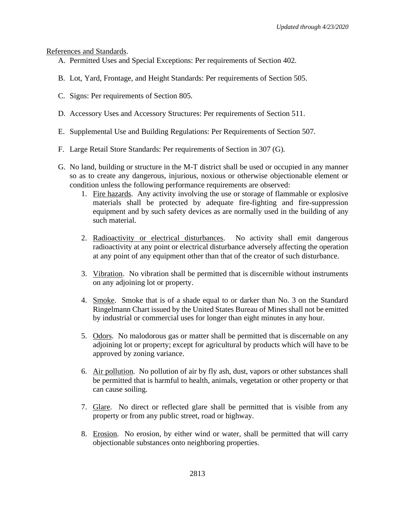#### References and Standards.

- A. Permitted Uses and Special Exceptions: Per requirements of Section 402.
- B. Lot, Yard, Frontage, and Height Standards: Per requirements of Section 505.
- C. Signs: Per requirements of Section 805.
- D. Accessory Uses and Accessory Structures: Per requirements of Section 511.
- E. Supplemental Use and Building Regulations: Per Requirements of Section 507.
- F. Large Retail Store Standards: Per requirements of Section in 307 (G).
- G. No land, building or structure in the M-T district shall be used or occupied in any manner so as to create any dangerous, injurious, noxious or otherwise objectionable element or condition unless the following performance requirements are observed:
	- 1. Fire hazards. Any activity involving the use or storage of flammable or explosive materials shall be protected by adequate fire-fighting and fire-suppression equipment and by such safety devices as are normally used in the building of any such material.
	- 2. Radioactivity or electrical disturbances. No activity shall emit dangerous radioactivity at any point or electrical disturbance adversely affecting the operation at any point of any equipment other than that of the creator of such disturbance.
	- 3. Vibration. No vibration shall be permitted that is discernible without instruments on any adjoining lot or property.
	- 4. Smoke. Smoke that is of a shade equal to or darker than No. 3 on the Standard Ringelmann Chart issued by the United States Bureau of Mines shall not be emitted by industrial or commercial uses for longer than eight minutes in any hour.
	- 5. Odors. No malodorous gas or matter shall be permitted that is discernable on any adjoining lot or property; except for agricultural by products which will have to be approved by zoning variance.
	- 6. Air pollution. No pollution of air by fly ash, dust, vapors or other substances shall be permitted that is harmful to health, animals, vegetation or other property or that can cause soiling.
	- 7. Glare. No direct or reflected glare shall be permitted that is visible from any property or from any public street, road or highway.
	- 8. Erosion. No erosion, by either wind or water, shall be permitted that will carry objectionable substances onto neighboring properties.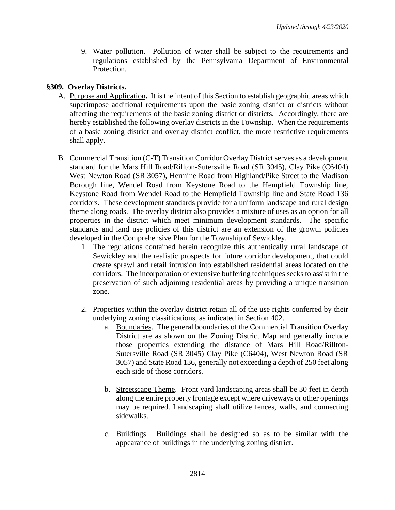9. Water pollution. Pollution of water shall be subject to the requirements and regulations established by the Pennsylvania Department of Environmental Protection.

# **§309. Overlay Districts.**

- A. Purpose and Application**.** It is the intent of this Section to establish geographic areas which superimpose additional requirements upon the basic zoning district or districts without affecting the requirements of the basic zoning district or districts. Accordingly, there are hereby established the following overlay districts in the Township. When the requirements of a basic zoning district and overlay district conflict, the more restrictive requirements shall apply.
- B. Commercial Transition (C-T) Transition Corridor Overlay District serves as a development standard for the Mars Hill Road/Rillton-Sutersville Road (SR 3045), Clay Pike (C6404) West Newton Road (SR 3057), Hermine Road from Highland/Pike Street to the Madison Borough line, Wendel Road from Keystone Road to the Hempfield Township line, Keystone Road from Wendel Road to the Hempfield Township line and State Road 136 corridors. These development standards provide for a uniform landscape and rural design theme along roads. The overlay district also provides a mixture of uses as an option for all properties in the district which meet minimum development standards. The specific standards and land use policies of this district are an extension of the growth policies developed in the Comprehensive Plan for the Township of Sewickley.
	- 1. The regulations contained herein recognize this authentically rural landscape of Sewickley and the realistic prospects for future corridor development, that could create sprawl and retail intrusion into established residential areas located on the corridors. The incorporation of extensive buffering techniques seeks to assist in the preservation of such adjoining residential areas by providing a unique transition zone.
	- 2. Properties within the overlay district retain all of the use rights conferred by their underlying zoning classifications, as indicated in Section 402.
		- a. Boundaries. The general boundaries of the Commercial Transition Overlay District are as shown on the Zoning District Map and generally include those properties extending the distance of Mars Hill Road/Rillton-Sutersville Road (SR 3045) Clay Pike (C6404), West Newton Road (SR 3057) and State Road 136, generally not exceeding a depth of 250 feet along each side of those corridors.
		- b. Streetscape Theme. Front yard landscaping areas shall be 30 feet in depth along the entire property frontage except where driveways or other openings may be required. Landscaping shall utilize fences, walls, and connecting sidewalks.
		- c. Buildings. Buildings shall be designed so as to be similar with the appearance of buildings in the underlying zoning district.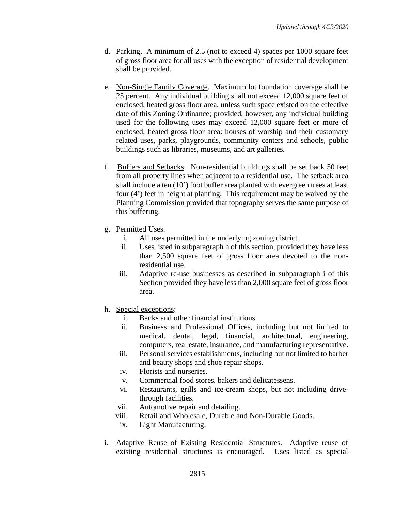- d. Parking. A minimum of 2.5 (not to exceed 4) spaces per 1000 square feet of gross floor area for all uses with the exception of residential development shall be provided.
- e. Non-Single Family Coverage. Maximum lot foundation coverage shall be 25 percent. Any individual building shall not exceed 12,000 square feet of enclosed, heated gross floor area, unless such space existed on the effective date of this Zoning Ordinance; provided, however, any individual building used for the following uses may exceed 12,000 square feet or more of enclosed, heated gross floor area: houses of worship and their customary related uses, parks, playgrounds, community centers and schools, public buildings such as libraries, museums, and art galleries.
- f. Buffers and Setbacks. Non-residential buildings shall be set back 50 feet from all property lines when adjacent to a residential use. The setback area shall include a ten (10') foot buffer area planted with evergreen trees at least four (4') feet in height at planting. This requirement may be waived by the Planning Commission provided that topography serves the same purpose of this buffering.
- g. Permitted Uses.
	- i. All uses permitted in the underlying zoning district.
	- ii. Uses listed in subparagraph h of this section, provided they have less than 2,500 square feet of gross floor area devoted to the nonresidential use.
	- iii. Adaptive re-use businesses as described in subparagraph i of this Section provided they have less than 2,000 square feet of gross floor area.
- h. Special exceptions:
	- i. Banks and other financial institutions.
	- ii. Business and Professional Offices, including but not limited to medical, dental, legal, financial, architectural, engineering, computers, real estate, insurance, and manufacturing representative.
	- iii. Personal services establishments, including but not limited to barber and beauty shops and shoe repair shops.
	- iv. Florists and nurseries.
	- v. Commercial food stores, bakers and delicatessens.
	- vi. Restaurants, grills and ice-cream shops, but not including drivethrough facilities.
	- vii. Automotive repair and detailing.
	- viii. Retail and Wholesale, Durable and Non-Durable Goods.
	- ix. Light Manufacturing.
- i. Adaptive Reuse of Existing Residential Structures. Adaptive reuse of existing residential structures is encouraged. Uses listed as special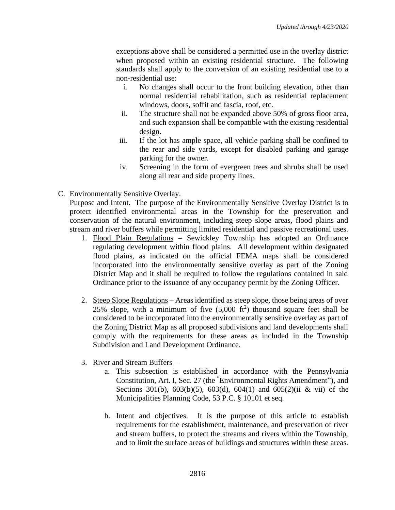exceptions above shall be considered a permitted use in the overlay district when proposed within an existing residential structure. The following standards shall apply to the conversion of an existing residential use to a non-residential use:

- i. No changes shall occur to the front building elevation, other than normal residential rehabilitation, such as residential replacement windows, doors, soffit and fascia, roof, etc.
- ii. The structure shall not be expanded above 50% of gross floor area, and such expansion shall be compatible with the existing residential design.
- iii. If the lot has ample space, all vehicle parking shall be confined to the rear and side yards, except for disabled parking and garage parking for the owner.
- iv. Screening in the form of evergreen trees and shrubs shall be used along all rear and side property lines.
- C. Environmentally Sensitive Overlay.

Purpose and Intent. The purpose of the Environmentally Sensitive Overlay District is to protect identified environmental areas in the Township for the preservation and conservation of the natural environment, including steep slope areas, flood plains and stream and river buffers while permitting limited residential and passive recreational uses.

- 1. Flood Plain Regulations Sewickley Township has adopted an Ordinance regulating development within flood plains. All development within designated flood plains, as indicated on the official FEMA maps shall be considered incorporated into the environmentally sensitive overlay as part of the Zoning District Map and it shall be required to follow the regulations contained in said Ordinance prior to the issuance of any occupancy permit by the Zoning Officer.
- 2. Steep Slope Regulations Areas identified as steep slope, those being areas of over 25% slope, with a minimum of five  $(5,000 \text{ ft}^2)$  thousand square feet shall be considered to be incorporated into the environmentally sensitive overlay as part of the Zoning District Map as all proposed subdivisions and land developments shall comply with the requirements for these areas as included in the Township Subdivision and Land Development Ordinance.
- 3. River and Stream Buffers
	- a. This subsection is established in accordance with the Pennsylvania Constitution, Art. I, Sec. 27 (the "Environmental Rights Amendment"), and Sections 301(b), 603(b)(5), 603(d), 604(1) and 605(2)(ii & vii) of the Municipalities Planning Code, 53 P.C. § 10101 et seq.
	- b. Intent and objectives. It is the purpose of this article to establish requirements for the establishment, maintenance, and preservation of river and stream buffers, to protect the streams and rivers within the Township, and to limit the surface areas of buildings and structures within these areas.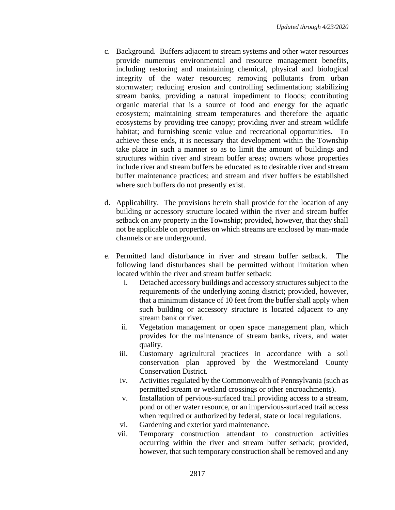- c. Background. Buffers adjacent to stream systems and other water resources provide numerous environmental and resource management benefits, including restoring and maintaining chemical, physical and biological integrity of the water resources; removing pollutants from urban stormwater; reducing erosion and controlling sedimentation; stabilizing stream banks, providing a natural impediment to floods; contributing organic material that is a source of food and energy for the aquatic ecosystem; maintaining stream temperatures and therefore the aquatic ecosystems by providing tree canopy; providing river and stream wildlife habitat; and furnishing scenic value and recreational opportunities. To achieve these ends, it is necessary that development within the Township take place in such a manner so as to limit the amount of buildings and structures within river and stream buffer areas; owners whose properties include river and stream buffers be educated as to desirable river and stream buffer maintenance practices; and stream and river buffers be established where such buffers do not presently exist.
- d. Applicability. The provisions herein shall provide for the location of any building or accessory structure located within the river and stream buffer setback on any property in the Township; provided, however, that they shall not be applicable on properties on which streams are enclosed by man-made channels or are underground.
- e. Permitted land disturbance in river and stream buffer setback. The following land disturbances shall be permitted without limitation when located within the river and stream buffer setback:
	- i. Detached accessory buildings and accessory structures subject to the requirements of the underlying zoning district; provided, however, that a minimum distance of 10 feet from the buffer shall apply when such building or accessory structure is located adjacent to any stream bank or river.
	- ii. Vegetation management or open space management plan, which provides for the maintenance of stream banks, rivers, and water quality.
	- iii. Customary agricultural practices in accordance with a soil conservation plan approved by the Westmoreland County Conservation District.
	- iv. Activities regulated by the Commonwealth of Pennsylvania (such as permitted stream or wetland crossings or other encroachments).
	- v. Installation of pervious-surfaced trail providing access to a stream, pond or other water resource, or an impervious-surfaced trail access when required or authorized by federal, state or local regulations.
	- vi. Gardening and exterior yard maintenance.
	- vii. Temporary construction attendant to construction activities occurring within the river and stream buffer setback; provided, however, that such temporary construction shall be removed and any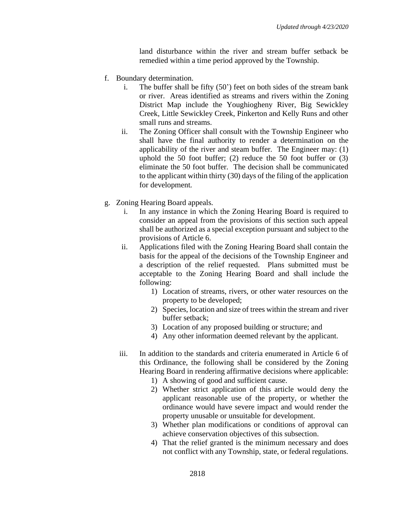land disturbance within the river and stream buffer setback be remedied within a time period approved by the Township.

- f. Boundary determination.
	- i. The buffer shall be fifty (50') feet on both sides of the stream bank or river. Areas identified as streams and rivers within the Zoning District Map include the Youghiogheny River, Big Sewickley Creek, Little Sewickley Creek, Pinkerton and Kelly Runs and other small runs and streams.
	- ii. The Zoning Officer shall consult with the Township Engineer who shall have the final authority to render a determination on the applicability of the river and steam buffer. The Engineer may: (1) uphold the 50 foot buffer; (2) reduce the 50 foot buffer or (3) eliminate the 50 foot buffer. The decision shall be communicated to the applicant within thirty (30) days of the filing of the application for development.
- g. Zoning Hearing Board appeals.
	- i. In any instance in which the Zoning Hearing Board is required to consider an appeal from the provisions of this section such appeal shall be authorized as a special exception pursuant and subject to the provisions of Article 6.
	- ii. Applications filed with the Zoning Hearing Board shall contain the basis for the appeal of the decisions of the Township Engineer and a description of the relief requested. Plans submitted must be acceptable to the Zoning Hearing Board and shall include the following:
		- 1) Location of streams, rivers, or other water resources on the property to be developed;
		- 2) Species, location and size of trees within the stream and river buffer setback;
		- 3) Location of any proposed building or structure; and
		- 4) Any other information deemed relevant by the applicant.
	- iii. In addition to the standards and criteria enumerated in Article 6 of this Ordinance, the following shall be considered by the Zoning Hearing Board in rendering affirmative decisions where applicable:
		- 1) A showing of good and sufficient cause.
		- 2) Whether strict application of this article would deny the applicant reasonable use of the property, or whether the ordinance would have severe impact and would render the property unusable or unsuitable for development.
		- 3) Whether plan modifications or conditions of approval can achieve conservation objectives of this subsection.
		- 4) That the relief granted is the minimum necessary and does not conflict with any Township, state, or federal regulations.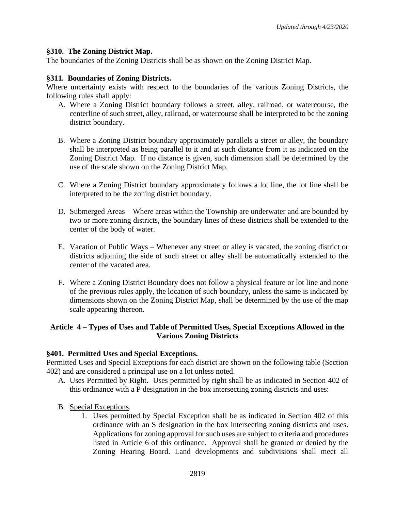#### **§310. The Zoning District Map.**

The boundaries of the Zoning Districts shall be as shown on the Zoning District Map.

#### **§311. Boundaries of Zoning Districts.**

Where uncertainty exists with respect to the boundaries of the various Zoning Districts, the following rules shall apply:

- A. Where a Zoning District boundary follows a street, alley, railroad, or watercourse, the centerline of such street, alley, railroad, or watercourse shall be interpreted to be the zoning district boundary.
- B. Where a Zoning District boundary approximately parallels a street or alley, the boundary shall be interpreted as being parallel to it and at such distance from it as indicated on the Zoning District Map. If no distance is given, such dimension shall be determined by the use of the scale shown on the Zoning District Map.
- C. Where a Zoning District boundary approximately follows a lot line, the lot line shall be interpreted to be the zoning district boundary.
- D. Submerged Areas Where areas within the Township are underwater and are bounded by two or more zoning districts, the boundary lines of these districts shall be extended to the center of the body of water.
- E. Vacation of Public Ways Whenever any street or alley is vacated, the zoning district or districts adjoining the side of such street or alley shall be automatically extended to the center of the vacated area.
- F. Where a Zoning District Boundary does not follow a physical feature or lot line and none of the previous rules apply, the location of such boundary, unless the same is indicated by dimensions shown on the Zoning District Map, shall be determined by the use of the map scale appearing thereon.

# **Article 4 – Types of Uses and Table of Permitted Uses, Special Exceptions Allowed in the Various Zoning Districts**

#### **§401. Permitted Uses and Special Exceptions.**

Permitted Uses and Special Exceptions for each district are shown on the following table (Section 402) and are considered a principal use on a lot unless noted.

- A. Uses Permitted by Right. Uses permitted by right shall be as indicated in Section 402 of this ordinance with a P designation in the box intersecting zoning districts and uses:
- B. Special Exceptions.
	- 1. Uses permitted by Special Exception shall be as indicated in Section 402 of this ordinance with an S designation in the box intersecting zoning districts and uses. Applications for zoning approval for such uses are subject to criteria and procedures listed in Article 6 of this ordinance. Approval shall be granted or denied by the Zoning Hearing Board. Land developments and subdivisions shall meet all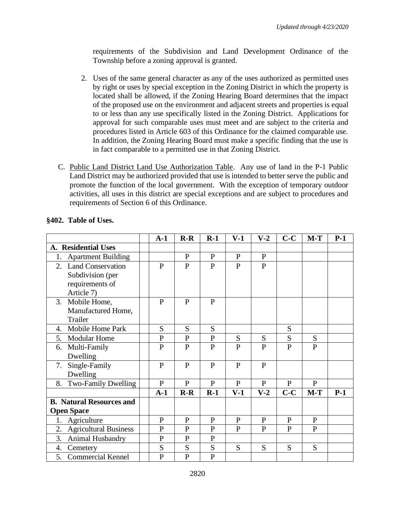requirements of the Subdivision and Land Development Ordinance of the Township before a zoning approval is granted.

- 2. Uses of the same general character as any of the uses authorized as permitted uses by right or uses by special exception in the Zoning District in which the property is located shall be allowed, if the Zoning Hearing Board determines that the impact of the proposed use on the environment and adjacent streets and properties is equal to or less than any use specifically listed in the Zoning District. Applications for approval for such comparable uses must meet and are subject to the criteria and procedures listed in Article 603 of this Ordinance for the claimed comparable use. In addition, the Zoning Hearing Board must make a specific finding that the use is in fact comparable to a permitted use in that Zoning District.
- C. Public Land District Land Use Authorization Table. Any use of land in the P-1 Public Land District may be authorized provided that use is intended to better serve the public and promote the function of the local government. With the exception of temporary outdoor activities, all uses in this district are special exceptions and are subject to procedures and requirements of Section 6 of this Ordinance.

|                                    | $A-1$        | $R-R$        | $R-1$        | $V-1$        | $V-2$        | $C-C$          | $M-T$          | $P-1$ |
|------------------------------------|--------------|--------------|--------------|--------------|--------------|----------------|----------------|-------|
| A. Residential Uses                |              |              |              |              |              |                |                |       |
| <b>Apartment Building</b><br>1.    |              | $\mathbf{P}$ | $\mathbf{P}$ | $\mathbf{P}$ | P            |                |                |       |
| 2. Land Conservation               | $\mathbf{P}$ | $\mathbf{P}$ | $\mathbf{P}$ | $\mathbf{P}$ | $\mathbf{P}$ |                |                |       |
| Subdivision (per                   |              |              |              |              |              |                |                |       |
| requirements of                    |              |              |              |              |              |                |                |       |
| Article 7)                         |              |              |              |              |              |                |                |       |
| 3. Mobile Home,                    | P            | $\mathbf{P}$ | $\mathbf{P}$ |              |              |                |                |       |
| Manufactured Home,                 |              |              |              |              |              |                |                |       |
| Trailer                            |              |              |              |              |              |                |                |       |
| Mobile Home Park<br>4.             | S            | S            | S            |              |              | S              |                |       |
| <b>Modular Home</b><br>5.          | $\mathbf{P}$ | $\mathbf{P}$ | $\mathbf{P}$ | S            | S            | S              | S              |       |
| Multi-Family<br>6.                 | $\mathbf{P}$ | $\mathbf{P}$ | P            | P            | P            | $\mathbf{P}$   | $\mathbf{P}$   |       |
| Dwelling                           |              |              |              |              |              |                |                |       |
| Single-Family<br>7.                | $\mathbf{P}$ | $\mathbf{P}$ | $\mathbf{P}$ | $\mathbf{P}$ | $\mathbf{P}$ |                |                |       |
| Dwelling                           |              |              |              |              |              |                |                |       |
| Two-Family Dwelling<br>8.          | $\mathbf{P}$ | $\mathbf{P}$ | $\mathbf{P}$ | P            | P            | $\mathbf{P}$   | $\mathbf{P}$   |       |
|                                    | $A-1$        | $R-R$        | $R-1$        | $V-1$        | $V-2$        | $C-C$          | $M-T$          | $P-1$ |
| <b>B.</b> Natural Resources and    |              |              |              |              |              |                |                |       |
| <b>Open Space</b>                  |              |              |              |              |              |                |                |       |
| Agriculture<br>1.                  | $\mathbf{P}$ | $\mathbf{P}$ | $\mathbf{P}$ | P            | $\mathbf{P}$ | $\mathbf{P}$   | P              |       |
| <b>Agricultural Business</b><br>2. | $\mathbf{P}$ | $\mathbf{P}$ | $\mathbf{P}$ | P            | P            | $\overline{P}$ | $\overline{P}$ |       |
| 3.<br>Animal Husbandry             | $\mathbf P$  | $\mathbf P$  | $\mathbf{P}$ |              |              |                |                |       |
| Cemetery<br>4.                     | S            | S            | S            | S            | S            | S              | S              |       |
| <b>Commercial Kennel</b><br>5.     | $\mathbf{P}$ | $\mathbf{P}$ | $\mathbf{P}$ |              |              |                |                |       |

#### **§402. Table of Uses.**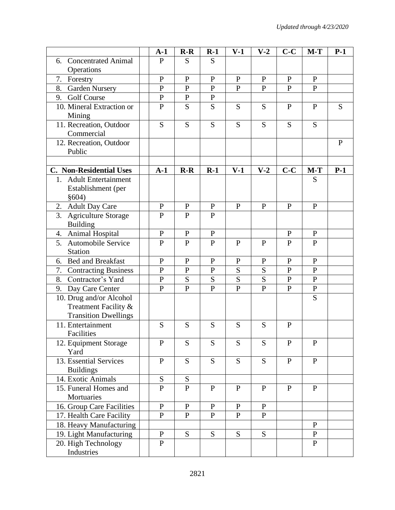|                                                                                | $A-1$          | $R-R$        | $R-1$        | $V-1$        | $V-2$        | $C-C$          | $M-T$        | $P-1$        |
|--------------------------------------------------------------------------------|----------------|--------------|--------------|--------------|--------------|----------------|--------------|--------------|
| <b>Concentrated Animal</b><br>6.                                               | $\mathbf{P}$   | S            | S            |              |              |                |              |              |
| Operations                                                                     |                |              |              |              |              |                |              |              |
| Forestry<br>7.                                                                 | $\mathbf{P}$   | $\mathbf{P}$ | $\mathbf{P}$ | $\mathbf{P}$ | $\mathbf{P}$ | $\mathbf{P}$   | $\mathbf{P}$ |              |
| <b>Garden Nursery</b><br>8.                                                    | $\mathbf{P}$   | $\mathbf{P}$ | $\mathbf{P}$ | $\mathbf{P}$ | $\mathbf{P}$ | $\mathbf{P}$   | $\mathbf{P}$ |              |
| <b>Golf Course</b><br>9.                                                       | $\mathbf P$    | $\mathbf P$  | $\mathbf{P}$ |              |              |                |              |              |
| 10. Mineral Extraction or                                                      | $\overline{P}$ | S            | S            | S            | S            | $\mathbf{P}$   | $\mathbf{P}$ | S            |
| Mining                                                                         |                |              |              |              |              |                |              |              |
| 11. Recreation, Outdoor<br>Commercial                                          | S              | S            | S            | S            | S            | S              | S            |              |
| 12. Recreation, Outdoor<br>Public                                              |                |              |              |              |              |                |              | $\mathbf{P}$ |
|                                                                                |                |              |              |              |              |                |              |              |
| <b>C.</b> Non-Residential Uses                                                 | $A-1$          | $R-R$        | $R-1$        | $V-1$        | $V-2$        | $C-C$          | $M-T$        | $P-1$        |
| 1. Adult Entertainment<br>Establishment (per                                   |                |              |              |              |              |                | S            |              |
| \$604)                                                                         |                |              |              |              |              |                |              |              |
| 2. Adult Day Care                                                              | $\mathbf{P}$   | ${\bf P}$    | $\mathbf{P}$ | $\mathbf{P}$ | $\mathbf{P}$ | $\mathbf{P}$   | $\mathbf{P}$ |              |
| 3.<br><b>Agriculture Storage</b><br><b>Building</b>                            | $\overline{P}$ | $\mathbf{P}$ | $\mathbf{P}$ |              |              |                |              |              |
| Animal Hospital<br>4.                                                          | ${\bf P}$      | $\mathbf{P}$ | $\mathbf{P}$ |              |              | $\mathbf{P}$   | $\mathbf{P}$ |              |
| 5. Automobile Service<br><b>Station</b>                                        | $\mathbf{P}$   | $\mathbf{P}$ | $\mathbf{P}$ | $\mathbf{P}$ | $\mathbf{P}$ | $\mathbf{P}$   | P            |              |
| <b>Bed and Breakfast</b><br>6.                                                 | $\mathbf{P}$   | $\mathbf{P}$ | $\mathbf{P}$ | ${\bf P}$    | ${\bf P}$    | $\mathbf{P}$   | $\mathbf{P}$ |              |
| <b>Contracting Business</b><br>7.                                              | ${\bf P}$      | ${\bf P}$    | $\mathbf{P}$ | S            | S            | $\overline{P}$ | P            |              |
| Contractor's Yard<br>8.                                                        | ${\bf P}$      | S            | S            | S            | S            | $\mathbf{P}$   | $\mathbf{P}$ |              |
| 9.<br>Day Care Center                                                          | $\mathbf P$    | $\mathbf{P}$ | $\mathbf{P}$ | $\mathbf{P}$ | $\mathbf{P}$ | $\mathbf{P}$   | ${\bf P}$    |              |
| 10. Drug and/or Alcohol<br>Treatment Facility &<br><b>Transition Dwellings</b> |                |              |              |              |              |                | S            |              |
| 11. Entertainment<br>Facilities                                                | S              | S            | S            | S            | S            | P              |              |              |
| 12. Equipment Storage<br>Yard                                                  | $\mathbf{P}$   | S            | S            | S            | S            | $\mathbf{P}$   | $\mathbf{P}$ |              |
| 13. Essential Services<br><b>Buildings</b>                                     | $\mathbf{P}$   | S            | S            | S            | S            | $\mathbf{P}$   | $\mathbf{P}$ |              |
| 14. Exotic Animals                                                             | ${\bf S}$      | ${\bf S}$    |              |              |              |                |              |              |
| 15. Funeral Homes and<br>Mortuaries                                            | $\overline{P}$ | $\mathbf{P}$ | $\mathbf{P}$ | $\mathbf{P}$ | $\mathbf{P}$ | $\mathbf{P}$   | $\mathbf{P}$ |              |
| 16. Group Care Facilities                                                      | $\mathbf{P}$   | $\mathbf{P}$ | $\mathbf{P}$ | $\mathbf{P}$ | $\mathbf{P}$ |                |              |              |
| 17. Health Care Facility                                                       | $\mathbf{P}$   | $\mathbf{P}$ | $\mathbf{P}$ | ${\bf P}$    | $\mathbf{P}$ |                |              |              |
| 18. Heavy Manufacturing                                                        |                |              |              |              |              |                | $\mathbf{P}$ |              |
| 19. Light Manufacturing                                                        | $\mathbf{P}$   | S            | S            | S            | S            |                | $\mathbf{P}$ |              |
| 20. High Technology<br>Industries                                              | $\mathbf{P}$   |              |              |              |              |                | $\mathbf{P}$ |              |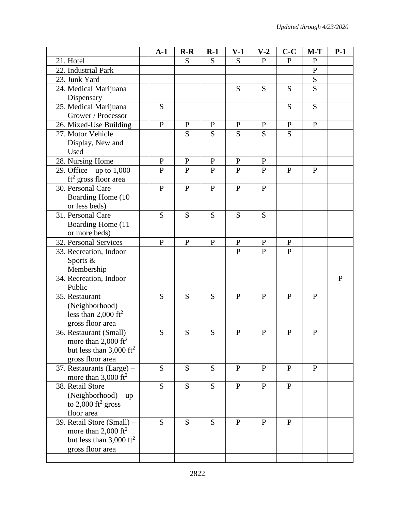|                                                                                                                       | $A-1$        | $R-R$        | $R-1$          | $V-1$        | $V-2$          | $C-C$          | $M-T$        | $P-1$        |
|-----------------------------------------------------------------------------------------------------------------------|--------------|--------------|----------------|--------------|----------------|----------------|--------------|--------------|
| 21. Hotel                                                                                                             |              | S            | S              | S            | $\mathbf{P}$   | $\mathbf{P}$   | $\mathbf{P}$ |              |
| 22. Industrial Park                                                                                                   |              |              |                |              |                |                | $\mathbf P$  |              |
| 23. Junk Yard                                                                                                         |              |              |                |              |                |                | S            |              |
| 24. Medical Marijuana<br>Dispensary                                                                                   |              |              |                | S            | S              | S              | S            |              |
| 25. Medical Marijuana<br>Grower / Processor                                                                           | S            |              |                |              |                | S              | S            |              |
| 26. Mixed-Use Building                                                                                                | ${\bf P}$    | $\mathbf{P}$ | $\mathbf{P}$   | $\mathbf{P}$ | ${\bf P}$      | ${\bf P}$      | ${\bf P}$    |              |
| 27. Motor Vehicle<br>Display, New and<br>Used                                                                         |              | S            | S              | S            | S              | S              |              |              |
| 28. Nursing Home                                                                                                      | $\mathbf{P}$ | $\mathbf{P}$ | $\mathbf{P}$   | $\mathbf{P}$ | $\mathbf{P}$   |                |              |              |
| 29. Office – up to $1,000$<br>$ft2$ gross floor area                                                                  | $\mathbf P$  | ${\bf P}$    | $\mathbf{P}$   | $\mathbf{P}$ | $\mathbf{P}$   | ${\bf P}$      | $\mathbf{P}$ |              |
| 30. Personal Care<br>Boarding Home (10<br>or less beds)                                                               | $\mathbf{P}$ | $\mathbf{P}$ | $\overline{P}$ | $\mathbf{P}$ | $\overline{P}$ |                |              |              |
| 31. Personal Care<br>Boarding Home (11<br>or more beds)                                                               | S            | S            | S              | S            | S              |                |              |              |
| 32. Personal Services                                                                                                 | $\mathbf{P}$ | $\mathbf{P}$ | $\mathbf{P}$   | $\mathbf{P}$ | $\mathbf{P}$   | $\mathbf{P}$   |              |              |
| 33. Recreation, Indoor<br>Sports &<br>Membership                                                                      |              |              |                | $\mathbf{P}$ | $\mathbf{P}$   | $\overline{P}$ |              |              |
| 34. Recreation, Indoor<br>Public                                                                                      |              |              |                |              |                |                |              | $\mathbf{P}$ |
| 35. Restaurant<br>(Neighborhood) -<br>less than 2,000 $\text{ft}^2$<br>gross floor area                               | S            | S            | S              | $\mathbf{P}$ | $\mathbf{P}$   | $\overline{P}$ | $\mathbf{P}$ |              |
| 36. Restaurant (Small) -<br>more than $2,000 \text{ ft}^2$<br>but less than $3,000 \text{ ft}^2$<br>gross floor area  | S            | S            | S              | P            | P              | P              | $\mathbf{P}$ |              |
| 37. Restaurants (Large) -<br>more than $3,000 \text{ ft}^2$                                                           | S            | S            | S              | P            | $\mathbf{P}$   | $\mathbf{P}$   | $\mathbf{P}$ |              |
| 38. Retail Store<br>(Neighborhood) - up<br>to $2,000$ ft <sup>2</sup> gross<br>floor area                             | S            | S            | S              | $\mathbf{P}$ | $\mathbf{P}$   | $\mathbf{P}$   |              |              |
| 39. Retail Store (Small) -<br>more than 2,000 $\text{ft}^2$<br>but less than $3,000 \text{ ft}^2$<br>gross floor area | S            | S            | S              | $\mathbf{P}$ | $\mathbf{P}$   | $\mathbf{P}$   |              |              |
|                                                                                                                       |              |              |                |              |                |                |              |              |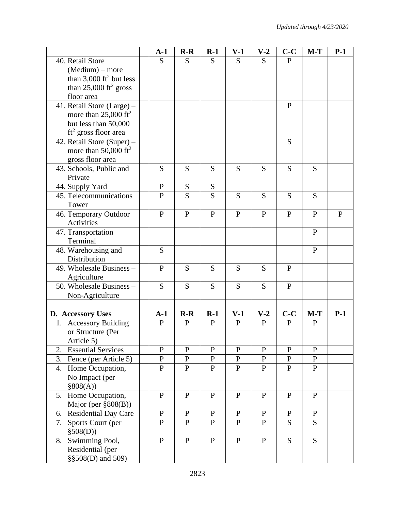|                                       | $A-1$          | $R-R$        | $R-1$          | $V-1$        | $V-2$        | $C-C$        | $M-T$        | $P-1$     |
|---------------------------------------|----------------|--------------|----------------|--------------|--------------|--------------|--------------|-----------|
| 40. Retail Store                      | S              | S            | S              | S            | S            | $\mathbf{P}$ |              |           |
| $(Medium)$ – more                     |                |              |                |              |              |              |              |           |
| than $3,000$ ft <sup>2</sup> but less |                |              |                |              |              |              |              |           |
| than $25,000$ ft <sup>2</sup> gross   |                |              |                |              |              |              |              |           |
| floor area                            |                |              |                |              |              |              |              |           |
| 41. Retail Store (Large) -            |                |              |                |              |              | $\mathbf{P}$ |              |           |
| more than $25,000 \text{ ft}^2$       |                |              |                |              |              |              |              |           |
| but less than 50,000                  |                |              |                |              |              |              |              |           |
| $ft2$ gross floor area                |                |              |                |              |              |              |              |           |
| 42. Retail Store (Super) -            |                |              |                |              |              | S            |              |           |
| more than $50,000 \text{ ft}^2$       |                |              |                |              |              |              |              |           |
| gross floor area                      |                |              |                |              |              |              |              |           |
| 43. Schools, Public and               | S              | S            | S              | S            | S            | S            | S            |           |
| Private                               |                |              |                |              |              |              |              |           |
| 44. Supply Yard                       | $\mathbf P$    | ${\bf S}$    | S              |              |              |              |              |           |
| 45. Telecommunications                | $\mathbf{P}$   | S            | S              | S            | S            | S            | S            |           |
| Tower                                 |                |              |                |              |              |              |              |           |
| 46. Temporary Outdoor                 | $\mathbf{P}$   | $\mathbf{P}$ | $\mathbf{P}$   | $\mathbf{P}$ | $\mathbf{P}$ | $\mathbf{P}$ | $\mathbf{P}$ | ${\bf P}$ |
| Activities                            |                |              |                |              |              |              |              |           |
| 47. Transportation<br>Terminal        |                |              |                |              |              |              | ${\bf P}$    |           |
|                                       | S              |              |                |              |              |              | $\mathbf{P}$ |           |
| 48. Warehousing and<br>Distribution   |                |              |                |              |              |              |              |           |
| 49. Wholesale Business -              | ${\bf P}$      | S            | S              | S            | S            | $\mathbf{P}$ |              |           |
| Agriculture                           |                |              |                |              |              |              |              |           |
| 50. Wholesale Business -              | S              | S            | S              | S            | S            | $\mathbf{P}$ |              |           |
| Non-Agriculture                       |                |              |                |              |              |              |              |           |
|                                       |                |              |                |              |              |              |              |           |
| D. Accessory Uses                     | $A-1$          | $R-R$        | $R-1$          | $V-1$        | $V-2$        | $C-C$        | $M-T$        | $P-1$     |
| 1. Accessory Building                 | ${\bf P}$      | ${\bf P}$    | $\mathbf{P}$   | $\mathbf{P}$ | $\mathbf{P}$ | $\mathbf{P}$ | $\mathbf{P}$ |           |
| or Structure (Per                     |                |              |                |              |              |              |              |           |
| Article 5)                            |                |              |                |              |              |              |              |           |
| <b>Essential Services</b><br>2.       | $\mathbf{P}$   | ${\bf P}$    | ${\bf P}$      | $\mathbf{P}$ | $\mathbf{P}$ | ${\bf P}$    | $\mathbf{P}$ |           |
| 3. Fence (per Article 5)              | ${\bf P}$      | ${\bf P}$    | ${\bf P}$      | ${\bf P}$    | ${\bf P}$    | $\, {\bf P}$ | ${\bf P}$    |           |
| 4. Home Occupation,                   | $\mathbf P$    | $\mathbf{P}$ | $\mathbf{P}$   | $\mathbf{P}$ | $\mathbf{P}$ | $\mathbf{P}$ | $\mathbf{P}$ |           |
| No Impact (per                        |                |              |                |              |              |              |              |           |
| \$808(A))                             |                |              |                |              |              |              |              |           |
| 5. Home Occupation,                   | ${\bf P}$      | $\mathbf{P}$ | $\mathbf{P}$   | $\mathbf{P}$ | $\mathbf{P}$ | $\mathbf{P}$ | $\mathbf{P}$ |           |
| Major (per §808(B))                   |                |              |                |              |              |              |              |           |
| Residential Day Care<br>6.            | ${\bf P}$      | $\mathbf{P}$ | ${\bf P}$      | $\mathbf{P}$ | $\mathbf{P}$ | ${\bf P}$    | ${\bf P}$    |           |
| 7. Sports Court (per                  | ${\bf P}$      | $\mathbf{P}$ | $\mathbf{P}$   | $\mathbf{P}$ | ${\bf P}$    | S            | S            |           |
| \$508(D))                             |                |              |                |              |              |              |              |           |
| 8. Swimming Pool,                     | $\overline{P}$ | $\mathbf{P}$ | $\overline{P}$ | $\mathbf{P}$ | $\mathbf{P}$ | S            | S            |           |
| Residential (per                      |                |              |                |              |              |              |              |           |
| §§508(D) and 509)                     |                |              |                |              |              |              |              |           |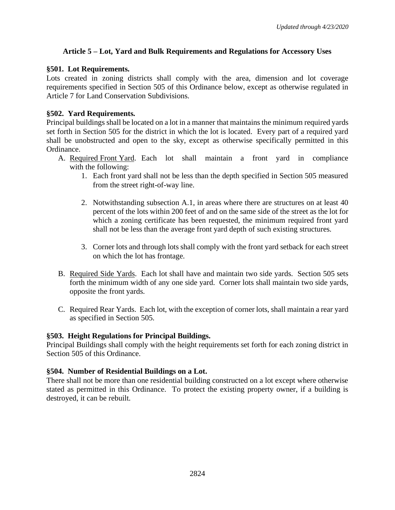# **Article 5 – Lot, Yard and Bulk Requirements and Regulations for Accessory Uses**

#### **§501. Lot Requirements.**

Lots created in zoning districts shall comply with the area, dimension and lot coverage requirements specified in Section 505 of this Ordinance below, except as otherwise regulated in Article 7 for Land Conservation Subdivisions.

# **§502. Yard Requirements.**

Principal buildings shall be located on a lot in a manner that maintains the minimum required yards set forth in Section 505 for the district in which the lot is located. Every part of a required yard shall be unobstructed and open to the sky, except as otherwise specifically permitted in this Ordinance.

- A. Required Front Yard. Each lot shall maintain a front yard in compliance with the following:
	- 1. Each front yard shall not be less than the depth specified in Section 505 measured from the street right-of-way line.
	- 2. Notwithstanding subsection A.1, in areas where there are structures on at least 40 percent of the lots within 200 feet of and on the same side of the street as the lot for which a zoning certificate has been requested, the minimum required front yard shall not be less than the average front yard depth of such existing structures.
	- 3. Corner lots and through lots shall comply with the front yard setback for each street on which the lot has frontage.
- B. Required Side Yards. Each lot shall have and maintain two side yards. Section 505 sets forth the minimum width of any one side yard. Corner lots shall maintain two side yards, opposite the front yards.
- C. Required Rear Yards. Each lot, with the exception of corner lots, shall maintain a rear yard as specified in Section 505.

# **§503. Height Regulations for Principal Buildings.**

Principal Buildings shall comply with the height requirements set forth for each zoning district in Section 505 of this Ordinance.

# **§504. Number of Residential Buildings on a Lot.**

There shall not be more than one residential building constructed on a lot except where otherwise stated as permitted in this Ordinance. To protect the existing property owner, if a building is destroyed, it can be rebuilt.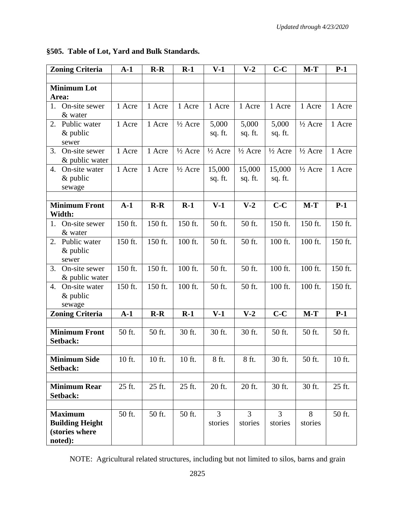| <b>Zoning Criteria</b>                                     | $A-1$   | $R-R$   | $R-1$              | $V-1$                     | $V-2$                     | $C-C$                     | $M-T$              | $P-1$   |
|------------------------------------------------------------|---------|---------|--------------------|---------------------------|---------------------------|---------------------------|--------------------|---------|
|                                                            |         |         |                    |                           |                           |                           |                    |         |
| <b>Minimum Lot</b>                                         |         |         |                    |                           |                           |                           |                    |         |
| Area:                                                      |         |         |                    |                           |                           |                           |                    |         |
| On-site sewer<br>1.<br>& water                             | 1 Acre  | 1 Acre  | 1 Acre             | 1 Acre                    | 1 Acre                    | 1 Acre                    | 1 Acre             | 1 Acre  |
| Public water<br>2.                                         | 1 Acre  | 1 Acre  | $\frac{1}{2}$ Acre | 5,000                     | 5,000                     | 5,000                     | $\frac{1}{2}$ Acre | 1 Acre  |
| $&$ public<br>sewer                                        |         |         |                    | sq. ft.                   | sq. ft.                   | sq. ft.                   |                    |         |
| 3.<br>On-site sewer<br>& public water                      | 1 Acre  | 1 Acre  | $\frac{1}{2}$ Acre | $\frac{1}{2}$ Acre        | $\frac{1}{2}$ Acre        | $\frac{1}{2}$ Acre        | $\frac{1}{2}$ Acre | 1 Acre  |
| On-site water<br>4.<br>$&$ public                          | 1 Acre  | 1 Acre  | $\frac{1}{2}$ Acre | 15,000<br>sq. ft.         | 15,000<br>sq. ft.         | 15,000<br>sq. ft.         | $\frac{1}{2}$ Acre | 1 Acre  |
| sewage                                                     |         |         |                    |                           |                           |                           |                    |         |
|                                                            |         |         |                    |                           |                           |                           |                    |         |
| <b>Minimum Front</b><br>Width:                             | $A-1$   | $R-R$   | $R-1$              | $V-1$                     | $V-2$                     | $C-C$                     | $M-T$              | $P-1$   |
| On-site sewer<br>1.<br>& water                             | 150 ft. | 150 ft. | 150 ft.            | 50 ft.                    | 50 ft.                    | 150 ft.                   | 150 ft.            | 150 ft. |
| Public water<br>2.<br>& public<br>sewer                    | 150 ft. | 150 ft. | 100 ft.            | 50 ft.                    | 50 ft.                    | 100 ft.                   | 100 ft.            | 150 ft. |
| On-site sewer<br>3.<br>& public water                      | 150 ft. | 150 ft. | 100 ft.            | 50 ft.                    | 50 ft.                    | 100 ft.                   | 100 ft.            | 150 ft. |
| On-site water<br>4.<br>$&$ public<br>sewage                | 150 ft. | 150 ft. | 100 ft.            | 50 ft.                    | 50 ft.                    | 100 ft.                   | 100 ft.            | 150 ft. |
| <b>Zoning Criteria</b>                                     | $A-1$   | $R-R$   | $R-1$              | $V-1$                     | $V-2$                     | $C-C$                     | $M-T$              | $P-1$   |
|                                                            |         |         |                    |                           |                           |                           |                    |         |
| <b>Minimum Front</b><br>Setback:                           | 50 ft.  | 50 ft.  | 30 ft.             | 30 ft.                    | 30 ft.                    | 50 ft.                    | 50 ft.             | 50 ft.  |
|                                                            |         |         |                    |                           |                           |                           |                    |         |
| <b>Minimum Side</b><br>Setback:                            | 10 ft.  | 10 ft.  | 10 ft.             | 8 ft.                     | 8 ft.                     | 30 ft.                    | 50 ft.             | 10 ft.  |
|                                                            |         |         |                    |                           |                           |                           |                    |         |
| <b>Minimum Rear</b><br>Setback:                            | 25 ft.  | 25 ft.  | 25 ft.             | 20 ft.                    | 20 ft.                    | 30 ft.                    | 30 ft.             | 25 ft.  |
|                                                            |         |         |                    |                           |                           |                           |                    |         |
| <b>Maximum</b><br><b>Building Height</b><br>(stories where | 50 ft.  | 50 ft.  | 50 ft.             | $\overline{3}$<br>stories | $\overline{3}$<br>stories | $\overline{3}$<br>stories | 8<br>stories       | 50 ft.  |
| noted):                                                    |         |         |                    |                           |                           |                           |                    |         |

**§505. Table of Lot, Yard and Bulk Standards.**

NOTE: Agricultural related structures, including but not limited to silos, barns and grain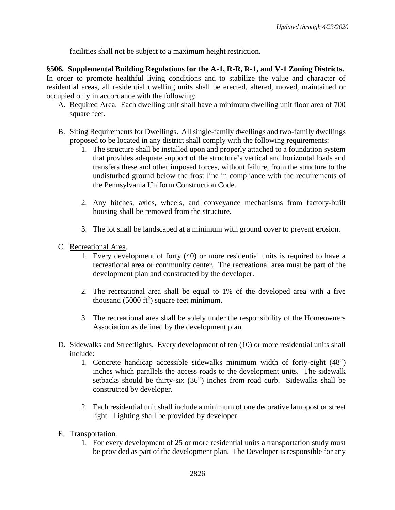facilities shall not be subject to a maximum height restriction.

**§506. Supplemental Building Regulations for the A-1, R-R, R-1, and V-1 Zoning Districts.** In order to promote healthful living conditions and to stabilize the value and character of residential areas, all residential dwelling units shall be erected, altered, moved, maintained or occupied only in accordance with the following:

- A. Required Area. Each dwelling unit shall have a minimum dwelling unit floor area of 700 square feet.
- B. Siting Requirements for Dwellings. All single-family dwellings and two-family dwellings proposed to be located in any district shall comply with the following requirements:
	- 1. The structure shall be installed upon and properly attached to a foundation system that provides adequate support of the structure's vertical and horizontal loads and transfers these and other imposed forces, without failure, from the structure to the undisturbed ground below the frost line in compliance with the requirements of the Pennsylvania Uniform Construction Code.
	- 2. Any hitches, axles, wheels, and conveyance mechanisms from factory-built housing shall be removed from the structure.
	- 3. The lot shall be landscaped at a minimum with ground cover to prevent erosion.
- C. Recreational Area.
	- 1. Every development of forty (40) or more residential units is required to have a recreational area or community center. The recreational area must be part of the development plan and constructed by the developer.
	- 2. The recreational area shall be equal to 1% of the developed area with a five thousand  $(5000 \text{ ft}^2)$  square feet minimum.
	- 3. The recreational area shall be solely under the responsibility of the Homeowners Association as defined by the development plan.
- D. Sidewalks and Streetlights. Every development of ten (10) or more residential units shall include:
	- 1. Concrete handicap accessible sidewalks minimum width of forty-eight (48") inches which parallels the access roads to the development units. The sidewalk setbacks should be thirty-six (36") inches from road curb. Sidewalks shall be constructed by developer.
	- 2. Each residential unit shall include a minimum of one decorative lamppost or street light. Lighting shall be provided by developer.
- E. Transportation.
	- 1. For every development of 25 or more residential units a transportation study must be provided as part of the development plan. The Developer is responsible for any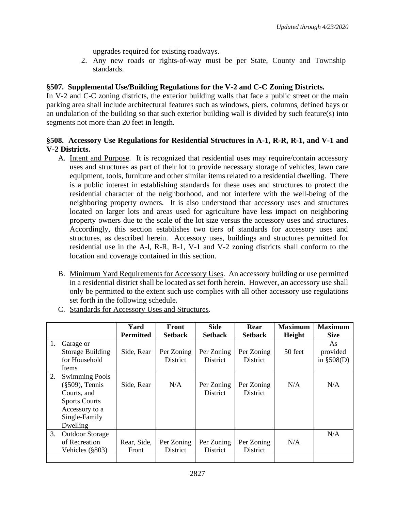upgrades required for existing roadways.

2. Any new roads or rights-of-way must be per State, County and Township standards.

# **§507. Supplemental Use/Building Regulations for the V-2 and C-C Zoning Districts.**

In V-2 and C-C zoning districts, the exterior building walls that face a public street or the main parking area shall include architectural features such as windows, piers, columns, defined bays or an undulation of the building so that such exterior building wall is divided by such feature(s) into segments not more than 20 feet in length.

# **§508. Accessory Use Regulations for Residential Structures in A-1, R-R, R-1, and V-1 and V-2 Districts.**

- A. Intent and Purpose. It is recognized that residential uses may require/contain accessory uses and structures as part of their lot to provide necessary storage of vehicles, lawn care equipment, tools, furniture and other similar items related to a residential dwelling. There is a public interest in establishing standards for these uses and structures to protect the residential character of the neighborhood, and not interfere with the well-being of the neighboring property owners. It is also understood that accessory uses and structures located on larger lots and areas used for agriculture have less impact on neighboring property owners due to the scale of the lot size versus the accessory uses and structures. Accordingly, this section establishes two tiers of standards for accessory uses and structures, as described herein. Accessory uses, buildings and structures permitted for residential use in the A-l, R-R, R-1, V-1 and V-2 zoning districts shall conform to the location and coverage contained in this section.
- B. Minimum Yard Requirements for Accessory Uses. An accessory building or use permitted in a residential district shall be located as set forth herein. However, an accessory use shall only be permitted to the extent such use complies with all other accessory use regulations set forth in the following schedule.

|    |                                                                                                                                   | Yard                 | Front                         | <b>Side</b>                   | Rear                          | <b>Maximum</b> | <b>Maximum</b>                 |
|----|-----------------------------------------------------------------------------------------------------------------------------------|----------------------|-------------------------------|-------------------------------|-------------------------------|----------------|--------------------------------|
|    |                                                                                                                                   | <b>Permitted</b>     | <b>Setback</b>                | <b>Setback</b>                | <b>Setback</b>                | Height         | <b>Size</b>                    |
| 1. | Garage or<br><b>Storage Building</b><br>for Household<br>Items                                                                    | Side, Rear           | Per Zoning<br><b>District</b> | Per Zoning<br><b>District</b> | Per Zoning<br><b>District</b> | 50 feet        | As<br>provided<br>in $$508(D)$ |
| 2. | <b>Swimming Pools</b><br>$(\$509)$ , Tennis<br>Courts, and<br><b>Sports Courts</b><br>Accessory to a<br>Single-Family<br>Dwelling | Side, Rear           | N/A                           | Per Zoning<br><b>District</b> | Per Zoning<br><b>District</b> | N/A            | N/A                            |
| 3. | <b>Outdoor Storage</b><br>of Recreation<br>Vehicles (§803)                                                                        | Rear, Side,<br>Front | Per Zoning<br><b>District</b> | Per Zoning<br><b>District</b> | Per Zoning<br>District        | N/A            | N/A                            |
|    |                                                                                                                                   |                      |                               |                               |                               |                |                                |

C. Standards for Accessory Uses and Structures.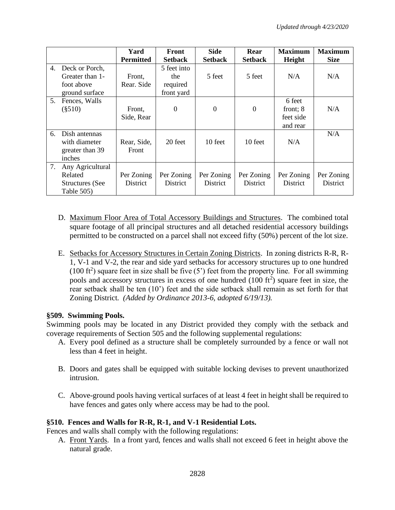|                |                                                                   | Yard<br><b>Permitted</b>      | Front<br><b>Setback</b>                      | <b>Side</b><br><b>Setback</b> | Rear<br><b>Setback</b> | <b>Maximum</b><br>Height                    | <b>Maximum</b><br><b>Size</b> |
|----------------|-------------------------------------------------------------------|-------------------------------|----------------------------------------------|-------------------------------|------------------------|---------------------------------------------|-------------------------------|
| 4.             | Deck or Porch,<br>Greater than 1-<br>foot above<br>ground surface | Front,<br>Rear. Side          | 5 feet into<br>the<br>required<br>front yard | 5 feet                        | 5 feet                 | N/A                                         | N/A                           |
| 5 <sub>1</sub> | Fences, Walls<br>$(\$510)$                                        | Front,<br>Side, Rear          | $\theta$                                     | $\boldsymbol{0}$              | $\theta$               | 6 feet<br>front; 8<br>feet side<br>and rear | N/A                           |
| 6.             | Dish antennas<br>with diameter<br>greater than 39<br>inches       | Rear, Side,<br>Front          | 20 feet                                      | 10 feet                       | 10 feet                | N/A                                         | N/A                           |
| 7.             | Any Agricultural<br>Related<br>Structures (See<br>Table 505)      | Per Zoning<br><b>District</b> | Per Zoning<br><b>District</b>                | Per Zoning<br><b>District</b> | Per Zoning<br>District | Per Zoning<br><b>District</b>               | Per Zoning<br>District        |

- D. Maximum Floor Area of Total Accessory Buildings and Structures. The combined total square footage of all principal structures and all detached residential accessory buildings permitted to be constructed on a parcel shall not exceed fifty (50%) percent of the lot size.
- E. Setbacks for Accessory Structures in Certain Zoning Districts. In zoning districts R-R, R-1, V-1 and V-2, the rear and side yard setbacks for accessory structures up to one hundred  $(100 \text{ ft}^2)$  square feet in size shall be five (5') feet from the property line. For all swimming pools and accessory structures in excess of one hundred  $(100 \text{ ft}^2)$  square feet in size, the rear setback shall be ten (10') feet and the side setback shall remain as set forth for that Zoning District. *(Added by Ordinance 2013-6, adopted 6/19/13).*

# **§509. Swimming Pools.**

Swimming pools may be located in any District provided they comply with the setback and coverage requirements of Section 505 and the following supplemental regulations:

- A. Every pool defined as a structure shall be completely surrounded by a fence or wall not less than 4 feet in height.
- B. Doors and gates shall be equipped with suitable locking devises to prevent unauthorized intrusion.
- C. Above-ground pools having vertical surfaces of at least 4 feet in height shall be required to have fences and gates only where access may be had to the pool.

# **§510. Fences and Walls for R-R, R-1, and V-1 Residential Lots.**

Fences and walls shall comply with the following regulations:

A. Front Yards. In a front yard, fences and walls shall not exceed 6 feet in height above the natural grade.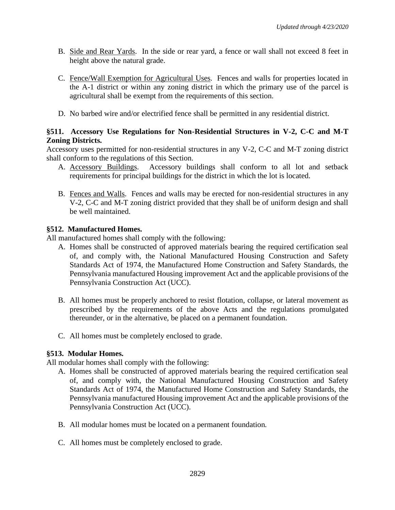- B. Side and Rear Yards. In the side or rear yard, a fence or wall shall not exceed 8 feet in height above the natural grade.
- C. Fence/Wall Exemption for Agricultural Uses. Fences and walls for properties located in the A-1 district or within any zoning district in which the primary use of the parcel is agricultural shall be exempt from the requirements of this section.
- D. No barbed wire and/or electrified fence shall be permitted in any residential district.

# **§511. Accessory Use Regulations for Non-Residential Structures in V-2, C-C and M-T Zoning Districts.**

Accessory uses permitted for non-residential structures in any V-2, C-C and M-T zoning district shall conform to the regulations of this Section.

- A. Accessory Buildings. Accessory buildings shall conform to all lot and setback requirements for principal buildings for the district in which the lot is located.
- B. Fences and Walls. Fences and walls may be erected for non-residential structures in any V-2, C-C and M-T zoning district provided that they shall be of uniform design and shall be well maintained.

#### **§512. Manufactured Homes.**

All manufactured homes shall comply with the following:

- A. Homes shall be constructed of approved materials bearing the required certification seal of, and comply with, the National Manufactured Housing Construction and Safety Standards Act of 1974, the Manufactured Home Construction and Safety Standards, the Pennsylvania manufactured Housing improvement Act and the applicable provisions of the Pennsylvania Construction Act (UCC).
- B. All homes must be properly anchored to resist flotation, collapse, or lateral movement as prescribed by the requirements of the above Acts and the regulations promulgated thereunder, or in the alternative, be placed on a permanent foundation.
- C. All homes must be completely enclosed to grade.

# **§513. Modular Homes.**

All modular homes shall comply with the following:

- A. Homes shall be constructed of approved materials bearing the required certification seal of, and comply with, the National Manufactured Housing Construction and Safety Standards Act of 1974, the Manufactured Home Construction and Safety Standards, the Pennsylvania manufactured Housing improvement Act and the applicable provisions of the Pennsylvania Construction Act (UCC).
- B. All modular homes must be located on a permanent foundation.
- C. All homes must be completely enclosed to grade.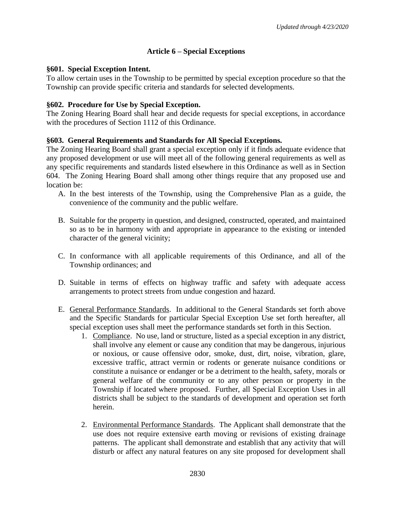# **Article 6 – Special Exceptions**

#### **§601. Special Exception Intent.**

To allow certain uses in the Township to be permitted by special exception procedure so that the Township can provide specific criteria and standards for selected developments.

#### **§602. Procedure for Use by Special Exception.**

The Zoning Hearing Board shall hear and decide requests for special exceptions, in accordance with the procedures of Section 1112 of this Ordinance.

# **§603. General Requirements and Standards for All Special Exceptions.**

The Zoning Hearing Board shall grant a special exception only if it finds adequate evidence that any proposed development or use will meet all of the following general requirements as well as any specific requirements and standards listed elsewhere in this Ordinance as well as in Section 604. The Zoning Hearing Board shall among other things require that any proposed use and location be:

- A. In the best interests of the Township, using the Comprehensive Plan as a guide, the convenience of the community and the public welfare.
- B. Suitable for the property in question, and designed, constructed, operated, and maintained so as to be in harmony with and appropriate in appearance to the existing or intended character of the general vicinity;
- C. In conformance with all applicable requirements of this Ordinance, and all of the Township ordinances; and
- D. Suitable in terms of effects on highway traffic and safety with adequate access arrangements to protect streets from undue congestion and hazard.
- E. General Performance Standards. In additional to the General Standards set forth above and the Specific Standards for particular Special Exception Use set forth hereafter, all special exception uses shall meet the performance standards set forth in this Section.
	- 1. Compliance. No use, land or structure, listed as a special exception in any district, shall involve any element or cause any condition that may be dangerous, injurious or noxious, or cause offensive odor, smoke, dust, dirt, noise, vibration, glare, excessive traffic, attract vermin or rodents or generate nuisance conditions or constitute a nuisance or endanger or be a detriment to the health, safety, morals or general welfare of the community or to any other person or property in the Township if located where proposed. Further, all Special Exception Uses in all districts shall be subject to the standards of development and operation set forth herein.
	- 2. Environmental Performance Standards. The Applicant shall demonstrate that the use does not require extensive earth moving or revisions of existing drainage patterns. The applicant shall demonstrate and establish that any activity that will disturb or affect any natural features on any site proposed for development shall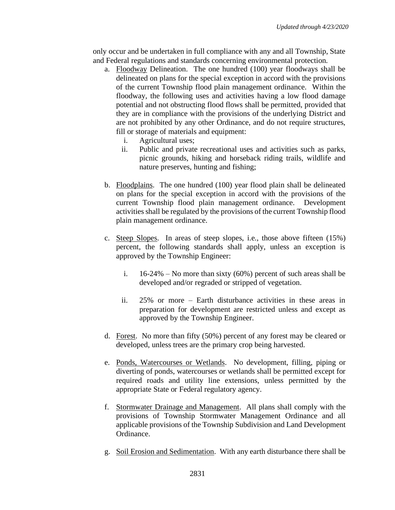only occur and be undertaken in full compliance with any and all Township, State and Federal regulations and standards concerning environmental protection.

- a. Floodway Delineation. The one hundred (100) year floodways shall be delineated on plans for the special exception in accord with the provisions of the current Township flood plain management ordinance. Within the floodway, the following uses and activities having a low flood damage potential and not obstructing flood flows shall be permitted, provided that they are in compliance with the provisions of the underlying District and are not prohibited by any other Ordinance, and do not require structures, fill or storage of materials and equipment:
	- i. Agricultural uses;
	- ii. Public and private recreational uses and activities such as parks, picnic grounds, hiking and horseback riding trails, wildlife and nature preserves, hunting and fishing;
- b. Floodplains. The one hundred (100) year flood plain shall be delineated on plans for the special exception in accord with the provisions of the current Township flood plain management ordinance. Development activities shall be regulated by the provisions of the current Township flood plain management ordinance.
- c. Steep Slopes. In areas of steep slopes, i.e., those above fifteen (15%) percent, the following standards shall apply, unless an exception is approved by the Township Engineer:
	- i.  $16-24\%$  No more than sixty (60%) percent of such areas shall be developed and/or regraded or stripped of vegetation.
	- ii. 25% or more Earth disturbance activities in these areas in preparation for development are restricted unless and except as approved by the Township Engineer.
- d. Forest. No more than fifty (50%) percent of any forest may be cleared or developed, unless trees are the primary crop being harvested.
- e. Ponds, Watercourses or Wetlands. No development, filling, piping or diverting of ponds, watercourses or wetlands shall be permitted except for required roads and utility line extensions, unless permitted by the appropriate State or Federal regulatory agency.
- f. Stormwater Drainage and Management. All plans shall comply with the provisions of Township Stormwater Management Ordinance and all applicable provisions of the Township Subdivision and Land Development Ordinance.
- g. Soil Erosion and Sedimentation. With any earth disturbance there shall be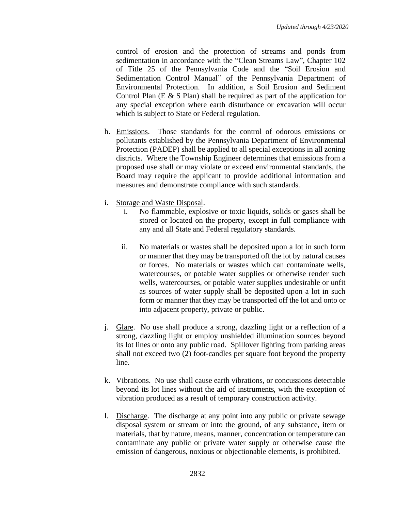control of erosion and the protection of streams and ponds from sedimentation in accordance with the "Clean Streams Law", Chapter 102 of Title 25 of the Pennsylvania Code and the "Soil Erosion and Sedimentation Control Manual" of the Pennsylvania Department of Environmental Protection. In addition, a Soil Erosion and Sediment Control Plan (E & S Plan) shall be required as part of the application for any special exception where earth disturbance or excavation will occur which is subject to State or Federal regulation.

- h. Emissions. Those standards for the control of odorous emissions or pollutants established by the Pennsylvania Department of Environmental Protection (PADEP) shall be applied to all special exceptions in all zoning districts. Where the Township Engineer determines that emissions from a proposed use shall or may violate or exceed environmental standards, the Board may require the applicant to provide additional information and measures and demonstrate compliance with such standards.
- i. Storage and Waste Disposal.
	- i. No flammable, explosive or toxic liquids, solids or gases shall be stored or located on the property, except in full compliance with any and all State and Federal regulatory standards.
	- ii. No materials or wastes shall be deposited upon a lot in such form or manner that they may be transported off the lot by natural causes or forces. No materials or wastes which can contaminate wells, watercourses, or potable water supplies or otherwise render such wells, watercourses, or potable water supplies undesirable or unfit as sources of water supply shall be deposited upon a lot in such form or manner that they may be transported off the lot and onto or into adjacent property, private or public.
- j. Glare. No use shall produce a strong, dazzling light or a reflection of a strong, dazzling light or employ unshielded illumination sources beyond its lot lines or onto any public road. Spillover lighting from parking areas shall not exceed two (2) foot-candles per square foot beyond the property line.
- k. Vibrations. No use shall cause earth vibrations, or concussions detectable beyond its lot lines without the aid of instruments, with the exception of vibration produced as a result of temporary construction activity.
- l. Discharge. The discharge at any point into any public or private sewage disposal system or stream or into the ground, of any substance, item or materials, that by nature, means, manner, concentration or temperature can contaminate any public or private water supply or otherwise cause the emission of dangerous, noxious or objectionable elements, is prohibited.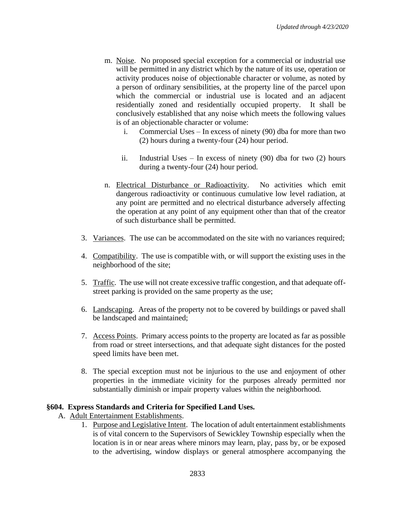- m. Noise. No proposed special exception for a commercial or industrial use will be permitted in any district which by the nature of its use, operation or activity produces noise of objectionable character or volume, as noted by a person of ordinary sensibilities, at the property line of the parcel upon which the commercial or industrial use is located and an adjacent residentially zoned and residentially occupied property. It shall be conclusively established that any noise which meets the following values is of an objectionable character or volume:
	- i. Commercial Uses In excess of ninety (90) dba for more than two (2) hours during a twenty-four (24) hour period.
	- ii. Industrial Uses In excess of ninety (90) dba for two (2) hours during a twenty-four (24) hour period.
- n. Electrical Disturbance or Radioactivity. No activities which emit dangerous radioactivity or continuous cumulative low level radiation, at any point are permitted and no electrical disturbance adversely affecting the operation at any point of any equipment other than that of the creator of such disturbance shall be permitted.
- 3. Variances. The use can be accommodated on the site with no variances required;
- 4. Compatibility. The use is compatible with, or will support the existing uses in the neighborhood of the site;
- 5. Traffic. The use will not create excessive traffic congestion, and that adequate offstreet parking is provided on the same property as the use;
- 6. Landscaping. Areas of the property not to be covered by buildings or paved shall be landscaped and maintained;
- 7. Access Points. Primary access points to the property are located as far as possible from road or street intersections, and that adequate sight distances for the posted speed limits have been met.
- 8. The special exception must not be injurious to the use and enjoyment of other properties in the immediate vicinity for the purposes already permitted nor substantially diminish or impair property values within the neighborhood.

#### **§604. Express Standards and Criteria for Specified Land Uses.**

- A. Adult Entertainment Establishments.
	- 1. Purpose and Legislative Intent. The location of adult entertainment establishments is of vital concern to the Supervisors of Sewickley Township especially when the location is in or near areas where minors may learn, play, pass by, or be exposed to the advertising, window displays or general atmosphere accompanying the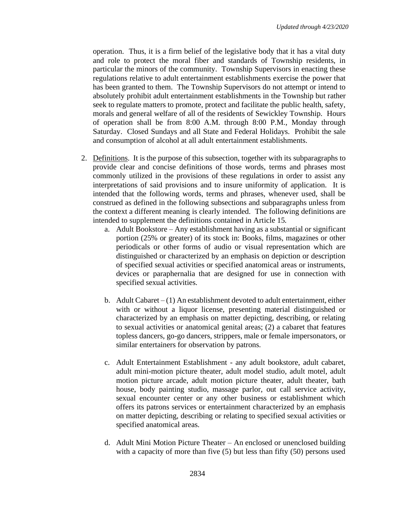operation. Thus, it is a firm belief of the legislative body that it has a vital duty and role to protect the moral fiber and standards of Township residents, in particular the minors of the community. Township Supervisors in enacting these regulations relative to adult entertainment establishments exercise the power that has been granted to them. The Township Supervisors do not attempt or intend to absolutely prohibit adult entertainment establishments in the Township but rather seek to regulate matters to promote, protect and facilitate the public health, safety, morals and general welfare of all of the residents of Sewickley Township. Hours of operation shall be from 8:00 A.M. through 8:00 P.M., Monday through Saturday. Closed Sundays and all State and Federal Holidays. Prohibit the sale and consumption of alcohol at all adult entertainment establishments.

- 2. Definitions. It is the purpose of this subsection, together with its subparagraphs to provide clear and concise definitions of those words, terms and phrases most commonly utilized in the provisions of these regulations in order to assist any interpretations of said provisions and to insure uniformity of application. It is intended that the following words, terms and phrases, whenever used, shall be construed as defined in the following subsections and subparagraphs unless from the context a different meaning is clearly intended. The following definitions are intended to supplement the definitions contained in Article 15.
	- a. Adult Bookstore Any establishment having as a substantial or significant portion (25% or greater) of its stock in: Books, films, magazines or other periodicals or other forms of audio or visual representation which are distinguished or characterized by an emphasis on depiction or description of specified sexual activities or specified anatomical areas or instruments, devices or paraphernalia that are designed for use in connection with specified sexual activities.
	- b. Adult Cabaret  $-(1)$  An establishment devoted to adult entertainment, either with or without a liquor license, presenting material distinguished or characterized by an emphasis on matter depicting, describing, or relating to sexual activities or anatomical genital areas; (2) a cabaret that features topless dancers, go-go dancers, strippers, male or female impersonators, or similar entertainers for observation by patrons.
	- c. Adult Entertainment Establishment any adult bookstore, adult cabaret, adult mini-motion picture theater, adult model studio, adult motel, adult motion picture arcade, adult motion picture theater, adult theater, bath house, body painting studio, massage parlor, out call service activity, sexual encounter center or any other business or establishment which offers its patrons services or entertainment characterized by an emphasis on matter depicting, describing or relating to specified sexual activities or specified anatomical areas.
	- d. Adult Mini Motion Picture Theater An enclosed or unenclosed building with a capacity of more than five (5) but less than fifty (50) persons used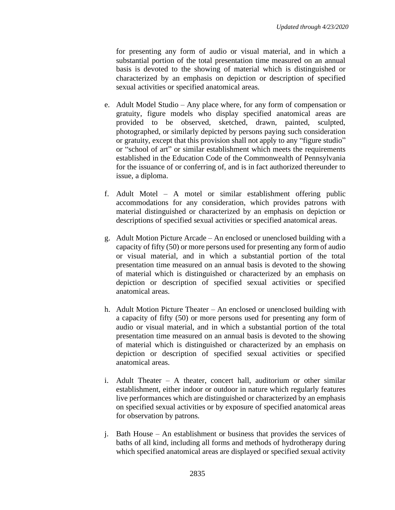for presenting any form of audio or visual material, and in which a substantial portion of the total presentation time measured on an annual basis is devoted to the showing of material which is distinguished or characterized by an emphasis on depiction or description of specified sexual activities or specified anatomical areas.

- e. Adult Model Studio Any place where, for any form of compensation or gratuity, figure models who display specified anatomical areas are provided to be observed, sketched, drawn, painted, sculpted, photographed, or similarly depicted by persons paying such consideration or gratuity, except that this provision shall not apply to any "figure studio" or "school of art" or similar establishment which meets the requirements established in the Education Code of the Commonwealth of Pennsylvania for the issuance of or conferring of, and is in fact authorized thereunder to issue, a diploma.
- f. Adult Motel A motel or similar establishment offering public accommodations for any consideration, which provides patrons with material distinguished or characterized by an emphasis on depiction or descriptions of specified sexual activities or specified anatomical areas.
- g. Adult Motion Picture Arcade An enclosed or unenclosed building with a capacity of fifty (50) or more persons used for presenting any form of audio or visual material, and in which a substantial portion of the total presentation time measured on an annual basis is devoted to the showing of material which is distinguished or characterized by an emphasis on depiction or description of specified sexual activities or specified anatomical areas.
- h. Adult Motion Picture Theater An enclosed or unenclosed building with a capacity of fifty (50) or more persons used for presenting any form of audio or visual material, and in which a substantial portion of the total presentation time measured on an annual basis is devoted to the showing of material which is distinguished or characterized by an emphasis on depiction or description of specified sexual activities or specified anatomical areas.
- i. Adult Theater A theater, concert hall, auditorium or other similar establishment, either indoor or outdoor in nature which regularly features live performances which are distinguished or characterized by an emphasis on specified sexual activities or by exposure of specified anatomical areas for observation by patrons.
- j. Bath House An establishment or business that provides the services of baths of all kind, including all forms and methods of hydrotherapy during which specified anatomical areas are displayed or specified sexual activity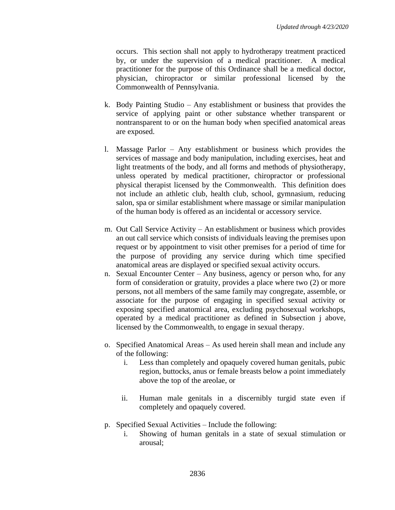occurs. This section shall not apply to hydrotherapy treatment practiced by, or under the supervision of a medical practitioner. A medical practitioner for the purpose of this Ordinance shall be a medical doctor, physician, chiropractor or similar professional licensed by the Commonwealth of Pennsylvania.

- k. Body Painting Studio Any establishment or business that provides the service of applying paint or other substance whether transparent or nontransparent to or on the human body when specified anatomical areas are exposed.
- l. Massage Parlor Any establishment or business which provides the services of massage and body manipulation, including exercises, heat and light treatments of the body, and all forms and methods of physiotherapy, unless operated by medical practitioner, chiropractor or professional physical therapist licensed by the Commonwealth. This definition does not include an athletic club, health club, school, gymnasium, reducing salon, spa or similar establishment where massage or similar manipulation of the human body is offered as an incidental or accessory service.
- m. Out Call Service Activity An establishment or business which provides an out call service which consists of individuals leaving the premises upon request or by appointment to visit other premises for a period of time for the purpose of providing any service during which time specified anatomical areas are displayed or specified sexual activity occurs.
- n. Sexual Encounter Center Any business, agency or person who, for any form of consideration or gratuity, provides a place where two (2) or more persons, not all members of the same family may congregate, assemble, or associate for the purpose of engaging in specified sexual activity or exposing specified anatomical area, excluding psychosexual workshops, operated by a medical practitioner as defined in Subsection j above, licensed by the Commonwealth, to engage in sexual therapy.
- o. Specified Anatomical Areas As used herein shall mean and include any of the following:
	- i. Less than completely and opaquely covered human genitals, pubic region, buttocks, anus or female breasts below a point immediately above the top of the areolae, or
	- ii. Human male genitals in a discernibly turgid state even if completely and opaquely covered.
- p. Specified Sexual Activities Include the following:
	- i. Showing of human genitals in a state of sexual stimulation or arousal;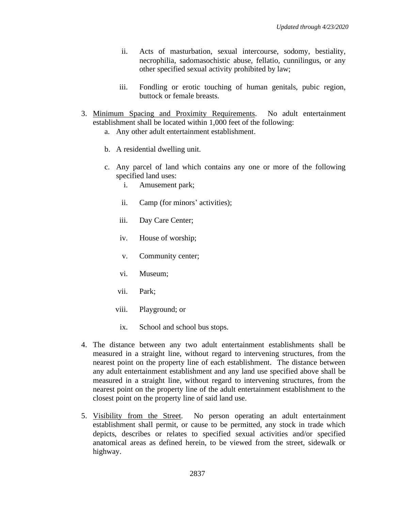- ii. Acts of masturbation, sexual intercourse, sodomy, bestiality, necrophilia, sadomasochistic abuse, fellatio, cunnilingus, or any other specified sexual activity prohibited by law;
- iii. Fondling or erotic touching of human genitals, pubic region, buttock or female breasts.
- 3. Minimum Spacing and Proximity Requirements. No adult entertainment establishment shall be located within 1,000 feet of the following:
	- a. Any other adult entertainment establishment.
	- b. A residential dwelling unit.
	- c. Any parcel of land which contains any one or more of the following specified land uses:
		- i. Amusement park;
		- ii. Camp (for minors' activities);
		- iii. Day Care Center;
		- iv. House of worship;
		- v. Community center;
		- vi. Museum;
		- vii. Park;
		- viii. Playground; or
		- ix. School and school bus stops.
- 4. The distance between any two adult entertainment establishments shall be measured in a straight line, without regard to intervening structures, from the nearest point on the property line of each establishment. The distance between any adult entertainment establishment and any land use specified above shall be measured in a straight line, without regard to intervening structures, from the nearest point on the property line of the adult entertainment establishment to the closest point on the property line of said land use.
- 5. Visibility from the Street. No person operating an adult entertainment establishment shall permit, or cause to be permitted, any stock in trade which depicts, describes or relates to specified sexual activities and/or specified anatomical areas as defined herein, to be viewed from the street, sidewalk or highway.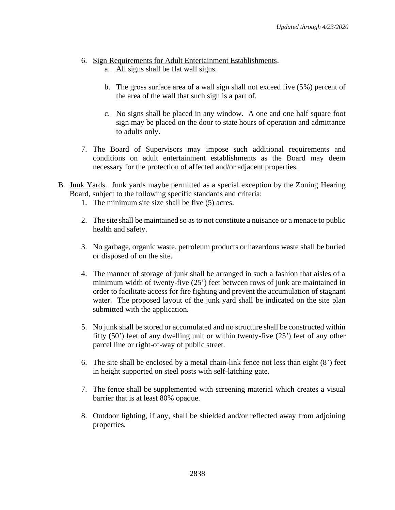- 6. Sign Requirements for Adult Entertainment Establishments.
	- a. All signs shall be flat wall signs.
	- b. The gross surface area of a wall sign shall not exceed five (5%) percent of the area of the wall that such sign is a part of.
	- c. No signs shall be placed in any window. A one and one half square foot sign may be placed on the door to state hours of operation and admittance to adults only.
- 7. The Board of Supervisors may impose such additional requirements and conditions on adult entertainment establishments as the Board may deem necessary for the protection of affected and/or adjacent properties.
- B. Junk Yards. Junk yards maybe permitted as a special exception by the Zoning Hearing Board, subject to the following specific standards and criteria:
	- 1. The minimum site size shall be five (5) acres.
	- 2. The site shall be maintained so as to not constitute a nuisance or a menace to public health and safety.
	- 3. No garbage, organic waste, petroleum products or hazardous waste shall be buried or disposed of on the site.
	- 4. The manner of storage of junk shall be arranged in such a fashion that aisles of a minimum width of twenty-five (25') feet between rows of junk are maintained in order to facilitate access for fire fighting and prevent the accumulation of stagnant water. The proposed layout of the junk yard shall be indicated on the site plan submitted with the application.
	- 5. No junk shall be stored or accumulated and no structure shall be constructed within fifty (50') feet of any dwelling unit or within twenty-five (25') feet of any other parcel line or right-of-way of public street.
	- 6. The site shall be enclosed by a metal chain-link fence not less than eight (8') feet in height supported on steel posts with self-latching gate.
	- 7. The fence shall be supplemented with screening material which creates a visual barrier that is at least 80% opaque.
	- 8. Outdoor lighting, if any, shall be shielded and/or reflected away from adjoining properties.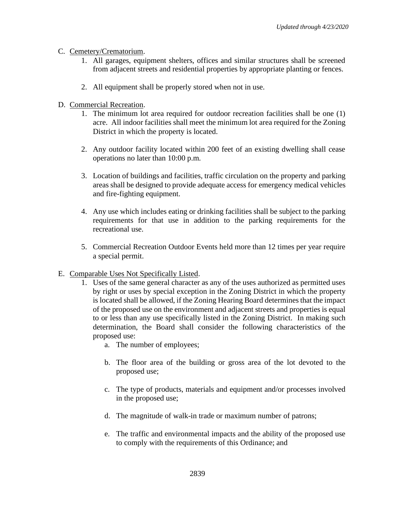- C. Cemetery/Crematorium.
	- 1. All garages, equipment shelters, offices and similar structures shall be screened from adjacent streets and residential properties by appropriate planting or fences.
	- 2. All equipment shall be properly stored when not in use.
- D. Commercial Recreation.
	- 1. The minimum lot area required for outdoor recreation facilities shall be one (1) acre. All indoor facilities shall meet the minimum lot area required for the Zoning District in which the property is located.
	- 2. Any outdoor facility located within 200 feet of an existing dwelling shall cease operations no later than 10:00 p.m.
	- 3. Location of buildings and facilities, traffic circulation on the property and parking areas shall be designed to provide adequate access for emergency medical vehicles and fire-fighting equipment.
	- 4. Any use which includes eating or drinking facilities shall be subject to the parking requirements for that use in addition to the parking requirements for the recreational use.
	- 5. Commercial Recreation Outdoor Events held more than 12 times per year require a special permit.
- E. Comparable Uses Not Specifically Listed.
	- 1. Uses of the same general character as any of the uses authorized as permitted uses by right or uses by special exception in the Zoning District in which the property is located shall be allowed, if the Zoning Hearing Board determines that the impact of the proposed use on the environment and adjacent streets and properties is equal to or less than any use specifically listed in the Zoning District. In making such determination, the Board shall consider the following characteristics of the proposed use:
		- a. The number of employees;
		- b. The floor area of the building or gross area of the lot devoted to the proposed use;
		- c. The type of products, materials and equipment and/or processes involved in the proposed use;
		- d. The magnitude of walk-in trade or maximum number of patrons;
		- e. The traffic and environmental impacts and the ability of the proposed use to comply with the requirements of this Ordinance; and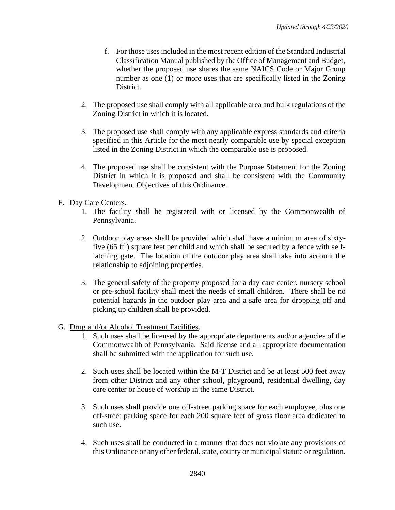- f. For those uses included in the most recent edition of the Standard Industrial Classification Manual published by the Office of Management and Budget, whether the proposed use shares the same NAICS Code or Major Group number as one (1) or more uses that are specifically listed in the Zoning District.
- 2. The proposed use shall comply with all applicable area and bulk regulations of the Zoning District in which it is located.
- 3. The proposed use shall comply with any applicable express standards and criteria specified in this Article for the most nearly comparable use by special exception listed in the Zoning District in which the comparable use is proposed.
- 4. The proposed use shall be consistent with the Purpose Statement for the Zoning District in which it is proposed and shall be consistent with the Community Development Objectives of this Ordinance.
- F. Day Care Centers.
	- 1. The facility shall be registered with or licensed by the Commonwealth of Pennsylvania.
	- 2. Outdoor play areas shall be provided which shall have a minimum area of sixtyfive  $(65 \text{ ft}^2)$  square feet per child and which shall be secured by a fence with selflatching gate. The location of the outdoor play area shall take into account the relationship to adjoining properties.
	- 3. The general safety of the property proposed for a day care center, nursery school or pre-school facility shall meet the needs of small children. There shall be no potential hazards in the outdoor play area and a safe area for dropping off and picking up children shall be provided.
- G. Drug and/or Alcohol Treatment Facilities.
	- 1. Such uses shall be licensed by the appropriate departments and/or agencies of the Commonwealth of Pennsylvania. Said license and all appropriate documentation shall be submitted with the application for such use.
	- 2. Such uses shall be located within the M-T District and be at least 500 feet away from other District and any other school, playground, residential dwelling, day care center or house of worship in the same District.
	- 3. Such uses shall provide one off-street parking space for each employee, plus one off-street parking space for each 200 square feet of gross floor area dedicated to such use.
	- 4. Such uses shall be conducted in a manner that does not violate any provisions of this Ordinance or any other federal, state, county or municipal statute or regulation.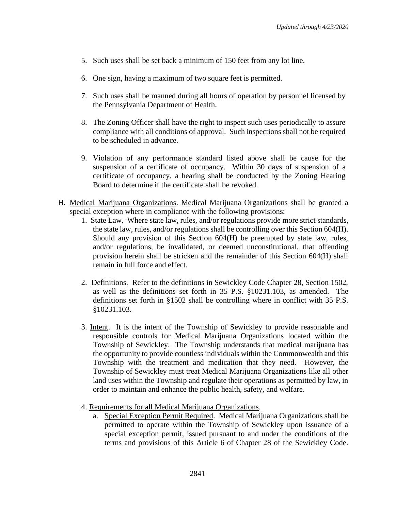- 5. Such uses shall be set back a minimum of 150 feet from any lot line.
- 6. One sign, having a maximum of two square feet is permitted.
- 7. Such uses shall be manned during all hours of operation by personnel licensed by the Pennsylvania Department of Health.
- 8. The Zoning Officer shall have the right to inspect such uses periodically to assure compliance with all conditions of approval. Such inspections shall not be required to be scheduled in advance.
- 9. Violation of any performance standard listed above shall be cause for the suspension of a certificate of occupancy. Within 30 days of suspension of a certificate of occupancy, a hearing shall be conducted by the Zoning Hearing Board to determine if the certificate shall be revoked.
- H. Medical Marijuana Organizations. Medical Marijuana Organizations shall be granted a special exception where in compliance with the following provisions:
	- 1. State Law. Where state law, rules, and/or regulations provide more strict standards, the state law, rules, and/or regulations shall be controlling over this Section 604(H). Should any provision of this Section 604(H) be preempted by state law, rules, and/or regulations, be invalidated, or deemed unconstitutional, that offending provision herein shall be stricken and the remainder of this Section 604(H) shall remain in full force and effect.
	- 2. Definitions. Refer to the definitions in Sewickley Code Chapter 28, Section 1502, as well as the definitions set forth in 35 P.S. §10231.103, as amended. The definitions set forth in §1502 shall be controlling where in conflict with 35 P.S. §10231.103.
	- 3. Intent. It is the intent of the Township of Sewickley to provide reasonable and responsible controls for Medical Marijuana Organizations located within the Township of Sewickley. The Township understands that medical marijuana has the opportunity to provide countless individuals within the Commonwealth and this Township with the treatment and medication that they need. However, the Township of Sewickley must treat Medical Marijuana Organizations like all other land uses within the Township and regulate their operations as permitted by law, in order to maintain and enhance the public health, safety, and welfare.
	- 4. Requirements for all Medical Marijuana Organizations.
		- a. Special Exception Permit Required. Medical Marijuana Organizations shall be permitted to operate within the Township of Sewickley upon issuance of a special exception permit, issued pursuant to and under the conditions of the terms and provisions of this Article 6 of Chapter 28 of the Sewickley Code.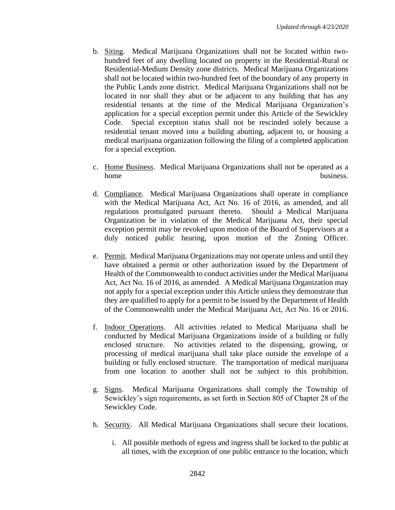- b. Siting. Medical Marijuana Organizations shall not be located within twohundred feet of any dwelling located on property in the Residential-Rural or Residential-Medium Density zone districts. Medical Marijuana Organizations shall not be located within two-hundred feet of the boundary of any property in the Public Lands zone district. Medical Marijuana Organizations shall not be located in nor shall they abut or be adjacent to any building that has any residential tenants at the time of the Medical Marijuana Organization's application for a special exception permit under this Article of the Sewickley Code. Special exception status shall not be rescinded solely because a residential tenant moved into a building abutting, adjacent to, or housing a medical marijuana organization following the filing of a completed application for a special exception.
- c. Home Business. Medical Marijuana Organizations shall not be operated as a home business.
- d. Compliance. Medical Marijuana Organizations shall operate in compliance with the Medical Marijuana Act, Act No. 16 of 2016, as amended, and all regulations promulgated pursuant thereto. Should a Medical Marijuana Organization be in violation of the Medical Marijuana Act, their special exception permit may be revoked upon motion of the Board of Supervisors at a duly noticed public hearing, upon motion of the Zoning Officer.
- e. Permit. Medical Marijuana Organizations may not operate unless and until they have obtained a permit or other authorization issued by the Department of Health of the Commonwealth to conduct activities under the Medical Marijuana Act, Act No. 16 of 2016, as amended. A Medical Marijuana Organization may not apply for a special exception under this Article unless they demonstrate that they are qualified to apply for a permit to be issued by the Department of Health of the Commonwealth under the Medical Marijuana Act, Act No. 16 or 2016.
- f. Indoor Operations. All activities related to Medical Marijuana shall be conducted by Medical Marijuana Organizations inside of a building or fully enclosed structure. No activities related to the dispensing, growing, or processing of medical marijuana shall take place outside the envelope of a building or fully enclosed structure. The transportation of medical marijuana from one location to another shall not be subject to this prohibition.
- g. Signs. Medical Marijuana Organizations shall comply the Township of Sewickley's sign requirements, as set forth in Section 805 of Chapter 28 of the Sewickley Code.
- h. Security. All Medical Marijuana Organizations shall secure their locations.
	- i. All possible methods of egress and ingress shall be locked to the public at all times, with the exception of one public entrance to the location, which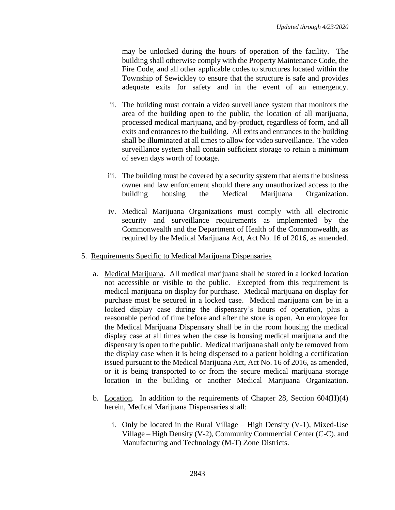may be unlocked during the hours of operation of the facility. The building shall otherwise comply with the Property Maintenance Code, the Fire Code, and all other applicable codes to structures located within the Township of Sewickley to ensure that the structure is safe and provides adequate exits for safety and in the event of an emergency.

- ii. The building must contain a video surveillance system that monitors the area of the building open to the public, the location of all marijuana, processed medical marijuana, and by-product, regardless of form, and all exits and entrances to the building. All exits and entrances to the building shall be illuminated at all times to allow for video surveillance. The video surveillance system shall contain sufficient storage to retain a minimum of seven days worth of footage.
- iii. The building must be covered by a security system that alerts the business owner and law enforcement should there any unauthorized access to the building housing the Medical Marijuana Organization.
- iv. Medical Marijuana Organizations must comply with all electronic security and surveillance requirements as implemented by the Commonwealth and the Department of Health of the Commonwealth, as required by the Medical Marijuana Act, Act No. 16 of 2016, as amended.
- 5. Requirements Specific to Medical Marijuana Dispensaries
	- a. Medical Marijuana. All medical marijuana shall be stored in a locked location not accessible or visible to the public. Excepted from this requirement is medical marijuana on display for purchase. Medical marijuana on display for purchase must be secured in a locked case. Medical marijuana can be in a locked display case during the dispensary's hours of operation, plus a reasonable period of time before and after the store is open. An employee for the Medical Marijuana Dispensary shall be in the room housing the medical display case at all times when the case is housing medical marijuana and the dispensary is open to the public. Medical marijuana shall only be removed from the display case when it is being dispensed to a patient holding a certification issued pursuant to the Medical Marijuana Act, Act No. 16 of 2016, as amended, or it is being transported to or from the secure medical marijuana storage location in the building or another Medical Marijuana Organization.
	- b. Location. In addition to the requirements of Chapter 28, Section  $604(H)(4)$ herein, Medical Marijuana Dispensaries shall:
		- i. Only be located in the Rural Village High Density (V-1), Mixed-Use Village – High Density (V-2), Community Commercial Center (C-C), and Manufacturing and Technology (M-T) Zone Districts.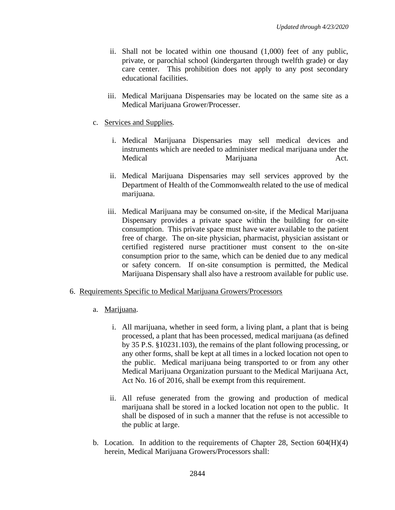- ii. Shall not be located within one thousand (1,000) feet of any public, private, or parochial school (kindergarten through twelfth grade) or day care center. This prohibition does not apply to any post secondary educational facilities.
- iii. Medical Marijuana Dispensaries may be located on the same site as a Medical Marijuana Grower/Processer.
- c. Services and Supplies*.*
	- i. Medical Marijuana Dispensaries may sell medical devices and instruments which are needed to administer medical marijuana under the Medical Marijuana Act.
	- ii. Medical Marijuana Dispensaries may sell services approved by the Department of Health of the Commonwealth related to the use of medical marijuana.
	- iii. Medical Marijuana may be consumed on-site, if the Medical Marijuana Dispensary provides a private space within the building for on-site consumption. This private space must have water available to the patient free of charge. The on-site physician, pharmacist, physician assistant or certified registered nurse practitioner must consent to the on-site consumption prior to the same, which can be denied due to any medical or safety concern. If on-site consumption is permitted, the Medical Marijuana Dispensary shall also have a restroom available for public use.
- 6. Requirements Specific to Medical Marijuana Growers/Processors
	- a. Marijuana.
		- i. All marijuana, whether in seed form, a living plant, a plant that is being processed, a plant that has been processed, medical marijuana (as defined by 35 P.S. §10231.103), the remains of the plant following processing, or any other forms, shall be kept at all times in a locked location not open to the public. Medical marijuana being transported to or from any other Medical Marijuana Organization pursuant to the Medical Marijuana Act, Act No. 16 of 2016, shall be exempt from this requirement.
		- ii. All refuse generated from the growing and production of medical marijuana shall be stored in a locked location not open to the public. It shall be disposed of in such a manner that the refuse is not accessible to the public at large.
	- b. Location. In addition to the requirements of Chapter 28, Section  $604(H)(4)$ herein, Medical Marijuana Growers/Processors shall: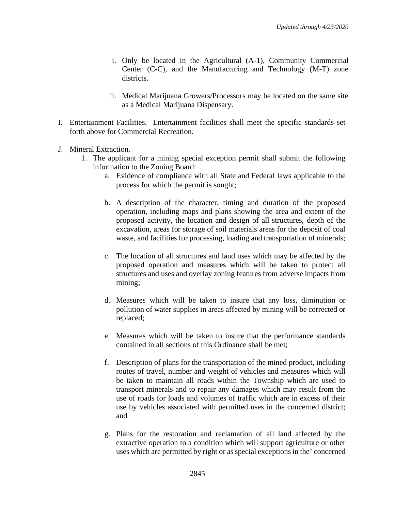- i. Only be located in the Agricultural (A-1), Community Commercial Center (C-C), and the Manufacturing and Technology (M-T) zone districts.
- ii. Medical Marijuana Growers/Processors may be located on the same site as a Medical Marijuana Dispensary.
- I. Entertainment Facilities. Entertainment facilities shall meet the specific standards set forth above for Commercial Recreation.
- J. Mineral Extraction.
	- 1. The applicant for a mining special exception permit shall submit the following information to the Zoning Board:
		- a. Evidence of compliance with all State and Federal laws applicable to the process for which the permit is sought;
		- b. A description of the character, timing and duration of the proposed operation, including maps and plans showing the area and extent of the proposed activity, the location and design of all structures, depth of the excavation, areas for storage of soil materials areas for the deposit of coal waste, and facilities for processing, loading and transportation of minerals;
		- c. The location of all structures and land uses which may be affected by the proposed operation and measures which will be taken to protect all structures and uses and overlay zoning features from adverse impacts from mining;
		- d. Measures which will be taken to insure that any loss, diminution or pollution of water supplies in areas affected by mining will be corrected or replaced;
		- e. Measures which will be taken to insure that the performance standards contained in all sections of this Ordinance shall be met;
		- f. Description of plans for the transportation of the mined product, including routes of travel, number and weight of vehicles and measures which will be taken to maintain all roads within the Township which are used to transport minerals and to repair any damages which may result from the use of roads for loads and volumes of traffic which are in excess of their use by vehicles associated with permitted uses in the concerned district; and
		- g. Plans for the restoration and reclamation of all land affected by the extractive operation to a condition which will support agriculture or other uses which are permitted by right or as special exceptions in the' concerned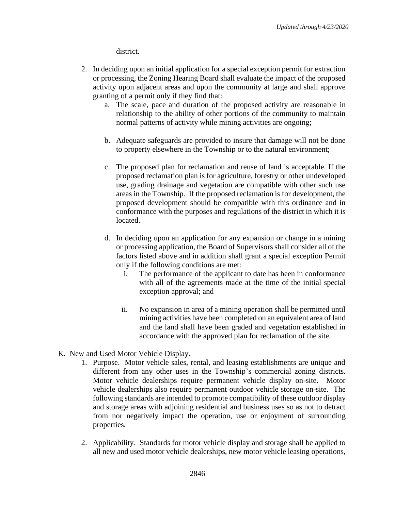district.

- 2. In deciding upon an initial application for a special exception permit for extraction or processing, the Zoning Hearing Board shall evaluate the impact of the proposed activity upon adjacent areas and upon the community at large and shall approve granting of a permit only if they find that:
	- a. The scale, pace and duration of the proposed activity are reasonable in relationship to the ability of other portions of the community to maintain normal patterns of activity while mining activities are ongoing;
	- b. Adequate safeguards are provided to insure that damage will not be done to property elsewhere in the Township or to the natural environment;
	- c. The proposed plan for reclamation and reuse of land is acceptable. If the proposed reclamation plan is for agriculture, forestry or other undeveloped use, grading drainage and vegetation are compatible with other such use areas in the Township. If the proposed reclamation is for development, the proposed development should be compatible with this ordinance and in conformance with the purposes and regulations of the district in which it is located.
	- d. In deciding upon an application for any expansion or change in a mining or processing application, the Board of Supervisors shall consider all of the factors listed above and in addition shall grant a special exception Permit only if the following conditions are met:
		- i. The performance of the applicant to date has been in conformance with all of the agreements made at the time of the initial special exception approval; and
		- ii. No expansion in area of a mining operation shall be permitted until mining activities have been completed on an equivalent area of land and the land shall have been graded and vegetation established in accordance with the approved plan for reclamation of the site.
- K. New and Used Motor Vehicle Display.
	- 1. Purpose. Motor vehicle sales, rental, and leasing establishments are unique and different from any other uses in the Township's commercial zoning districts. Motor vehicle dealerships require permanent vehicle display on-site. Motor vehicle dealerships also require permanent outdoor vehicle storage on-site. The following standards are intended to promote compatibility of these outdoor display and storage areas with adjoining residential and business uses so as not to detract from nor negatively impact the operation, use or enjoyment of surrounding properties.
	- 2. Applicability. Standards for motor vehicle display and storage shall be applied to all new and used motor vehicle dealerships, new motor vehicle leasing operations,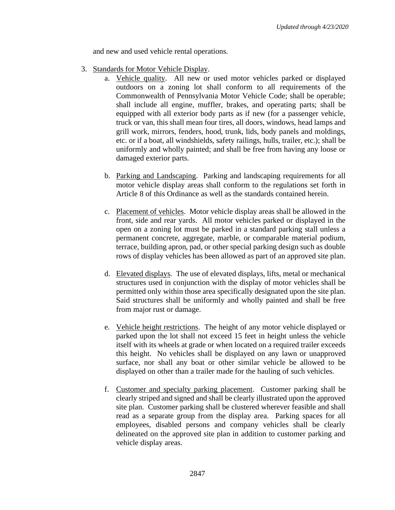and new and used vehicle rental operations.

- 3. Standards for Motor Vehicle Display.
	- a. Vehicle quality. All new or used motor vehicles parked or displayed outdoors on a zoning lot shall conform to all requirements of the Commonwealth of Pennsylvania Motor Vehicle Code; shall be operable; shall include all engine, muffler, brakes, and operating parts; shall be equipped with all exterior body parts as if new (for a passenger vehicle, truck or van, this shall mean four tires, all doors, windows, head lamps and grill work, mirrors, fenders, hood, trunk, lids, body panels and moldings, etc. or if a boat, all windshields, safety railings, hulls, trailer, etc.); shall be uniformly and wholly painted; and shall be free from having any loose or damaged exterior parts.
	- b. Parking and Landscaping. Parking and landscaping requirements for all motor vehicle display areas shall conform to the regulations set forth in Article 8 of this Ordinance as well as the standards contained herein.
	- c. Placement of vehicles. Motor vehicle display areas shall be allowed in the front, side and rear yards. All motor vehicles parked or displayed in the open on a zoning lot must be parked in a standard parking stall unless a permanent concrete, aggregate, marble, or comparable material podium, terrace, building apron, pad, or other special parking design such as double rows of display vehicles has been allowed as part of an approved site plan.
	- d. Elevated displays. The use of elevated displays, lifts, metal or mechanical structures used in conjunction with the display of motor vehicles shall be permitted only within those area specifically designated upon the site plan. Said structures shall be uniformly and wholly painted and shall be free from major rust or damage.
	- e. Vehicle height restrictions. The height of any motor vehicle displayed or parked upon the lot shall not exceed 15 feet in height unless the vehicle itself with its wheels at grade or when located on a required trailer exceeds this height. No vehicles shall be displayed on any lawn or unapproved surface, nor shall any boat or other similar vehicle be allowed to be displayed on other than a trailer made for the hauling of such vehicles.
	- f. Customer and specialty parking placement. Customer parking shall be clearly striped and signed and shall be clearly illustrated upon the approved site plan. Customer parking shall be clustered wherever feasible and shall read as a separate group from the display area. Parking spaces for all employees, disabled persons and company vehicles shall be clearly delineated on the approved site plan in addition to customer parking and vehicle display areas.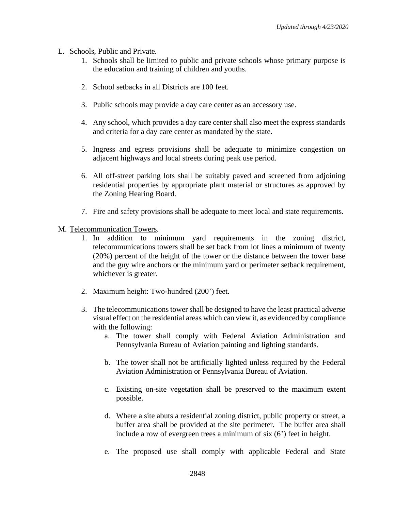- L. Schools, Public and Private.
	- 1. Schools shall be limited to public and private schools whose primary purpose is the education and training of children and youths.
	- 2. School setbacks in all Districts are 100 feet.
	- 3. Public schools may provide a day care center as an accessory use.
	- 4. Any school, which provides a day care center shall also meet the express standards and criteria for a day care center as mandated by the state.
	- 5. Ingress and egress provisions shall be adequate to minimize congestion on adjacent highways and local streets during peak use period.
	- 6. All off-street parking lots shall be suitably paved and screened from adjoining residential properties by appropriate plant material or structures as approved by the Zoning Hearing Board.
	- 7. Fire and safety provisions shall be adequate to meet local and state requirements.
- M. Telecommunication Towers.
	- 1. In addition to minimum yard requirements in the zoning district, telecommunications towers shall be set back from lot lines a minimum of twenty (20%) percent of the height of the tower or the distance between the tower base and the guy wire anchors or the minimum yard or perimeter setback requirement, whichever is greater.
	- 2. Maximum height: Two-hundred (200') feet.
	- 3. The telecommunications tower shall be designed to have the least practical adverse visual effect on the residential areas which can view it, as evidenced by compliance with the following:
		- a. The tower shall comply with Federal Aviation Administration and Pennsylvania Bureau of Aviation painting and lighting standards.
		- b. The tower shall not be artificially lighted unless required by the Federal Aviation Administration or Pennsylvania Bureau of Aviation.
		- c. Existing on-site vegetation shall be preserved to the maximum extent possible.
		- d. Where a site abuts a residential zoning district, public property or street, a buffer area shall be provided at the site perimeter. The buffer area shall include a row of evergreen trees a minimum of six (6') feet in height.
		- e. The proposed use shall comply with applicable Federal and State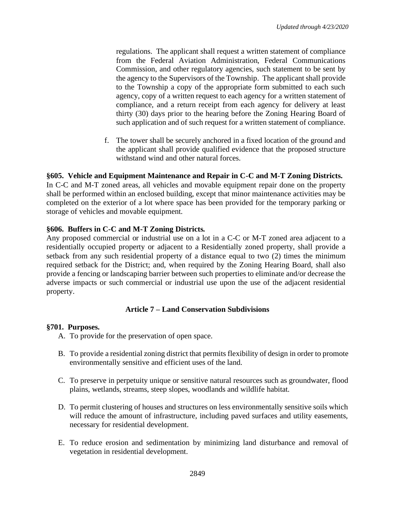regulations. The applicant shall request a written statement of compliance from the Federal Aviation Administration, Federal Communications Commission, and other regulatory agencies, such statement to be sent by the agency to the Supervisors of the Township. The applicant shall provide to the Township a copy of the appropriate form submitted to each such agency, copy of a written request to each agency for a written statement of compliance, and a return receipt from each agency for delivery at least thirty (30) days prior to the hearing before the Zoning Hearing Board of such application and of such request for a written statement of compliance.

f. The tower shall be securely anchored in a fixed location of the ground and the applicant shall provide qualified evidence that the proposed structure withstand wind and other natural forces.

## **§605. Vehicle and Equipment Maintenance and Repair in C-C and M-T Zoning Districts.**

In C-C and M-T zoned areas, all vehicles and movable equipment repair done on the property shall be performed within an enclosed building, except that minor maintenance activities may be completed on the exterior of a lot where space has been provided for the temporary parking or storage of vehicles and movable equipment.

## **§606. Buffers in C-C and M-T Zoning Districts.**

Any proposed commercial or industrial use on a lot in a C-C or M-T zoned area adjacent to a residentially occupied property or adjacent to a Residentially zoned property, shall provide a setback from any such residential property of a distance equal to two (2) times the minimum required setback for the District; and, when required by the Zoning Hearing Board, shall also provide a fencing or landscaping barrier between such properties to eliminate and/or decrease the adverse impacts or such commercial or industrial use upon the use of the adjacent residential property.

## **Article 7 – Land Conservation Subdivisions**

## **§701. Purposes.**

- A. To provide for the preservation of open space.
- B. To provide a residential zoning district that permits flexibility of design in order to promote environmentally sensitive and efficient uses of the land.
- C. To preserve in perpetuity unique or sensitive natural resources such as groundwater, flood plains, wetlands, streams, steep slopes, woodlands and wildlife habitat.
- D. To permit clustering of houses and structures on less environmentally sensitive soils which will reduce the amount of infrastructure, including paved surfaces and utility easements, necessary for residential development.
- E. To reduce erosion and sedimentation by minimizing land disturbance and removal of vegetation in residential development.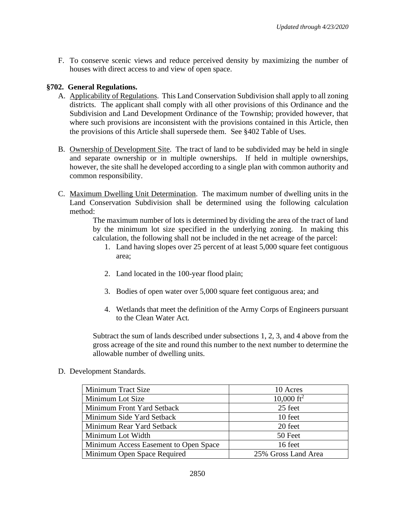F. To conserve scenic views and reduce perceived density by maximizing the number of houses with direct access to and view of open space.

## **§702. General Regulations.**

- A. Applicability of Regulations. This Land Conservation Subdivision shall apply to all zoning districts. The applicant shall comply with all other provisions of this Ordinance and the Subdivision and Land Development Ordinance of the Township; provided however, that where such provisions are inconsistent with the provisions contained in this Article, then the provisions of this Article shall supersede them. See §402 Table of Uses.
- B. Ownership of Development Site. The tract of land to be subdivided may be held in single and separate ownership or in multiple ownerships. If held in multiple ownerships, however, the site shall he developed according to a single plan with common authority and common responsibility.
- C. Maximum Dwelling Unit Determination. The maximum number of dwelling units in the Land Conservation Subdivision shall be determined using the following calculation method:

The maximum number of lots is determined by dividing the area of the tract of land by the minimum lot size specified in the underlying zoning. In making this calculation, the following shall not be included in the net acreage of the parcel:

- 1. Land having slopes over 25 percent of at least 5,000 square feet contiguous area;
- 2. Land located in the 100-year flood plain;
- 3. Bodies of open water over 5,000 square feet contiguous area; and
- 4. Wetlands that meet the definition of the Army Corps of Engineers pursuant to the Clean Water Act.

Subtract the sum of lands described under subsections 1, 2, 3, and 4 above from the gross acreage of the site and round this number to the next number to determine the allowable number of dwelling units.

D. Development Standards.

| Minimum Tract Size                    | 10 Acres               |
|---------------------------------------|------------------------|
| Minimum Lot Size                      | 10,000 ft <sup>2</sup> |
| Minimum Front Yard Setback            | 25 feet                |
| Minimum Side Yard Setback             | 10 feet                |
| Minimum Rear Yard Setback             | 20 feet                |
| Minimum Lot Width                     | 50 Feet                |
| Minimum Access Easement to Open Space | 16 feet                |
| Minimum Open Space Required           | 25% Gross Land Area    |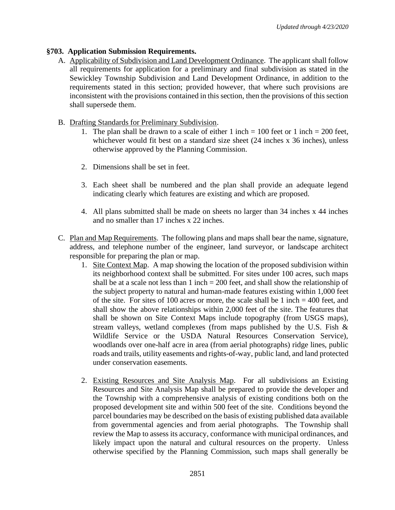# **§703. Application Submission Requirements.**

- A. Applicability of Subdivision and Land Development Ordinance. The applicant shall follow all requirements for application for a preliminary and final subdivision as stated in the Sewickley Township Subdivision and Land Development Ordinance, in addition to the requirements stated in this section; provided however, that where such provisions are inconsistent with the provisions contained in this section, then the provisions of this section shall supersede them.
- B. Drafting Standards for Preliminary Subdivision.
	- 1. The plan shall be drawn to a scale of either 1 inch = 100 feet or 1 inch = 200 feet, whichever would fit best on a standard size sheet (24 inches x 36 inches), unless otherwise approved by the Planning Commission.
	- 2. Dimensions shall be set in feet.
	- 3. Each sheet shall be numbered and the plan shall provide an adequate legend indicating clearly which features are existing and which are proposed.
	- 4. All plans submitted shall be made on sheets no larger than 34 inches x 44 inches and no smaller than 17 inches x 22 inches.
- C. Plan and Map Requirements. The following plans and maps shall bear the name, signature, address, and telephone number of the engineer, land surveyor, or landscape architect responsible for preparing the plan or map.
	- 1. Site Context Map. A map showing the location of the proposed subdivision within its neighborhood context shall be submitted. For sites under 100 acres, such maps shall be at a scale not less than  $1$  inch  $= 200$  feet, and shall show the relationship of the subject property to natural and human-made features existing within 1,000 feet of the site. For sites of 100 acres or more, the scale shall be 1 inch  $=$  400 feet, and shall show the above relationships within 2,000 feet of the site. The features that shall be shown on Site Context Maps include topography (from USGS maps), stream valleys, wetland complexes (from maps published by the U.S. Fish & Wildlife Service or the USDA Natural Resources Conservation Service), woodlands over one-half acre in area (from aerial photographs) ridge lines, public roads and trails, utility easements and rights-of-way, public land, and land protected under conservation easements.
	- 2. Existing Resources and Site Analysis Map. For all subdivisions an Existing Resources and Site Analysis Map shall be prepared to provide the developer and the Township with a comprehensive analysis of existing conditions both on the proposed development site and within 500 feet of the site. Conditions beyond the parcel boundaries may be described on the basis of existing published data available from governmental agencies and from aerial photographs. The Township shall review the Map to assess its accuracy, conformance with municipal ordinances, and likely impact upon the natural and cultural resources on the property. Unless otherwise specified by the Planning Commission, such maps shall generally be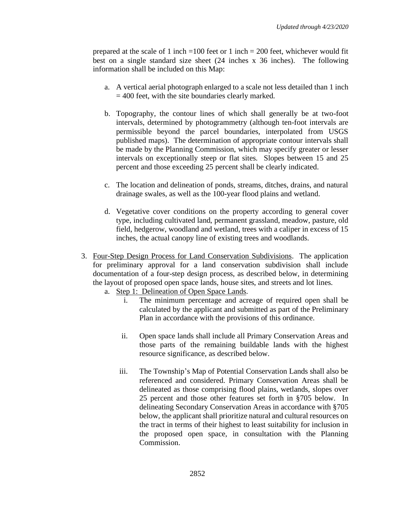prepared at the scale of 1 inch  $=100$  feet or 1 inch  $=200$  feet, whichever would fit best on a single standard size sheet (24 inches x 36 inches). The following information shall be included on this Map:

- a. A vertical aerial photograph enlarged to a scale not less detailed than 1 inch  $= 400$  feet, with the site boundaries clearly marked.
- b. Topography, the contour lines of which shall generally be at two-foot intervals, determined by photogrammetry (although ten-foot intervals are permissible beyond the parcel boundaries, interpolated from USGS published maps). The determination of appropriate contour intervals shall be made by the Planning Commission, which may specify greater or lesser intervals on exceptionally steep or flat sites. Slopes between 15 and 25 percent and those exceeding 25 percent shall be clearly indicated.
- c. The location and delineation of ponds, streams, ditches, drains, and natural drainage swales, as well as the 100-year flood plains and wetland.
- d. Vegetative cover conditions on the property according to general cover type, including cultivated land, permanent grassland, meadow, pasture, old field, hedgerow, woodland and wetland, trees with a caliper in excess of 15 inches, the actual canopy line of existing trees and woodlands.
- 3. Four-Step Design Process for Land Conservation Subdivisions. The application for preliminary approval for a land conservation subdivision shall include documentation of a four-step design process, as described below, in determining the layout of proposed open space lands, house sites, and streets and lot lines.
	- a. Step 1: Delineation of Open Space Lands.
		- i. The minimum percentage and acreage of required open shall be calculated by the applicant and submitted as part of the Preliminary Plan in accordance with the provisions of this ordinance.
		- ii. Open space lands shall include all Primary Conservation Areas and those parts of the remaining buildable lands with the highest resource significance, as described below.
		- iii. The Township's Map of Potential Conservation Lands shall also be referenced and considered. Primary Conservation Areas shall be delineated as those comprising flood plains, wetlands, slopes over 25 percent and those other features set forth in §705 below. In delineating Secondary Conservation Areas in accordance with §705 below, the applicant shall prioritize natural and cultural resources on the tract in terms of their highest to least suitability for inclusion in the proposed open space, in consultation with the Planning Commission.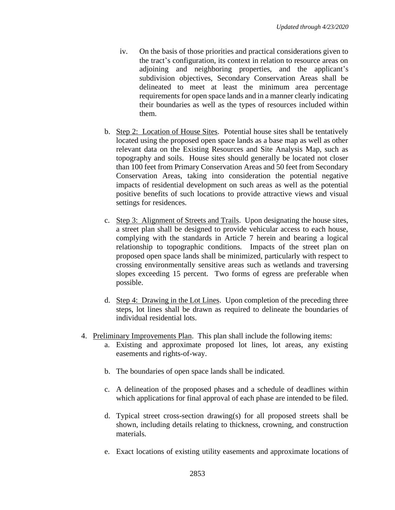- iv. On the basis of those priorities and practical considerations given to the tract's configuration, its context in relation to resource areas on adjoining and neighboring properties, and the applicant's subdivision objectives, Secondary Conservation Areas shall be delineated to meet at least the minimum area percentage requirements for open space lands and in a manner clearly indicating their boundaries as well as the types of resources included within them.
- b. Step 2: Location of House Sites. Potential house sites shall be tentatively located using the proposed open space lands as a base map as well as other relevant data on the Existing Resources and Site Analysis Map, such as topography and soils. House sites should generally be located not closer than 100 feet from Primary Conservation Areas and 50 feet from Secondary Conservation Areas, taking into consideration the potential negative impacts of residential development on such areas as well as the potential positive benefits of such locations to provide attractive views and visual settings for residences.
- c. Step 3: Alignment of Streets and Trails. Upon designating the house sites, a street plan shall be designed to provide vehicular access to each house, complying with the standards in Article 7 herein and bearing a logical relationship to topographic conditions. Impacts of the street plan on proposed open space lands shall be minimized, particularly with respect to crossing environmentally sensitive areas such as wetlands and traversing slopes exceeding 15 percent. Two forms of egress are preferable when possible.
- d. Step 4: Drawing in the Lot Lines. Upon completion of the preceding three steps, lot lines shall be drawn as required to delineate the boundaries of individual residential lots.
- 4. Preliminary Improvements Plan. This plan shall include the following items:
	- a. Existing and approximate proposed lot lines, lot areas, any existing easements and rights-of-way.
	- b. The boundaries of open space lands shall be indicated.
	- c. A delineation of the proposed phases and a schedule of deadlines within which applications for final approval of each phase are intended to be filed.
	- d. Typical street cross-section drawing(s) for all proposed streets shall be shown, including details relating to thickness, crowning, and construction materials.
	- e. Exact locations of existing utility easements and approximate locations of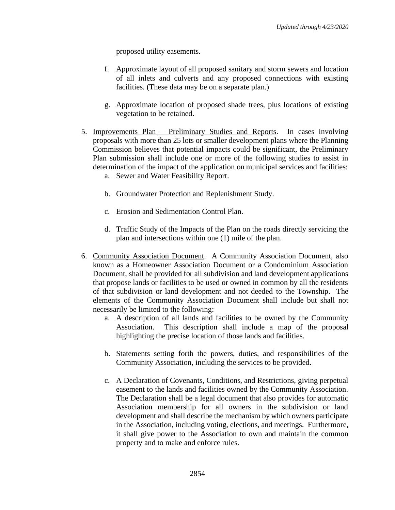proposed utility easements.

- f. Approximate layout of all proposed sanitary and storm sewers and location of all inlets and culverts and any proposed connections with existing facilities. (These data may be on a separate plan.)
- g. Approximate location of proposed shade trees, plus locations of existing vegetation to be retained.
- 5. Improvements Plan Preliminary Studies and Reports. In cases involving proposals with more than 25 lots or smaller development plans where the Planning Commission believes that potential impacts could be significant, the Preliminary Plan submission shall include one or more of the following studies to assist in determination of the impact of the application on municipal services and facilities:
	- a. Sewer and Water Feasibility Report.
	- b. Groundwater Protection and Replenishment Study.
	- c. Erosion and Sedimentation Control Plan.
	- d. Traffic Study of the Impacts of the Plan on the roads directly servicing the plan and intersections within one (1) mile of the plan.
- 6. Community Association Document. A Community Association Document, also known as a Homeowner Association Document or a Condominium Association Document, shall be provided for all subdivision and land development applications that propose lands or facilities to be used or owned in common by all the residents of that subdivision or land development and not deeded to the Township. The elements of the Community Association Document shall include but shall not necessarily be limited to the following:
	- a. A description of all lands and facilities to be owned by the Community Association. This description shall include a map of the proposal highlighting the precise location of those lands and facilities.
	- b. Statements setting forth the powers, duties, and responsibilities of the Community Association, including the services to be provided.
	- c. A Declaration of Covenants, Conditions, and Restrictions, giving perpetual easement to the lands and facilities owned by the Community Association. The Declaration shall be a legal document that also provides for automatic Association membership for all owners in the subdivision or land development and shall describe the mechanism by which owners participate in the Association, including voting, elections, and meetings. Furthermore, it shall give power to the Association to own and maintain the common property and to make and enforce rules.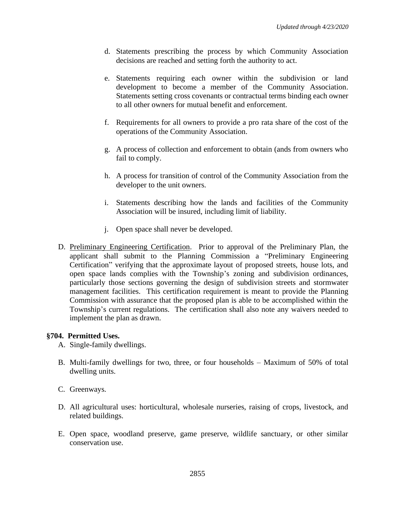- d. Statements prescribing the process by which Community Association decisions are reached and setting forth the authority to act.
- e. Statements requiring each owner within the subdivision or land development to become a member of the Community Association. Statements setting cross covenants or contractual terms binding each owner to all other owners for mutual benefit and enforcement.
- f. Requirements for all owners to provide a pro rata share of the cost of the operations of the Community Association.
- g. A process of collection and enforcement to obtain (ands from owners who fail to comply.
- h. A process for transition of control of the Community Association from the developer to the unit owners.
- i. Statements describing how the lands and facilities of the Community Association will be insured, including limit of liability.
- j. Open space shall never be developed.
- D. Preliminary Engineering Certification. Prior to approval of the Preliminary Plan, the applicant shall submit to the Planning Commission a "Preliminary Engineering Certification" verifying that the approximate layout of proposed streets, house lots, and open space lands complies with the Township's zoning and subdivision ordinances, particularly those sections governing the design of subdivision streets and stormwater management facilities. This certification requirement is meant to provide the Planning Commission with assurance that the proposed plan is able to be accomplished within the Township's current regulations. The certification shall also note any waivers needed to implement the plan as drawn.

## **§704. Permitted Uses.**

- A. Single-family dwellings.
- B. Multi-family dwellings for two, three, or four households Maximum of 50% of total dwelling units.
- C. Greenways.
- D. All agricultural uses: horticultural, wholesale nurseries, raising of crops, livestock, and related buildings.
- E. Open space, woodland preserve, game preserve, wildlife sanctuary, or other similar conservation use.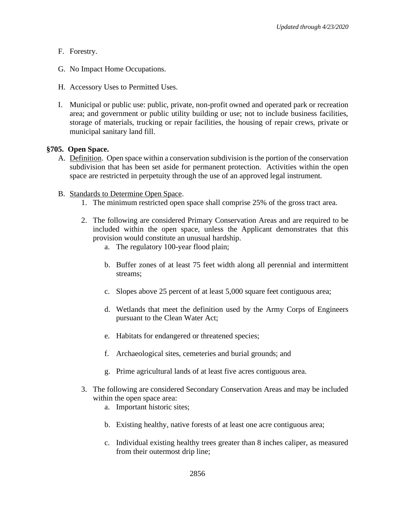- F. Forestry.
- G. No Impact Home Occupations.
- H. Accessory Uses to Permitted Uses.
- I. Municipal or public use: public, private, non-profit owned and operated park or recreation area; and government or public utility building or use; not to include business facilities, storage of materials, trucking or repair facilities, the housing of repair crews, private or municipal sanitary land fill.

### **§705. Open Space.**

- A. Definition. Open space within a conservation subdivision is the portion of the conservation subdivision that has been set aside for permanent protection. Activities within the open space are restricted in perpetuity through the use of an approved legal instrument.
- B. Standards to Determine Open Space.
	- 1. The minimum restricted open space shall comprise 25% of the gross tract area.
	- 2. The following are considered Primary Conservation Areas and are required to be included within the open space, unless the Applicant demonstrates that this provision would constitute an unusual hardship.
		- a. The regulatory 100-year flood plain;
		- b. Buffer zones of at least 75 feet width along all perennial and intermittent streams;
		- c. Slopes above 25 percent of at least 5,000 square feet contiguous area;
		- d. Wetlands that meet the definition used by the Army Corps of Engineers pursuant to the Clean Water Act;
		- e. Habitats for endangered or threatened species;
		- f. Archaeological sites, cemeteries and burial grounds; and
		- g. Prime agricultural lands of at least five acres contiguous area.
	- 3. The following are considered Secondary Conservation Areas and may be included within the open space area:
		- a. Important historic sites;
		- b. Existing healthy, native forests of at least one acre contiguous area;
		- c. Individual existing healthy trees greater than 8 inches caliper, as measured from their outermost drip line;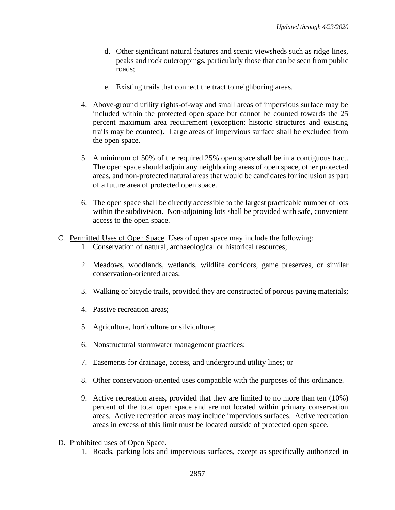- d. Other significant natural features and scenic viewsheds such as ridge lines, peaks and rock outcroppings, particularly those that can be seen from public roads;
- e. Existing trails that connect the tract to neighboring areas.
- 4. Above-ground utility rights-of-way and small areas of impervious surface may be included within the protected open space but cannot be counted towards the 25 percent maximum area requirement (exception: historic structures and existing trails may be counted). Large areas of impervious surface shall be excluded from the open space.
- 5. A minimum of 50% of the required 25% open space shall be in a contiguous tract. The open space should adjoin any neighboring areas of open space, other protected areas, and non-protected natural areas that would be candidates for inclusion as part of a future area of protected open space.
- 6. The open space shall be directly accessible to the largest practicable number of lots within the subdivision. Non-adjoining lots shall be provided with safe, convenient access to the open space.
- C. Permitted Uses of Open Space. Uses of open space may include the following:
	- 1. Conservation of natural, archaeological or historical resources;
	- 2. Meadows, woodlands, wetlands, wildlife corridors, game preserves, or similar conservation-oriented areas;
	- 3. Walking or bicycle trails, provided they are constructed of porous paving materials;
	- 4. Passive recreation areas;
	- 5. Agriculture, horticulture or silviculture;
	- 6. Nonstructural stormwater management practices;
	- 7. Easements for drainage, access, and underground utility lines; or
	- 8. Other conservation-oriented uses compatible with the purposes of this ordinance.
	- 9. Active recreation areas, provided that they are limited to no more than ten (10%) percent of the total open space and are not located within primary conservation areas. Active recreation areas may include impervious surfaces. Active recreation areas in excess of this limit must be located outside of protected open space.
- D. Prohibited uses of Open Space.
	- 1. Roads, parking lots and impervious surfaces, except as specifically authorized in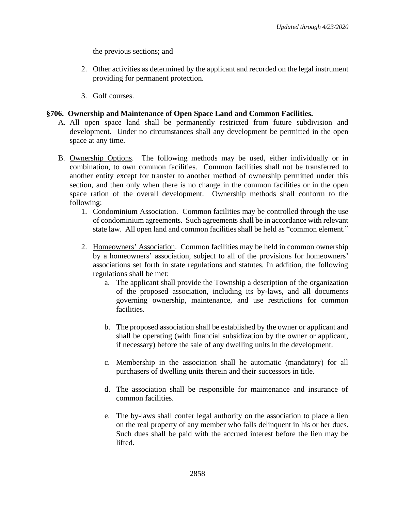the previous sections; and

- 2. Other activities as determined by the applicant and recorded on the legal instrument providing for permanent protection.
- 3. Golf courses.

### **§706. Ownership and Maintenance of Open Space Land and Common Facilities.**

- A. All open space land shall be permanently restricted from future subdivision and development. Under no circumstances shall any development be permitted in the open space at any time.
- B. Ownership Options. The following methods may be used, either individually or in combination, to own common facilities. Common facilities shall not be transferred to another entity except for transfer to another method of ownership permitted under this section, and then only when there is no change in the common facilities or in the open space ration of the overall development. Ownership methods shall conform to the following:
	- 1. Condominium Association. Common facilities may be controlled through the use of condominium agreements. Such agreements shall be in accordance with relevant state law. All open land and common facilities shall be held as "common element."
	- 2. Homeowners' Association. Common facilities may be held in common ownership by a homeowners' association, subject to all of the provisions for homeowners' associations set forth in state regulations and statutes. In addition, the following regulations shall be met:
		- a. The applicant shall provide the Township a description of the organization of the proposed association, including its by-laws, and all documents governing ownership, maintenance, and use restrictions for common facilities.
		- b. The proposed association shall be established by the owner or applicant and shall be operating (with financial subsidization by the owner or applicant, if necessary) before the sale of any dwelling units in the development.
		- c. Membership in the association shall he automatic (mandatory) for all purchasers of dwelling units therein and their successors in title.
		- d. The association shall be responsible for maintenance and insurance of common facilities.
		- e. The by-laws shall confer legal authority on the association to place a lien on the real property of any member who falls delinquent in his or her dues. Such dues shall be paid with the accrued interest before the lien may be lifted.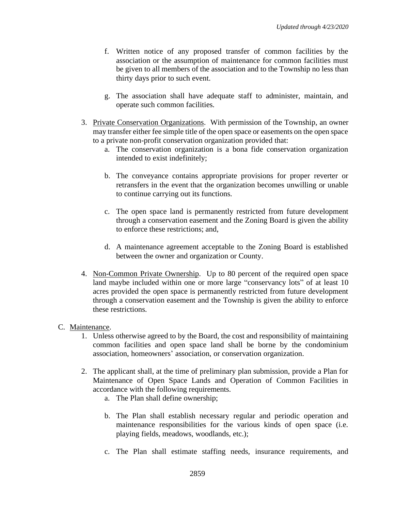- f. Written notice of any proposed transfer of common facilities by the association or the assumption of maintenance for common facilities must be given to all members of the association and to the Township no less than thirty days prior to such event.
- g. The association shall have adequate staff to administer, maintain, and operate such common facilities.
- 3. Private Conservation Organizations. With permission of the Township, an owner may transfer either fee simple title of the open space or easements on the open space to a private non-profit conservation organization provided that:
	- a. The conservation organization is a bona fide conservation organization intended to exist indefinitely;
	- b. The conveyance contains appropriate provisions for proper reverter or retransfers in the event that the organization becomes unwilling or unable to continue carrying out its functions.
	- c. The open space land is permanently restricted from future development through a conservation easement and the Zoning Board is given the ability to enforce these restrictions; and,
	- d. A maintenance agreement acceptable to the Zoning Board is established between the owner and organization or County.
- 4. Non-Common Private Ownership. Up to 80 percent of the required open space land maybe included within one or more large "conservancy lots" of at least 10 acres provided the open space is permanently restricted from future development through a conservation easement and the Township is given the ability to enforce these restrictions.

### C. Maintenance.

- 1. Unless otherwise agreed to by the Board, the cost and responsibility of maintaining common facilities and open space land shall be borne by the condominium association, homeowners' association, or conservation organization.
- 2. The applicant shall, at the time of preliminary plan submission, provide a Plan for Maintenance of Open Space Lands and Operation of Common Facilities in accordance with the following requirements.
	- a. The Plan shall define ownership;
	- b. The Plan shall establish necessary regular and periodic operation and maintenance responsibilities for the various kinds of open space (i.e. playing fields, meadows, woodlands, etc.);
	- c. The Plan shall estimate staffing needs, insurance requirements, and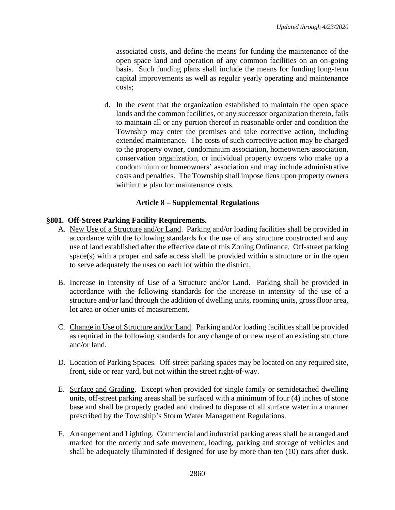associated costs, and define the means for funding the maintenance of the open space land and operation of any common facilities on an on-going basis. Such funding plans shall include the means for funding long-term capital improvements as well as regular yearly operating and maintenance costs;

d. In the event that the organization established to maintain the open space lands and the common facilities, or any successor organization thereto, fails to maintain all or any portion thereof in reasonable order and condition the Township may enter the premises and take corrective action, including extended maintenance. The costs of such corrective action may be charged to the property owner, condominium association, homeowners association, conservation organization, or individual property owners who make up a condominium or homeowners' association and may include administrative costs and penalties. The Township shall impose liens upon property owners within the plan for maintenance costs.

## **Article 8 – Supplemental Regulations**

## **§801. Off-Street Parking Facility Requirements.**

- A. New Use of a Structure and/or Land. Parking and/or loading facilities shall be provided in accordance with the following standards for the use of any structure constructed and any use of land established after the effective date of this Zoning Ordinance. Off-street parking space(s) with a proper and safe access shall be provided within a structure or in the open to serve adequately the uses on each lot within the district.
- B. Increase in Intensity of Use of a Structure and/or Land. Parking shall be provided in accordance with the following standards for the increase in intensity of the use of a structure and/or land through the addition of dwelling units, rooming units, gross floor area, lot area or other units of measurement.
- C. Change in Use of Structure and/or Land. Parking and/or loading facilities shall be provided as required in the following standards for any change of or new use of an existing structure and/or land.
- D. Location of Parking Spaces. Off-street parking spaces may be located on any required site, front, side or rear yard, but not within the street right-of-way.
- E. Surface and Grading. Except when provided for single family or semidetached dwelling units, off-street parking areas shall be surfaced with a minimum of four (4) inches of stone base and shall be properly graded and drained to dispose of all surface water in a manner prescribed by the Township's Storm Water Management Regulations.
- F. Arrangement and Lighting. Commercial and industrial parking areas shall be arranged and marked for the orderly and safe movement, loading, parking and storage of vehicles and shall be adequately illuminated if designed for use by more than ten (10) cars after dusk.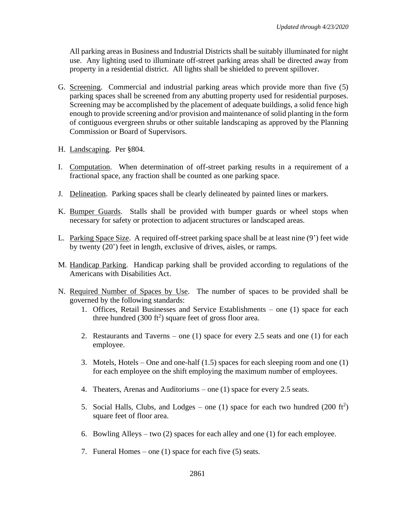All parking areas in Business and Industrial Districts shall be suitably illuminated for night use. Any lighting used to illuminate off-street parking areas shall be directed away from property in a residential district. All lights shall be shielded to prevent spillover.

- G. Screening. Commercial and industrial parking areas which provide more than five (5) parking spaces shall be screened from any abutting property used for residential purposes. Screening may be accomplished by the placement of adequate buildings, a solid fence high enough to provide screening and/or provision and maintenance of solid planting in the form of contiguous evergreen shrubs or other suitable landscaping as approved by the Planning Commission or Board of Supervisors.
- H. Landscaping. Per §804.
- I. Computation. When determination of off-street parking results in a requirement of a fractional space, any fraction shall be counted as one parking space.
- J. Delineation. Parking spaces shall be clearly delineated by painted lines or markers.
- K. Bumper Guards. Stalls shall be provided with bumper guards or wheel stops when necessary for safety or protection to adjacent structures or landscaped areas.
- L. Parking Space Size. A required off-street parking space shall be at least nine (9') feet wide by twenty (20') feet in length, exclusive of drives, aisles, or ramps.
- M. Handicap Parking. Handicap parking shall be provided according to regulations of the Americans with Disabilities Act.
- N. Required Number of Spaces by Use. The number of spaces to be provided shall be governed by the following standards:
	- 1. Offices, Retail Businesses and Service Establishments one (1) space for each three hundred  $(300 \text{ ft}^2)$  square feet of gross floor area.
	- 2. Restaurants and Taverns one (1) space for every 2.5 seats and one (1) for each employee.
	- 3. Motels, Hotels One and one-half (1.5) spaces for each sleeping room and one (1) for each employee on the shift employing the maximum number of employees.
	- 4. Theaters, Arenas and Auditoriums one (1) space for every 2.5 seats.
	- 5. Social Halls, Clubs, and Lodges one (1) space for each two hundred  $(200 \text{ ft}^2)$ square feet of floor area.
	- 6. Bowling Alleys two  $(2)$  spaces for each alley and one  $(1)$  for each employee.
	- 7. Funeral Homes one (1) space for each five (5) seats.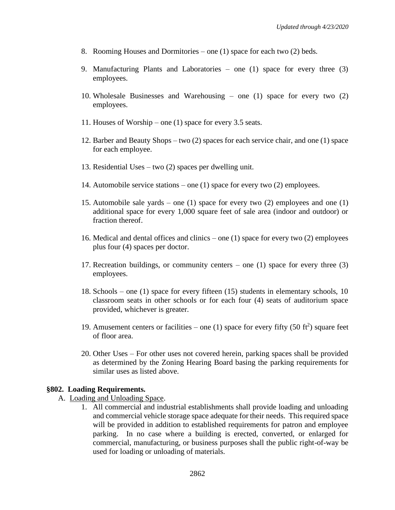- 8. Rooming Houses and Dormitories one (1) space for each two (2) beds.
- 9. Manufacturing Plants and Laboratories one (1) space for every three (3) employees.
- 10. Wholesale Businesses and Warehousing one (1) space for every two (2) employees.
- 11. Houses of Worship one (1) space for every 3.5 seats.
- 12. Barber and Beauty Shops two (2) spaces for each service chair, and one (1) space for each employee.
- 13. Residential Uses two (2) spaces per dwelling unit.
- 14. Automobile service stations one (1) space for every two (2) employees.
- 15. Automobile sale yards one (1) space for every two (2) employees and one (1) additional space for every 1,000 square feet of sale area (indoor and outdoor) or fraction thereof.
- 16. Medical and dental offices and clinics one (1) space for every two (2) employees plus four (4) spaces per doctor.
- 17. Recreation buildings, or community centers one (1) space for every three (3) employees.
- 18. Schools one (1) space for every fifteen (15) students in elementary schools, 10 classroom seats in other schools or for each four (4) seats of auditorium space provided, whichever is greater.
- 19. Amusement centers or facilities one (1) space for every fifty (50  $ft^2$ ) square feet of floor area.
- 20. Other Uses For other uses not covered herein, parking spaces shall be provided as determined by the Zoning Hearing Board basing the parking requirements for similar uses as listed above.

#### **§802. Loading Requirements.**

- A. Loading and Unloading Space.
	- 1. All commercial and industrial establishments shall provide loading and unloading and commercial vehicle storage space adequate for their needs. This required space will be provided in addition to established requirements for patron and employee parking. In no case where a building is erected, converted, or enlarged for commercial, manufacturing, or business purposes shall the public right-of-way be used for loading or unloading of materials.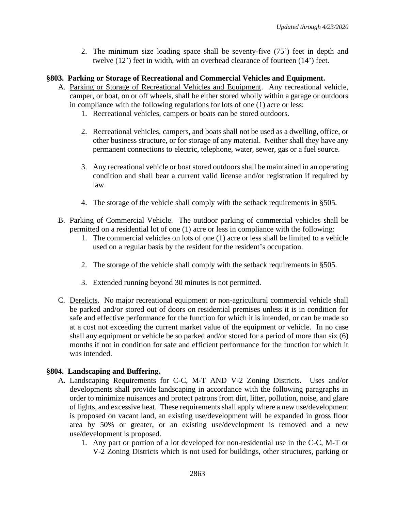2. The minimum size loading space shall be seventy-five (75') feet in depth and twelve (12') feet in width, with an overhead clearance of fourteen (14') feet.

### **§803. Parking or Storage of Recreational and Commercial Vehicles and Equipment.**

- A. Parking or Storage of Recreational Vehicles and Equipment. Any recreational vehicle, camper, or boat, on or off wheels, shall be either stored wholly within a garage or outdoors in compliance with the following regulations for lots of one (1) acre or less:
	- 1. Recreational vehicles, campers or boats can be stored outdoors.
	- 2. Recreational vehicles, campers, and boats shall not be used as a dwelling, office, or other business structure, or for storage of any material. Neither shall they have any permanent connections to electric, telephone, water, sewer, gas or a fuel source.
	- 3. Any recreational vehicle or boat stored outdoors shall be maintained in an operating condition and shall bear a current valid license and/or registration if required by law.
	- 4. The storage of the vehicle shall comply with the setback requirements in §505.
- B. Parking of Commercial Vehicle. The outdoor parking of commercial vehicles shall be permitted on a residential lot of one (1) acre or less in compliance with the following:
	- 1. The commercial vehicles on lots of one (1) acre or less shall be limited to a vehicle used on a regular basis by the resident for the resident's occupation.
	- 2. The storage of the vehicle shall comply with the setback requirements in §505.
	- 3. Extended running beyond 30 minutes is not permitted.
- C. Derelicts. No major recreational equipment or non-agricultural commercial vehicle shall be parked and/or stored out of doors on residential premises unless it is in condition for safe and effective performance for the function for which it is intended, or can be made so at a cost not exceeding the current market value of the equipment or vehicle. In no case shall any equipment or vehicle be so parked and/or stored for a period of more than six (6) months if not in condition for safe and efficient performance for the function for which it was intended.

## **§804. Landscaping and Buffering.**

- A. Landscaping Requirements for C-C, M-T AND V-2 Zoning Districts. Uses and/or developments shall provide landscaping in accordance with the following paragraphs in order to minimize nuisances and protect patrons from dirt, litter, pollution, noise, and glare of lights, and excessive heat. These requirements shall apply where a new use/development is proposed on vacant land, an existing use/development will be expanded in gross floor area by 50% or greater, or an existing use/development is removed and a new use/development is proposed.
	- 1. Any part or portion of a lot developed for non-residential use in the C-C, M-T or V-2 Zoning Districts which is not used for buildings, other structures, parking or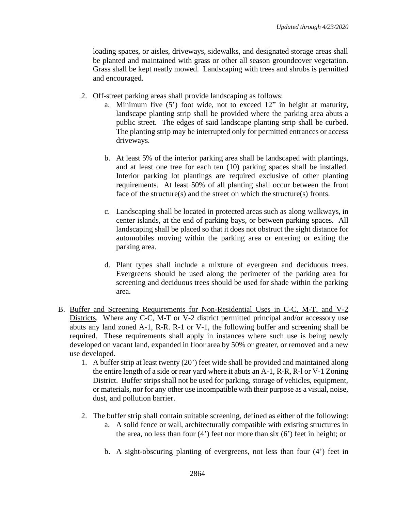loading spaces, or aisles, driveways, sidewalks, and designated storage areas shall be planted and maintained with grass or other all season groundcover vegetation. Grass shall be kept neatly mowed. Landscaping with trees and shrubs is permitted and encouraged.

- 2. Off-street parking areas shall provide landscaping as follows:
	- a. Minimum five (5') foot wide, not to exceed 12" in height at maturity, landscape planting strip shall be provided where the parking area abuts a public street. The edges of said landscape planting strip shall be curbed. The planting strip may be interrupted only for permitted entrances or access driveways.
	- b. At least 5% of the interior parking area shall be landscaped with plantings, and at least one tree for each ten (10) parking spaces shall be installed. Interior parking lot plantings are required exclusive of other planting requirements. At least 50% of all planting shall occur between the front face of the structure(s) and the street on which the structure(s) fronts.
	- c. Landscaping shall be located in protected areas such as along walkways, in center islands, at the end of parking bays, or between parking spaces. All landscaping shall be placed so that it does not obstruct the sight distance for automobiles moving within the parking area or entering or exiting the parking area.
	- d. Plant types shall include a mixture of evergreen and deciduous trees. Evergreens should be used along the perimeter of the parking area for screening and deciduous trees should be used for shade within the parking area.
- B. Buffer and Screening Requirements for Non-Residential Uses in C-C, M-T, and V-2 Districts. Where any C-C, M-T or V-2 district permitted principal and/or accessory use abuts any land zoned A-1, R-R. R-1 or V-1, the following buffer and screening shall be required. These requirements shall apply in instances where such use is being newly developed on vacant land, expanded in floor area by 50% or greater, or removed and a new use developed.
	- 1. A buffer strip at least twenty (20') feet wide shall be provided and maintained along the entire length of a side or rear yard where it abuts an A-1, R-R, R-l or V-1 Zoning District. Buffer strips shall not be used for parking, storage of vehicles, equipment, or materials, nor for any other use incompatible with their purpose as a visual, noise, dust, and pollution barrier.
	- 2. The buffer strip shall contain suitable screening, defined as either of the following:
		- a. A solid fence or wall, architecturally compatible with existing structures in the area, no less than four (4') feet nor more than six (6') feet in height; or
		- b. A sight-obscuring planting of evergreens, not less than four (4') feet in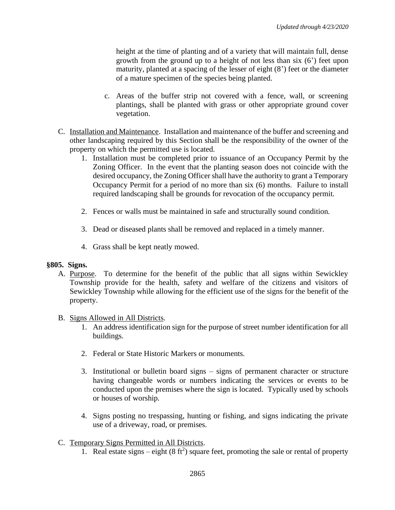height at the time of planting and of a variety that will maintain full, dense growth from the ground up to a height of not less than six (6') feet upon maturity, planted at a spacing of the lesser of eight (8') feet or the diameter of a mature specimen of the species being planted.

- c. Areas of the buffer strip not covered with a fence, wall, or screening plantings, shall be planted with grass or other appropriate ground cover vegetation.
- C. Installation and Maintenance. Installation and maintenance of the buffer and screening and other landscaping required by this Section shall be the responsibility of the owner of the property on which the permitted use is located.
	- 1. Installation must be completed prior to issuance of an Occupancy Permit by the Zoning Officer. In the event that the planting season does not coincide with the desired occupancy, the Zoning Officer shall have the authority to grant a Temporary Occupancy Permit for a period of no more than six (6) months. Failure to install required landscaping shall be grounds for revocation of the occupancy permit.
	- 2. Fences or walls must be maintained in safe and structurally sound condition.
	- 3. Dead or diseased plants shall be removed and replaced in a timely manner.
	- 4. Grass shall be kept neatly mowed.

## **§805. Signs.**

- A. Purpose. To determine for the benefit of the public that all signs within Sewickley Township provide for the health, safety and welfare of the citizens and visitors of Sewickley Township while allowing for the efficient use of the signs for the benefit of the property.
- B. Signs Allowed in All Districts.
	- 1. An address identification sign for the purpose of street number identification for all buildings.
	- 2. Federal or State Historic Markers or monuments.
	- 3. Institutional or bulletin board signs signs of permanent character or structure having changeable words or numbers indicating the services or events to be conducted upon the premises where the sign is located. Typically used by schools or houses of worship.
	- 4. Signs posting no trespassing, hunting or fishing, and signs indicating the private use of a driveway, road, or premises.
- C. Temporary Signs Permitted in All Districts.
	- 1. Real estate signs eight  $(8 \text{ ft}^2)$  square feet, promoting the sale or rental of property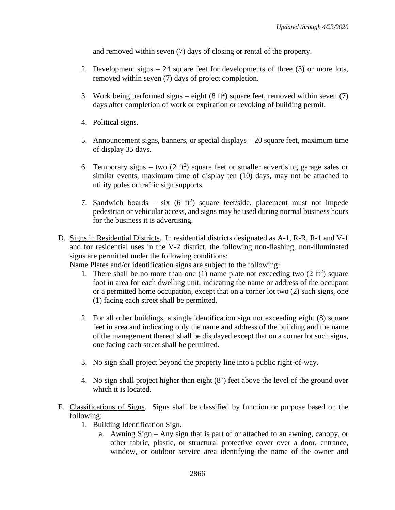and removed within seven (7) days of closing or rental of the property.

- 2. Development signs 24 square feet for developments of three (3) or more lots, removed within seven (7) days of project completion.
- 3. Work being performed signs  $-$  eight (8 ft<sup>2</sup>) square feet, removed within seven (7) days after completion of work or expiration or revoking of building permit.
- 4. Political signs.
- 5. Announcement signs, banners, or special displays 20 square feet, maximum time of display 35 days.
- 6. Temporary signs two  $(2 \text{ ft}^2)$  square feet or smaller advertising garage sales or similar events, maximum time of display ten (10) days, may not be attached to utility poles or traffic sign supports.
- 7. Sandwich boards six  $(6 \text{ ft}^2)$  square feet/side, placement must not impede pedestrian or vehicular access, and signs may be used during normal business hours for the business it is advertising.
- D. Signs in Residential Districts. In residential districts designated as A-1, R-R, R-1 and V-1 and for residential uses in the V-2 district, the following non-flashing, non-illuminated signs are permitted under the following conditions:

Name Plates and/or identification signs are subject to the following:

- 1. There shall be no more than one (1) name plate not exceeding two  $(2 \text{ ft}^2)$  square foot in area for each dwelling unit, indicating the name or address of the occupant or a permitted home occupation, except that on a corner lot two (2) such signs, one (1) facing each street shall be permitted.
- 2. For all other buildings, a single identification sign not exceeding eight (8) square feet in area and indicating only the name and address of the building and the name of the management thereof shall be displayed except that on a corner lot such signs, one facing each street shall be permitted.
- 3. No sign shall project beyond the property line into a public right-of-way.
- 4. No sign shall project higher than eight (8') feet above the level of the ground over which it is located.
- E. Classifications of Signs. Signs shall be classified by function or purpose based on the following:
	- 1. Building Identification Sign.
		- a. Awning Sign Any sign that is part of or attached to an awning, canopy, or other fabric, plastic, or structural protective cover over a door, entrance, window, or outdoor service area identifying the name of the owner and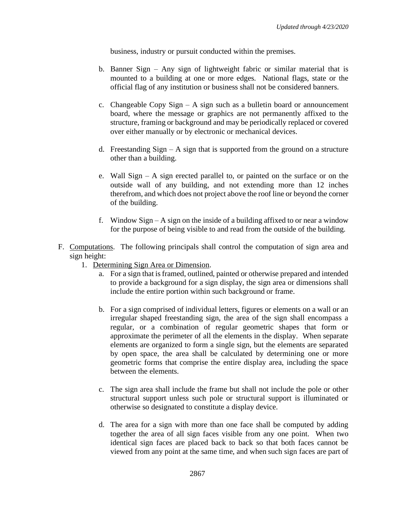business, industry or pursuit conducted within the premises.

- b. Banner Sign Any sign of lightweight fabric or similar material that is mounted to a building at one or more edges. National flags, state or the official flag of any institution or business shall not be considered banners.
- c. Changeable Copy Sign  $A$  sign such as a bulletin board or announcement board, where the message or graphics are not permanently affixed to the structure, framing or background and may be periodically replaced or covered over either manually or by electronic or mechanical devices.
- d. Freestanding  $Sign A$  sign that is supported from the ground on a structure other than a building.
- e. Wall Sign A sign erected parallel to, or painted on the surface or on the outside wall of any building, and not extending more than 12 inches therefrom, and which does not project above the roof line or beyond the corner of the building.
- f. Window Sign A sign on the inside of a building affixed to or near a window for the purpose of being visible to and read from the outside of the building.
- F. Computations. The following principals shall control the computation of sign area and sign height:
	- 1. Determining Sign Area or Dimension.
		- a. For a sign that is framed, outlined, painted or otherwise prepared and intended to provide a background for a sign display, the sign area or dimensions shall include the entire portion within such background or frame.
		- b. For a sign comprised of individual letters, figures or elements on a wall or an irregular shaped freestanding sign, the area of the sign shall encompass a regular, or a combination of regular geometric shapes that form or approximate the perimeter of all the elements in the display. When separate elements are organized to form a single sign, but the elements are separated by open space, the area shall be calculated by determining one or more geometric forms that comprise the entire display area, including the space between the elements.
		- c. The sign area shall include the frame but shall not include the pole or other structural support unless such pole or structural support is illuminated or otherwise so designated to constitute a display device.
		- d. The area for a sign with more than one face shall be computed by adding together the area of all sign faces visible from any one point. When two identical sign faces are placed back to back so that both faces cannot be viewed from any point at the same time, and when such sign faces are part of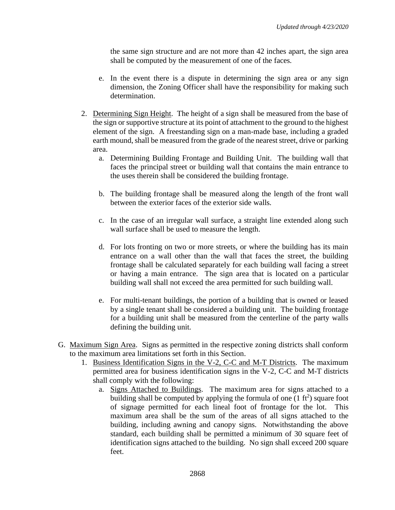the same sign structure and are not more than 42 inches apart, the sign area shall be computed by the measurement of one of the faces.

- e. In the event there is a dispute in determining the sign area or any sign dimension, the Zoning Officer shall have the responsibility for making such determination.
- 2. Determining Sign Height. The height of a sign shall be measured from the base of the sign or supportive structure at its point of attachment to the ground to the highest element of the sign. A freestanding sign on a man-made base, including a graded earth mound, shall be measured from the grade of the nearest street, drive or parking area.
	- a. Determining Building Frontage and Building Unit. The building wall that faces the principal street or building wall that contains the main entrance to the uses therein shall be considered the building frontage.
	- b. The building frontage shall be measured along the length of the front wall between the exterior faces of the exterior side walls.
	- c. In the case of an irregular wall surface, a straight line extended along such wall surface shall be used to measure the length.
	- d. For lots fronting on two or more streets, or where the building has its main entrance on a wall other than the wall that faces the street, the building frontage shall be calculated separately for each building wall facing a street or having a main entrance. The sign area that is located on a particular building wall shall not exceed the area permitted for such building wall.
	- e. For multi-tenant buildings, the portion of a building that is owned or leased by a single tenant shall be considered a building unit. The building frontage for a building unit shall be measured from the centerline of the party walls defining the building unit.
- G. Maximum Sign Area. Signs as permitted in the respective zoning districts shall conform to the maximum area limitations set forth in this Section.
	- 1. Business Identification Signs in the V-2, C-C and M-T Districts. The maximum permitted area for business identification signs in the V-2, C-C and M-T districts shall comply with the following:
		- a. Signs Attached to Buildings. The maximum area for signs attached to a building shall be computed by applying the formula of one  $(1 \text{ ft}^2)$  square foot of signage permitted for each lineal foot of frontage for the lot. This maximum area shall be the sum of the areas of all signs attached to the building, including awning and canopy signs. Notwithstanding the above standard, each building shall be permitted a minimum of 30 square feet of identification signs attached to the building. No sign shall exceed 200 square feet.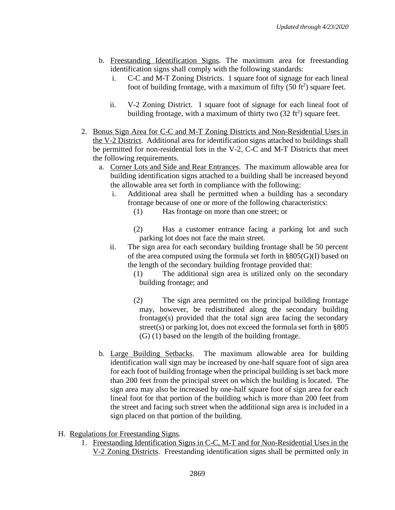- b. Freestanding Identification Signs. The maximum area for freestanding identification signs shall comply with the following standards:
	- i. C-C and M-T Zoning Districts. 1 square foot of signage for each lineal foot of building frontage, with a maximum of fifty  $(50 \text{ ft}^2)$  square feet.
	- ii. V-2 Zoning District. 1 square foot of signage for each lineal foot of building frontage, with a maximum of thirty two  $(32 \text{ ft}^2)$  square feet.
- 2. Bonus Sign Area for C-C and M-T Zoning Districts and Non-Residential Uses in the V-2 District. Additional area for identification signs attached to buildings shall be permitted for non-residential lots in the V-2, C-C and M-T Districts that meet the following requirements.
	- a. Corner Lots and Side and Rear Entrances. The maximum allowable area for building identification signs attached to a building shall be increased beyond the allowable area set forth in compliance with the following:
		- i. Additional area shall be permitted when a building has a secondary frontage because of one or more of the following characteristics:
			- (1) Has frontage on more than one street; or
			- (2) Has a customer entrance facing a parking lot and such parking lot does not face the main street.
		- ii. The sign area for each secondary building frontage shall be 50 percent of the area computed using the formula set forth in  $\S 805(G)(I)$  based on the length of the secondary building frontage provided that:
			- (1) The additional sign area is utilized only on the secondary building frontage; and
			- (2) The sign area permitted on the principal building frontage may, however, be redistributed along the secondary building frontage(s) provided that the total sign area facing the secondary street(s) or parking lot, does not exceed the formula set forth in §805 (G) (1) based on the length of the building frontage.
	- b. Large Building Setbacks. The maximum allowable area for building identification wall sign may be increased by one-half square foot of sign area for each foot of building frontage when the principal building is set back more than 200 feet from the principal street on which the building is located. The sign area may also be increased by one-half square foot of sign area for each lineal foot for that portion of the building which is more than 200 feet from the street and facing such street when the additional sign area is included in a sign placed on that portion of the building.
- H. Regulations for Freestanding Signs.
	- 1. Freestanding Identification Signs in C-C, M-T and for Non-Residential Uses in the V-2 Zoning Districts. Freestanding identification signs shall be permitted only in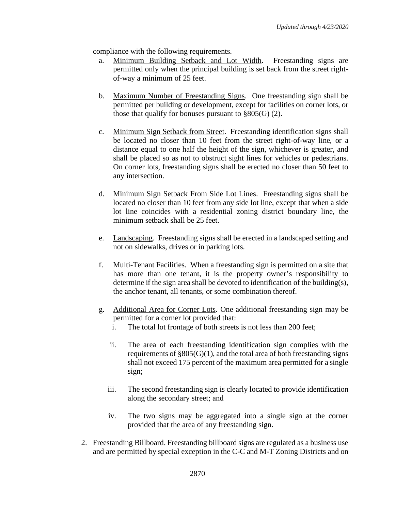compliance with the following requirements.

- a. Minimum Building Setback and Lot Width. Freestanding signs are permitted only when the principal building is set back from the street rightof-way a minimum of 25 feet.
- b. Maximum Number of Freestanding Signs. One freestanding sign shall be permitted per building or development, except for facilities on corner lots, or those that qualify for bonuses pursuant to  $\S 805(G)$  (2).
- c. Minimum Sign Setback from Street. Freestanding identification signs shall be located no closer than 10 feet from the street right-of-way line, or a distance equal to one half the height of the sign, whichever is greater, and shall be placed so as not to obstruct sight lines for vehicles or pedestrians. On corner lots, freestanding signs shall be erected no closer than 50 feet to any intersection.
- d. Minimum Sign Setback From Side Lot Lines. Freestanding signs shall be located no closer than 10 feet from any side lot line, except that when a side lot line coincides with a residential zoning district boundary line, the minimum setback shall be 25 feet.
- e. Landscaping. Freestanding signs shall be erected in a landscaped setting and not on sidewalks, drives or in parking lots.
- f. Multi-Tenant Facilities. When a freestanding sign is permitted on a site that has more than one tenant, it is the property owner's responsibility to determine if the sign area shall be devoted to identification of the building(s), the anchor tenant, all tenants, or some combination thereof.
- g. Additional Area for Corner Lots. One additional freestanding sign may be permitted for a corner lot provided that:
	- i. The total lot frontage of both streets is not less than 200 feet;
	- ii. The area of each freestanding identification sign complies with the requirements of  $\S 805(G)(1)$ , and the total area of both freestanding signs shall not exceed 175 percent of the maximum area permitted for a single sign;
	- iii. The second freestanding sign is clearly located to provide identification along the secondary street; and
	- iv. The two signs may be aggregated into a single sign at the corner provided that the area of any freestanding sign.
- 2. Freestanding Billboard. Freestanding billboard signs are regulated as a business use and are permitted by special exception in the C-C and M-T Zoning Districts and on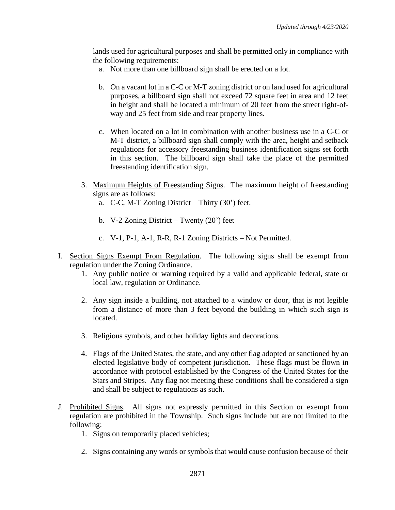lands used for agricultural purposes and shall be permitted only in compliance with the following requirements:

- a. Not more than one billboard sign shall be erected on a lot.
- b. On a vacant lot in a C-C or M-T zoning district or on land used for agricultural purposes, a billboard sign shall not exceed 72 square feet in area and 12 feet in height and shall be located a minimum of 20 feet from the street right-ofway and 25 feet from side and rear property lines.
- c. When located on a lot in combination with another business use in a C-C or M-T district, a billboard sign shall comply with the area, height and setback regulations for accessory freestanding business identification signs set forth in this section. The billboard sign shall take the place of the permitted freestanding identification sign.
- 3. Maximum Heights of Freestanding Signs. The maximum height of freestanding signs are as follows:
	- a. C-C, M-T Zoning District Thirty (30') feet.
	- b. V-2 Zoning District Twenty (20') feet
	- c. V-1, P-1, A-1, R-R, R-1 Zoning Districts Not Permitted.
- I. Section Signs Exempt From Regulation. The following signs shall be exempt from regulation under the Zoning Ordinance.
	- 1. Any public notice or warning required by a valid and applicable federal, state or local law, regulation or Ordinance.
	- 2. Any sign inside a building, not attached to a window or door, that is not legible from a distance of more than 3 feet beyond the building in which such sign is located.
	- 3. Religious symbols, and other holiday lights and decorations.
	- 4. Flags of the United States, the state, and any other flag adopted or sanctioned by an elected legislative body of competent jurisdiction. These flags must be flown in accordance with protocol established by the Congress of the United States for the Stars and Stripes. Any flag not meeting these conditions shall be considered a sign and shall be subject to regulations as such.
- J. Prohibited Signs. All signs not expressly permitted in this Section or exempt from regulation are prohibited in the Township. Such signs include but are not limited to the following:
	- 1. Signs on temporarily placed vehicles;
	- 2. Signs containing any words or symbols that would cause confusion because of their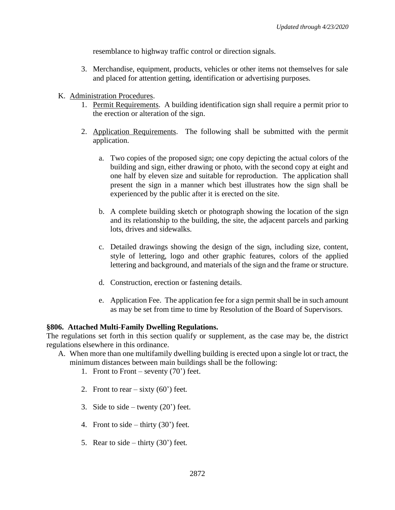resemblance to highway traffic control or direction signals.

- 3. Merchandise, equipment, products, vehicles or other items not themselves for sale and placed for attention getting, identification or advertising purposes.
- K. Administration Procedures.
	- 1. Permit Requirements. A building identification sign shall require a permit prior to the erection or alteration of the sign.
	- 2. Application Requirements. The following shall be submitted with the permit application.
		- a. Two copies of the proposed sign; one copy depicting the actual colors of the building and sign, either drawing or photo, with the second copy at eight and one half by eleven size and suitable for reproduction. The application shall present the sign in a manner which best illustrates how the sign shall be experienced by the public after it is erected on the site.
		- b. A complete building sketch or photograph showing the location of the sign and its relationship to the building, the site, the adjacent parcels and parking lots, drives and sidewalks.
		- c. Detailed drawings showing the design of the sign, including size, content, style of lettering, logo and other graphic features, colors of the applied lettering and background, and materials of the sign and the frame or structure.
		- d. Construction, erection or fastening details.
		- e. Application Fee. The application fee for a sign permit shall be in such amount as may be set from time to time by Resolution of the Board of Supervisors.

### **§806. Attached Multi-Family Dwelling Regulations.**

The regulations set forth in this section qualify or supplement, as the case may be, the district regulations elsewhere in this ordinance.

- A. When more than one multifamily dwelling building is erected upon a single lot or tract, the minimum distances between main buildings shall be the following:
	- 1. Front to Front seventy  $(70)$  feet.
	- 2. Front to rear  $-$  sixty (60') feet.
	- 3. Side to side twenty  $(20')$  feet.
	- 4. Front to side thirty  $(30^{\circ})$  feet.
	- 5. Rear to side thirty  $(30^{\circ})$  feet.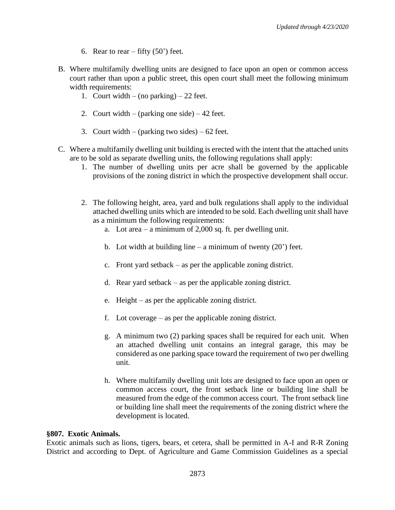- 6. Rear to rear fifty  $(50^{\circ})$  feet.
- B. Where multifamily dwelling units are designed to face upon an open or common access court rather than upon a public street, this open court shall meet the following minimum width requirements:
	- 1. Court width (no parking) 22 feet.
	- 2. Court width (parking one side) 42 feet.
	- 3. Court width (parking two sides)  $62$  feet.
- C. Where a multifamily dwelling unit building is erected with the intent that the attached units are to be sold as separate dwelling units, the following regulations shall apply:
	- 1. The number of dwelling units per acre shall be governed by the applicable provisions of the zoning district in which the prospective development shall occur.
	- 2. The following height, area, yard and bulk regulations shall apply to the individual attached dwelling units which are intended to be sold. Each dwelling unit shall have as a minimum the following requirements:
		- a. Lot area a minimum of 2,000 sq. ft. per dwelling unit.
		- b. Lot width at building line a minimum of twenty  $(20')$  feet.
		- c. Front yard setback as per the applicable zoning district.
		- d. Rear yard setback as per the applicable zoning district.
		- e. Height as per the applicable zoning district.
		- f. Lot coverage as per the applicable zoning district.
		- g. A minimum two (2) parking spaces shall be required for each unit. When an attached dwelling unit contains an integral garage, this may be considered as one parking space toward the requirement of two per dwelling unit.
		- h. Where multifamily dwelling unit lots are designed to face upon an open or common access court, the front setback line or building line shall be measured from the edge of the common access court. The front setback line or building line shall meet the requirements of the zoning district where the development is located.

#### **§807. Exotic Animals.**

Exotic animals such as lions, tigers, bears, et cetera, shall be permitted in A-I and R-R Zoning District and according to Dept. of Agriculture and Game Commission Guidelines as a special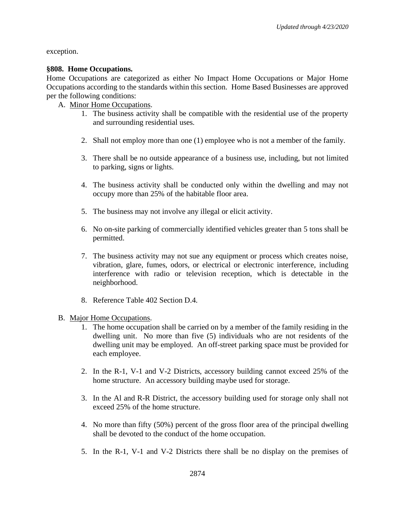exception.

### **§808. Home Occupations.**

Home Occupations are categorized as either No Impact Home Occupations or Major Home Occupations according to the standards within this section.Home Based Businesses are approved per the following conditions:

### A. Minor Home Occupations.

- 1. The business activity shall be compatible with the residential use of the property and surrounding residential uses.
- 2. Shall not employ more than one (1) employee who is not a member of the family.
- 3. There shall be no outside appearance of a business use, including, but not limited to parking, signs or lights.
- 4. The business activity shall be conducted only within the dwelling and may not occupy more than 25% of the habitable floor area.
- 5. The business may not involve any illegal or elicit activity.
- 6. No on-site parking of commercially identified vehicles greater than 5 tons shall be permitted.
- 7. The business activity may not sue any equipment or process which creates noise, vibration, glare, fumes, odors, or electrical or electronic interference, including interference with radio or television reception, which is detectable in the neighborhood.
- 8. Reference Table 402 Section D.4.
- B. Major Home Occupations.
	- 1. The home occupation shall be carried on by a member of the family residing in the dwelling unit. No more than five (5) individuals who are not residents of the dwelling unit may be employed. An off-street parking space must be provided for each employee.
	- 2. In the R-1, V-1 and V-2 Districts, accessory building cannot exceed 25% of the home structure. An accessory building maybe used for storage.
	- 3. In the Al and R-R District, the accessory building used for storage only shall not exceed 25% of the home structure.
	- 4. No more than fifty (50%) percent of the gross floor area of the principal dwelling shall be devoted to the conduct of the home occupation.
	- 5. In the R-1, V-1 and V-2 Districts there shall be no display on the premises of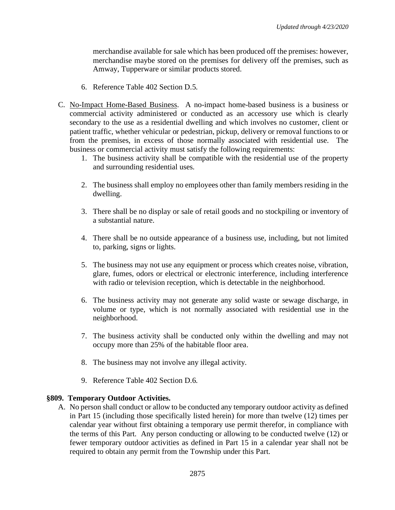merchandise available for sale which has been produced off the premises: however, merchandise maybe stored on the premises for delivery off the premises, such as Amway, Tupperware or similar products stored.

- 6. Reference Table 402 Section D.5.
- C. No-Impact Home-Based Business. A no-impact home-based business is a business or commercial activity administered or conducted as an accessory use which is clearly secondary to the use as a residential dwelling and which involves no customer, client or patient traffic, whether vehicular or pedestrian, pickup, delivery or removal functions to or from the premises, in excess of those normally associated with residential use. The business or commercial activity must satisfy the following requirements:
	- 1. The business activity shall be compatible with the residential use of the property and surrounding residential uses.
	- 2. The business shall employ no employees other than family members residing in the dwelling.
	- 3. There shall be no display or sale of retail goods and no stockpiling or inventory of a substantial nature.
	- 4. There shall be no outside appearance of a business use, including, but not limited to, parking, signs or lights.
	- 5. The business may not use any equipment or process which creates noise, vibration, glare, fumes, odors or electrical or electronic interference, including interference with radio or television reception, which is detectable in the neighborhood.
	- 6. The business activity may not generate any solid waste or sewage discharge, in volume or type, which is not normally associated with residential use in the neighborhood.
	- 7. The business activity shall be conducted only within the dwelling and may not occupy more than 25% of the habitable floor area.
	- 8. The business may not involve any illegal activity.
	- 9. Reference Table 402 Section D.6.

#### **§809. Temporary Outdoor Activities.**

A. No person shall conduct or allow to be conducted any temporary outdoor activity as defined in Part 15 (including those specifically listed herein) for more than twelve (12) times per calendar year without first obtaining a temporary use permit therefor, in compliance with the terms of this Part. Any person conducting or allowing to be conducted twelve (12) or fewer temporary outdoor activities as defined in Part 15 in a calendar year shall not be required to obtain any permit from the Township under this Part.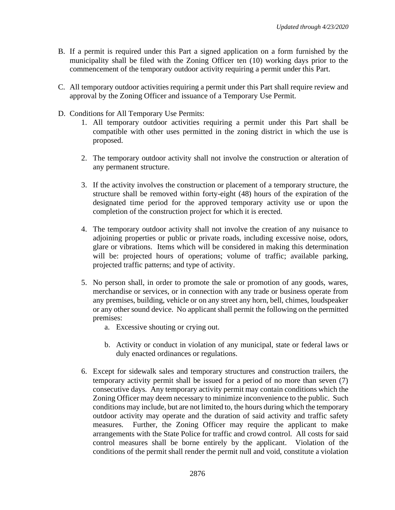- B. If a permit is required under this Part a signed application on a form furnished by the municipality shall be filed with the Zoning Officer ten (10) working days prior to the commencement of the temporary outdoor activity requiring a permit under this Part.
- C. All temporary outdoor activities requiring a permit under this Part shall require review and approval by the Zoning Officer and issuance of a Temporary Use Permit.
- D. Conditions for All Temporary Use Permits:
	- 1. All temporary outdoor activities requiring a permit under this Part shall be compatible with other uses permitted in the zoning district in which the use is proposed.
	- 2. The temporary outdoor activity shall not involve the construction or alteration of any permanent structure.
	- 3. If the activity involves the construction or placement of a temporary structure, the structure shall be removed within forty-eight (48) hours of the expiration of the designated time period for the approved temporary activity use or upon the completion of the construction project for which it is erected.
	- 4. The temporary outdoor activity shall not involve the creation of any nuisance to adjoining properties or public or private roads, including excessive noise, odors, glare or vibrations. Items which will be considered in making this determination will be: projected hours of operations; volume of traffic; available parking, projected traffic patterns; and type of activity.
	- 5. No person shall, in order to promote the sale or promotion of any goods, wares, merchandise or services, or in connection with any trade or business operate from any premises, building, vehicle or on any street any horn, bell, chimes, loudspeaker or any other sound device. No applicant shall permit the following on the permitted premises:
		- a. Excessive shouting or crying out.
		- b. Activity or conduct in violation of any municipal, state or federal laws or duly enacted ordinances or regulations.
	- 6. Except for sidewalk sales and temporary structures and construction trailers, the temporary activity permit shall be issued for a period of no more than seven (7) consecutive days. Any temporary activity permit may contain conditions which the Zoning Officer may deem necessary to minimize inconvenience to the public. Such conditions may include, but are not limited to, the hours during which the temporary outdoor activity may operate and the duration of said activity and traffic safety measures. Further, the Zoning Officer may require the applicant to make arrangements with the State Police for traffic and crowd control. All costs for said control measures shall be borne entirely by the applicant. Violation of the conditions of the permit shall render the permit null and void, constitute a violation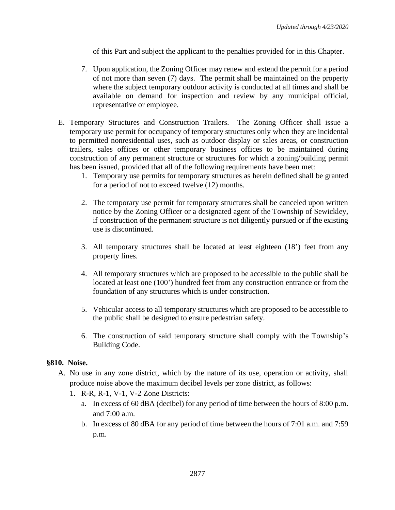of this Part and subject the applicant to the penalties provided for in this Chapter.

- 7. Upon application, the Zoning Officer may renew and extend the permit for a period of not more than seven (7) days. The permit shall be maintained on the property where the subject temporary outdoor activity is conducted at all times and shall be available on demand for inspection and review by any municipal official, representative or employee.
- E. Temporary Structures and Construction Trailers. The Zoning Officer shall issue a temporary use permit for occupancy of temporary structures only when they are incidental to permitted nonresidential uses, such as outdoor display or sales areas, or construction trailers, sales offices or other temporary business offices to be maintained during construction of any permanent structure or structures for which a zoning/building permit has been issued, provided that all of the following requirements have been met:
	- 1. Temporary use permits for temporary structures as herein defined shall be granted for a period of not to exceed twelve (12) months.
	- 2. The temporary use permit for temporary structures shall be canceled upon written notice by the Zoning Officer or a designated agent of the Township of Sewickley, if construction of the permanent structure is not diligently pursued or if the existing use is discontinued.
	- 3. All temporary structures shall be located at least eighteen (18') feet from any property lines.
	- 4. All temporary structures which are proposed to be accessible to the public shall be located at least one (100') hundred feet from any construction entrance or from the foundation of any structures which is under construction.
	- 5. Vehicular access to all temporary structures which are proposed to be accessible to the public shall be designed to ensure pedestrian safety.
	- 6. The construction of said temporary structure shall comply with the Township's Building Code.

## **§810. Noise.**

- A. No use in any zone district, which by the nature of its use, operation or activity, shall produce noise above the maximum decibel levels per zone district, as follows:
	- 1. R-R, R-1, V-1, V-2 Zone Districts:
		- a. In excess of 60 dBA (decibel) for any period of time between the hours of 8:00 p.m. and 7:00 a.m.
		- b. In excess of 80 dBA for any period of time between the hours of 7:01 a.m. and 7:59 p.m.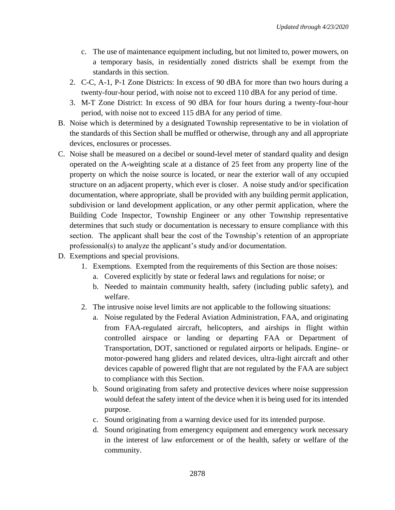- c. The use of maintenance equipment including, but not limited to, power mowers, on a temporary basis, in residentially zoned districts shall be exempt from the standards in this section.
- 2. C-C, A-1, P-1 Zone Districts: In excess of 90 dBA for more than two hours during a twenty-four-hour period, with noise not to exceed 110 dBA for any period of time.
- 3. M-T Zone District: In excess of 90 dBA for four hours during a twenty-four-hour period, with noise not to exceed 115 dBA for any period of time.
- B. Noise which is determined by a designated Township representative to be in violation of the standards of this Section shall be muffled or otherwise, through any and all appropriate devices, enclosures or processes.
- C. Noise shall be measured on a decibel or sound-level meter of standard quality and design operated on the A-weighting scale at a distance of 25 feet from any property line of the property on which the noise source is located, or near the exterior wall of any occupied structure on an adjacent property, which ever is closer. A noise study and/or specification documentation, where appropriate, shall be provided with any building permit application, subdivision or land development application, or any other permit application, where the Building Code Inspector, Township Engineer or any other Township representative determines that such study or documentation is necessary to ensure compliance with this section. The applicant shall bear the cost of the Township's retention of an appropriate professional(s) to analyze the applicant's study and/or documentation.
- D. [Exemptions and special provisions.](https://ecode360.com/11536360#11536454)
	- 1. Exemptions. Exempted from the requirements of this Section are those noises:
		- a. Covered explicitly by state or federal laws and regulations for noise; or
		- b. Needed to maintain community health, safety (including public safety), and welfare.
	- 2. The intrusive noise level limits are not applicable to the following situations:
		- a. Noise regulated by the Federal Aviation Administration, FAA, and originating from FAA-regulated aircraft, helicopters, and airships in flight within controlled airspace or landing or departing FAA or Department of Transportation, DOT, sanctioned or regulated airports or helipads. Engine- or motor-powered hang gliders and related devices, ultra-light aircraft and other devices capable of powered flight that are not regulated by the FAA are subject to compliance with this Section.
		- b. Sound originating from safety and protective devices where noise suppression would defeat the safety intent of the device when it is being used for its intended purpose.
		- c. Sound originating from a warning device used for its intended purpose.
		- d. Sound originating from emergency equipment and emergency work necessary in the interest of law enforcement or of the health, safety or welfare of the community.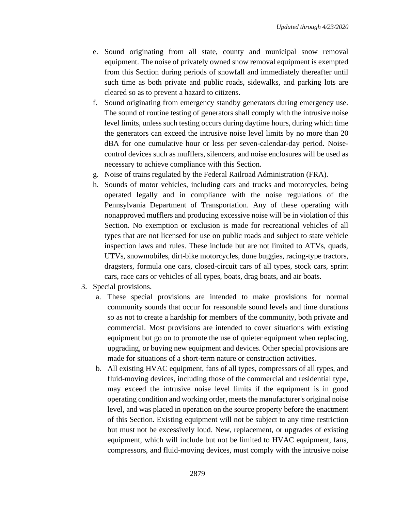- e. Sound originating from all state, county and municipal snow removal equipment. The noise of privately owned snow removal equipment is exempted from this Section during periods of snowfall and immediately thereafter until such time as both private and public roads, sidewalks, and parking lots are cleared so as to prevent a hazard to citizens.
- f. Sound originating from emergency standby generators during emergency use. The sound of routine testing of generators shall comply with the intrusive noise level limits, unless such testing occurs during daytime hours, during which time the generators can exceed the intrusive noise level limits by no more than 20 dBA for one cumulative hour or less per seven-calendar-day period. Noisecontrol devices such as mufflers, silencers, and noise enclosures will be used as necessary to achieve compliance with this Section.
- g. Noise of trains regulated by the Federal Railroad Administration (FRA).
- h. Sounds of motor vehicles, including cars and trucks and motorcycles, being operated legally and in compliance with the noise regulations of the Pennsylvania Department of Transportation. Any of these operating with nonapproved mufflers and producing excessive noise will be in violation of this Section. No exemption or exclusion is made for recreational vehicles of all types that are not licensed for use on public roads and subject to state vehicle inspection laws and rules. These include but are not limited to ATVs, quads, UTVs, snowmobiles, dirt-bike motorcycles, dune buggies, racing-type tractors, dragsters, formula one cars, closed-circuit cars of all types, stock cars, sprint cars, race cars or vehicles of all types, boats, drag boats, and air boats.
- 3. Special provisions.
	- a. These special provisions are intended to make provisions for normal community sounds that occur for reasonable sound levels and time durations so as not to create a hardship for members of the community, both private and commercial. Most provisions are intended to cover situations with existing equipment but go on to promote the use of quieter equipment when replacing, upgrading, or buying new equipment and devices. Other special provisions are made for situations of a short-term nature or construction activities.
	- b. All existing HVAC equipment, fans of all types, compressors of all types, and fluid-moving devices, including those of the commercial and residential type, may exceed the intrusive noise level limits if the equipment is in good operating condition and working order, meets the manufacturer's original noise level, and was placed in operation on the source property before the enactment of this Section. Existing equipment will not be subject to any time restriction but must not be excessively loud. New, replacement, or upgrades of existing equipment, which will include but not be limited to HVAC equipment, fans, compressors, and fluid-moving devices, must comply with the intrusive noise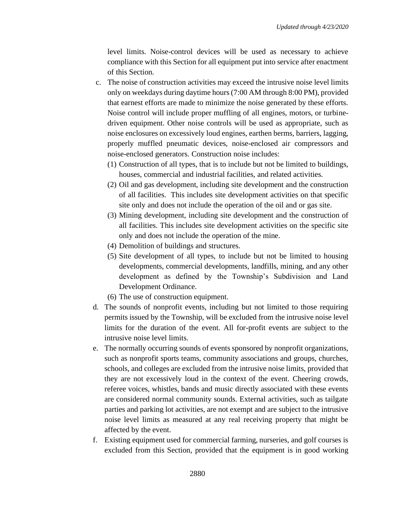level limits. Noise-control devices will be used as necessary to achieve compliance with this Section for all equipment put into service after enactment of this Section.

- c. The noise of construction activities may exceed the intrusive noise level limits only on weekdays during daytime hours (7:00 AM through 8:00 PM), provided that earnest efforts are made to minimize the noise generated by these efforts. Noise control will include proper muffling of all engines, motors, or turbinedriven equipment. Other noise controls will be used as appropriate, such as noise enclosures on excessively loud engines, earthen berms, barriers, lagging, properly muffled pneumatic devices, noise-enclosed air compressors and noise-enclosed generators. Construction noise includes:
	- (1) Construction of all types, that is to include but not be limited to buildings, houses, commercial and industrial facilities, and related activities.
	- (2) Oil and gas development, including site development and the construction of all facilities. This includes site development activities on that specific site only and does not include the operation of the oil and or gas site.
	- (3) Mining development, including site development and the construction of all facilities. This includes site development activities on the specific site only and does not include the operation of the mine.
	- (4) Demolition of buildings and structures.
	- (5) Site development of all types, to include but not be limited to housing developments, commercial developments, landfills, mining, and any other development as defined by the Township's Subdivision and Land Development Ordinance.

(6) The use of construction equipment.

- d. The sounds of nonprofit events, including but not limited to those requiring permits issued by the Township, will be excluded from the intrusive noise level limits for the duration of the event. All for-profit events are subject to the intrusive noise level limits.
- e. The normally occurring sounds of events sponsored by nonprofit organizations, such as nonprofit sports teams, community associations and groups, churches, schools, and colleges are excluded from the intrusive noise limits, provided that they are not excessively loud in the context of the event. Cheering crowds, referee voices, whistles, bands and music directly associated with these events are considered normal community sounds. External activities, such as tailgate parties and parking lot activities, are not exempt and are subject to the intrusive noise level limits as measured at any real receiving property that might be affected by the event.
- f. Existing equipment used for commercial farming, nurseries, and golf courses is excluded from this Section, provided that the equipment is in good working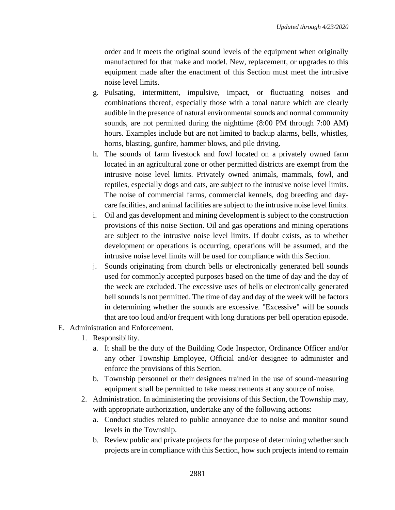order and it meets the original sound levels of the equipment when originally manufactured for that make and model. New, replacement, or upgrades to this equipment made after the enactment of this Section must meet the intrusive noise level limits.

- g. Pulsating, intermittent, impulsive, impact, or fluctuating noises and combinations thereof, especially those with a tonal nature which are clearly audible in the presence of natural environmental sounds and normal community sounds, are not permitted during the nighttime (8:00 PM through 7:00 AM) hours. Examples include but are not limited to backup alarms, bells, whistles, horns, blasting, gunfire, hammer blows, and pile driving.
- h. The sounds of farm livestock and fowl located on a privately owned farm located in an agricultural zone or other permitted districts are exempt from the intrusive noise level limits. Privately owned animals, mammals, fowl, and reptiles, especially dogs and cats, are subject to the intrusive noise level limits. The noise of commercial farms, commercial kennels, dog breeding and daycare facilities, and animal facilities are subject to the intrusive noise level limits.
- i. Oil and gas development and mining development is subject to the construction provisions of this noise Section. Oil and gas operations and mining operations are subject to the intrusive noise level limits. If doubt exists, as to whether development or operations is occurring, operations will be assumed, and the intrusive noise level limits will be used for compliance with this Section.
- j. Sounds originating from church bells or electronically generated bell sounds used for commonly accepted purposes based on the time of day and the day of the week are excluded. The excessive uses of bells or electronically generated bell sounds is not permitted. The time of day and day of the week will be factors in determining whether the sounds are excessive. "Excessive" will be sounds that are too loud and/or frequent with long durations per bell operation episode.
- E. Administration and Enforcement.
	- 1. Responsibility.
		- a. It shall be the duty of the Building Code Inspector, Ordinance Officer and/or any other Township Employee, Official and/or designee to administer and enforce the provisions of this Section.
		- b. Township personnel or their designees trained in the use of sound-measuring equipment shall be permitted to take measurements at any source of noise.
	- 2. Administration. In administering the provisions of this Section, the Township may, with appropriate authorization, undertake any of the following actions:
		- a. Conduct studies related to public annoyance due to noise and monitor sound levels in the Township.
		- b. Review public and private projects for the purpose of determining whether such projects are in compliance with this Section, how such projects intend to remain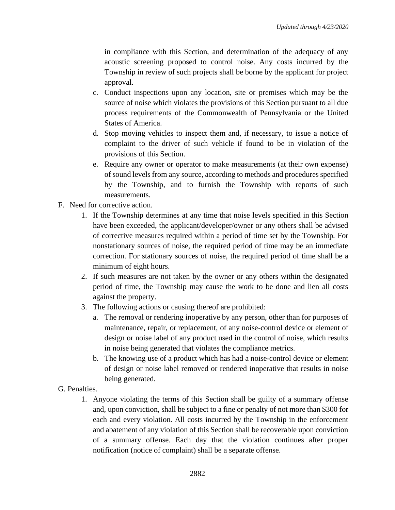in compliance with this Section, and determination of the adequacy of any acoustic screening proposed to control noise. Any costs incurred by the Township in review of such projects shall be borne by the applicant for project approval.

- c. Conduct inspections upon any location, site or premises which may be the source of noise which violates the provisions of this Section pursuant to all due process requirements of the Commonwealth of Pennsylvania or the United States of America.
- d. Stop moving vehicles to inspect them and, if necessary, to issue a notice of complaint to the driver of such vehicle if found to be in violation of the provisions of this Section.
- e. Require any owner or operator to make measurements (at their own expense) of sound levels from any source, according to methods and procedures specified by the Township, and to furnish the Township with reports of such measurements.
- F. Need for corrective action.
	- 1. If the Township determines at any time that noise levels specified in this Section have been exceeded, the applicant/developer/owner or any others shall be advised of corrective measures required within a period of time set by the Township. For nonstationary sources of noise, the required period of time may be an immediate correction. For stationary sources of noise, the required period of time shall be a minimum of eight hours.
	- 2. If such measures are not taken by the owner or any others within the designated period of time, the Township may cause the work to be done and lien all costs against the property.
	- 3. The following actions or causing thereof are prohibited:
		- a. The removal or rendering inoperative by any person, other than for purposes of maintenance, repair, or replacement, of any noise-control device or element of design or noise label of any product used in the control of noise, which results in noise being generated that violates the compliance metrics.
		- b. The knowing use of a product which has had a noise-control device or element of design or noise label removed or rendered inoperative that results in noise being generated.

## G. Penalties.

1. Anyone violating the terms of this Section shall be guilty of a summary offense and, upon conviction, shall be subject to a fine or penalty of not more than \$300 for each and every violation. All costs incurred by the Township in the enforcement and abatement of any violation of this Section shall be recoverable upon conviction of a summary offense. Each day that the violation continues after proper notification (notice of complaint) shall be a separate offense.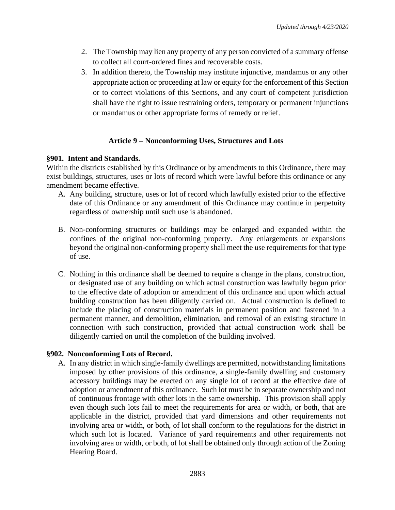- 2. The Township may lien any property of any person convicted of a summary offense to collect all court-ordered fines and recoverable costs.
- 3. In addition thereto, the Township may institute injunctive, mandamus or any other appropriate action or proceeding at law or equity for the enforcement of this Section or to correct violations of this Sections, and any court of competent jurisdiction shall have the right to issue restraining orders, temporary or permanent injunctions or mandamus or other appropriate forms of remedy or relief.

## **Article 9 – Nonconforming Uses, Structures and Lots**

## **§901. Intent and Standards.**

Within the districts established by this Ordinance or by amendments to this Ordinance, there may exist buildings, structures, uses or lots of record which were lawful before this ordinance or any amendment became effective.

- A. Any building, structure, uses or lot of record which lawfully existed prior to the effective date of this Ordinance or any amendment of this Ordinance may continue in perpetuity regardless of ownership until such use is abandoned.
- B. Non-conforming structures or buildings may be enlarged and expanded within the confines of the original non-conforming property. Any enlargements or expansions beyond the original non-conforming property shall meet the use requirements for that type of use.
- C. Nothing in this ordinance shall be deemed to require a change in the plans, construction, or designated use of any building on which actual construction was lawfully begun prior to the effective date of adoption or amendment of this ordinance and upon which actual building construction has been diligently carried on. Actual construction is defined to include the placing of construction materials in permanent position and fastened in a permanent manner, and demolition, elimination, and removal of an existing structure in connection with such construction, provided that actual construction work shall be diligently carried on until the completion of the building involved.

## **§902. Nonconforming Lots of Record.**

A. In any district in which single-family dwellings are permitted, notwithstanding limitations imposed by other provisions of this ordinance, a single-family dwelling and customary accessory buildings may be erected on any single lot of record at the effective date of adoption or amendment of this ordinance. Such lot must be in separate ownership and not of continuous frontage with other lots in the same ownership. This provision shall apply even though such lots fail to meet the requirements for area or width, or both, that are applicable in the district, provided that yard dimensions and other requirements not involving area or width, or both, of lot shall conform to the regulations for the district in which such lot is located. Variance of yard requirements and other requirements not involving area or width, or both, of lot shall be obtained only through action of the Zoning Hearing Board.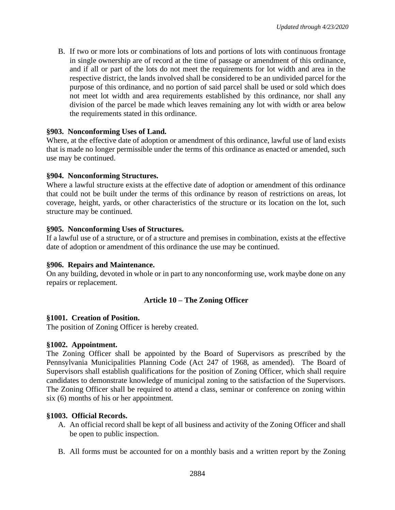B. If two or more lots or combinations of lots and portions of lots with continuous frontage in single ownership are of record at the time of passage or amendment of this ordinance, and if all or part of the lots do not meet the requirements for lot width and area in the respective district, the lands involved shall be considered to be an undivided parcel for the purpose of this ordinance, and no portion of said parcel shall be used or sold which does not meet lot width and area requirements established by this ordinance, nor shall any division of the parcel be made which leaves remaining any lot with width or area below the requirements stated in this ordinance.

### **§903. Nonconforming Uses of Land.**

Where, at the effective date of adoption or amendment of this ordinance, lawful use of land exists that is made no longer permissible under the terms of this ordinance as enacted or amended, such use may be continued.

#### **§904. Nonconforming Structures.**

Where a lawful structure exists at the effective date of adoption or amendment of this ordinance that could not be built under the terms of this ordinance by reason of restrictions on areas, lot coverage, height, yards, or other characteristics of the structure or its location on the lot, such structure may be continued.

### **§905. Nonconforming Uses of Structures.**

If a lawful use of a structure, or of a structure and premises in combination, exists at the effective date of adoption or amendment of this ordinance the use may be continued.

#### **§906. Repairs and Maintenance.**

On any building, devoted in whole or in part to any nonconforming use, work maybe done on any repairs or replacement.

## **Article 10 – The Zoning Officer**

#### **§1001. Creation of Position.**

The position of Zoning Officer is hereby created.

#### **§1002. Appointment.**

The Zoning Officer shall be appointed by the Board of Supervisors as prescribed by the Pennsylvania Municipalities Planning Code (Act 247 of 1968, as amended). The Board of Supervisors shall establish qualifications for the position of Zoning Officer, which shall require candidates to demonstrate knowledge of municipal zoning to the satisfaction of the Supervisors. The Zoning Officer shall be required to attend a class, seminar or conference on zoning within six (6) months of his or her appointment.

## **§1003. Official Records.**

- A. An official record shall be kept of all business and activity of the Zoning Officer and shall be open to public inspection.
- B. All forms must be accounted for on a monthly basis and a written report by the Zoning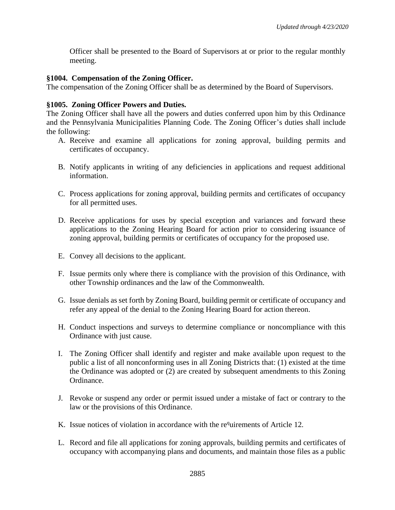Officer shall be presented to the Board of Supervisors at or prior to the regular monthly meeting.

### **§1004. Compensation of the Zoning Officer.**

The compensation of the Zoning Officer shall be as determined by the Board of Supervisors.

### **§1005. Zoning Officer Powers and Duties.**

The Zoning Officer shall have all the powers and duties conferred upon him by this Ordinance and the Pennsylvania Municipalities Planning Code. The Zoning Officer's duties shall include the following:

- A. Receive and examine all applications for zoning approval, building permits and certificates of occupancy.
- B. Notify applicants in writing of any deficiencies in applications and request additional information.
- C. Process applications for zoning approval, building permits and certificates of occupancy for all permitted uses.
- D. Receive applications for uses by special exception and variances and forward these applications to the Zoning Hearing Board for action prior to considering issuance of zoning approval, building permits or certificates of occupancy for the proposed use.
- E. Convey all decisions to the applicant.
- F. Issue permits only where there is compliance with the provision of this Ordinance, with other Township ordinances and the law of the Commonwealth.
- G. Issue denials as set forth by Zoning Board, building permit or certificate of occupancy and refer any appeal of the denial to the Zoning Hearing Board for action thereon.
- H. Conduct inspections and surveys to determine compliance or noncompliance with this Ordinance with just cause.
- I. The Zoning Officer shall identify and register and make available upon request to the public a list of all nonconforming uses in all Zoning Districts that: (1) existed at the time the Ordinance was adopted or (2) are created by subsequent amendments to this Zoning Ordinance.
- J. Revoke or suspend any order or permit issued under a mistake of fact or contrary to the law or the provisions of this Ordinance.
- K. Issue notices of violation in accordance with the re<sup>q</sup>uirements of Article 12.
- L. Record and file all applications for zoning approvals, building permits and certificates of occupancy with accompanying plans and documents, and maintain those files as a public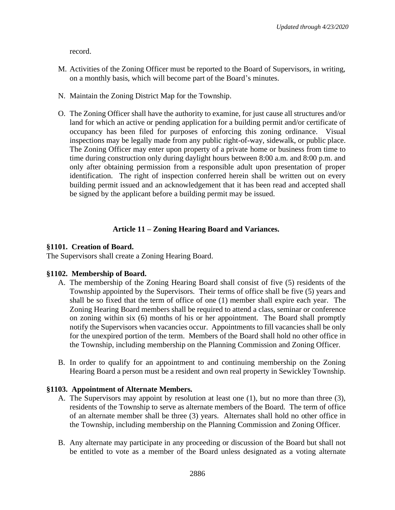record.

- M. Activities of the Zoning Officer must be reported to the Board of Supervisors, in writing, on a monthly basis, which will become part of the Board's minutes.
- N. Maintain the Zoning District Map for the Township.
- O. The Zoning Officer shall have the authority to examine, for just cause all structures and/or land for which an active or pending application for a building permit and/or certificate of occupancy has been filed for purposes of enforcing this zoning ordinance. Visual inspections may be legally made from any public right-of-way, sidewalk, or public place. The Zoning Officer may enter upon property of a private home or business from time to time during construction only during daylight hours between 8:00 a.m. and 8:00 p.m. and only after obtaining permission from a responsible adult upon presentation of proper identification. The right of inspection conferred herein shall be written out on every building permit issued and an acknowledgement that it has been read and accepted shall be signed by the applicant before a building permit may be issued.

### **Article 11 – Zoning Hearing Board and Variances.**

#### **§1101. Creation of Board.**

The Supervisors shall create a Zoning Hearing Board.

#### **§1102. Membership of Board.**

- A. The membership of the Zoning Hearing Board shall consist of five (5) residents of the Township appointed by the Supervisors. Their terms of office shall be five (5) years and shall be so fixed that the term of office of one (1) member shall expire each year. The Zoning Hearing Board members shall be required to attend a class, seminar or conference on zoning within six (6) months of his or her appointment. The Board shall promptly notify the Supervisors when vacancies occur. Appointments to fill vacancies shall be only for the unexpired portion of the term. Members of the Board shall hold no other office in the Township, including membership on the Planning Commission and Zoning Officer.
- B. In order to qualify for an appointment to and continuing membership on the Zoning Hearing Board a person must be a resident and own real property in Sewickley Township.

#### **§1103. Appointment of Alternate Members.**

- A. The Supervisors may appoint by resolution at least one (1), but no more than three (3), residents of the Township to serve as alternate members of the Board. The term of office of an alternate member shall be three (3) years. Alternates shall hold no other office in the Township, including membership on the Planning Commission and Zoning Officer.
- B. Any alternate may participate in any proceeding or discussion of the Board but shall not be entitled to vote as a member of the Board unless designated as a voting alternate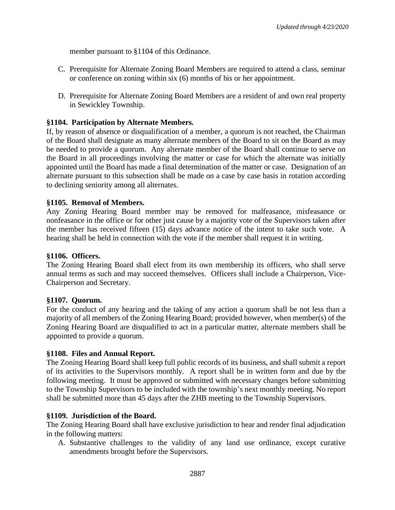member pursuant to §1104 of this Ordinance.

- C. Prerequisite for Alternate Zoning Board Members are required to attend a class, seminar or conference on zoning within six (6) months of his or her appointment.
- D. Prerequisite for Alternate Zoning Board Members are a resident of and own real property in Sewickley Township.

### **§1104. Participation by Alternate Members.**

If, by reason of absence or disqualification of a member, a quorum is not reached, the Chairman of the Board shall designate as many alternate members of the Board to sit on the Board as may be needed to provide a quorum. Any alternate member of the Board shall continue to serve on the Board in all proceedings involving the matter or case for which the alternate was initially appointed until the Board has made a final determination of the matter or case. Designation of an alternate pursuant to this subsection shall be made on a case by case basis in rotation according to declining seniority among all alternates.

#### **§1105. Removal of Members.**

Any Zoning Hearing Board member may be removed for malfeasance, misfeasance or nonfeasance in the office or for other just cause by a majority vote of the Supervisors taken after the member has received fifteen (15) days advance notice of the intent to take such vote. A hearing shall be held in connection with the vote if the member shall request it in writing.

#### **§1106. Officers.**

The Zoning Hearing Board shall elect from its own membership its officers, who shall serve annual terms as such and may succeed themselves. Officers shall include a Chairperson, Vice-Chairperson and Secretary.

#### **§1107. Quorum.**

For the conduct of any hearing and the taking of any action a quorum shall be not less than a majority of all members of the Zoning Hearing Board; provided however, when member(s) of the Zoning Hearing Board are disqualified to act in a particular matter, alternate members shall be appointed to provide a quorum.

#### **§1108. Files and Annual Report.**

The Zoning Hearing Board shall keep full public records of its business, and shall submit a report of its activities to the Supervisors monthly. A report shall be in written form and due by the following meeting. It must be approved or submitted with necessary changes before submitting to the Township Supervisors to be included with the township's next monthly meeting. No report shall be submitted more than 45 days after the ZHB meeting to the Township Supervisors.

#### **§1109. Jurisdiction of the Board.**

The Zoning Hearing Board shall have exclusive jurisdiction to hear and render final adjudication in the following matters:

A. Substantive challenges to the validity of any land use ordinance, except curative amendments brought before the Supervisors.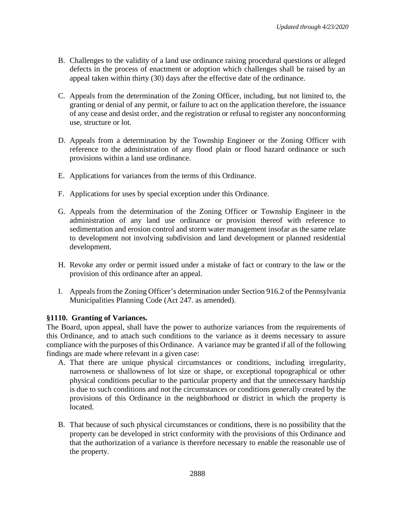- B. Challenges to the validity of a land use ordinance raising procedural questions or alleged defects in the process of enactment or adoption which challenges shall be raised by an appeal taken within thirty (30) days after the effective date of the ordinance.
- C. Appeals from the determination of the Zoning Officer, including, but not limited to, the granting or denial of any permit, or failure to act on the application therefore, the issuance of any cease and desist order, and the registration or refusal to register any nonconforming use, structure or lot.
- D. Appeals from a determination by the Township Engineer or the Zoning Officer with reference to the administration of any flood plain or flood hazard ordinance or such provisions within a land use ordinance.
- E. Applications for variances from the terms of this Ordinance.
- F. Applications for uses by special exception under this Ordinance.
- G. Appeals from the determination of the Zoning Officer or Township Engineer in the administration of any land use ordinance or provision thereof with reference to sedimentation and erosion control and storm water management insofar as the same relate to development not involving subdivision and land development or planned residential development.
- H. Revoke any order or permit issued under a mistake of fact or contrary to the law or the provision of this ordinance after an appeal.
- I. Appeals from the Zoning Officer's determination under Section 916.2 of the Pennsylvania Municipalities Planning Code (Act 247. as amended).

#### **§1110. Granting of Variances.**

The Board, upon appeal, shall have the power to authorize variances from the requirements of this Ordinance, and to attach such conditions to the variance as it deems necessary to assure compliance with the purposes of this Ordinance. A variance may be granted if all of the following findings are made where relevant in a given case:

- A. That there are unique physical circumstances or conditions, including irregularity, narrowness or shallowness of lot size or shape, or exceptional topographical or other physical conditions peculiar to the particular property and that the unnecessary hardship is due to such conditions and not the circumstances or conditions generally created by the provisions of this Ordinance in the neighborhood or district in which the property is located.
- B. That because of such physical circumstances or conditions, there is no possibility that the property can be developed in strict conformity with the provisions of this Ordinance and that the authorization of a variance is therefore necessary to enable the reasonable use of the property.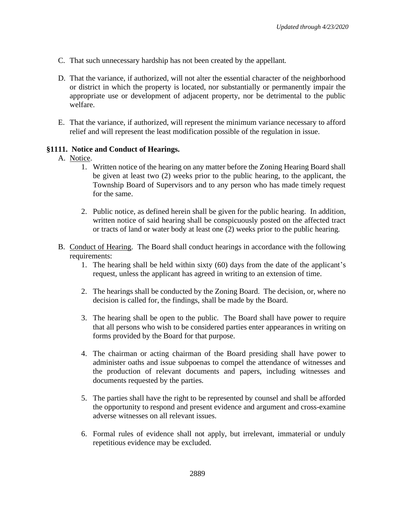- C. That such unnecessary hardship has not been created by the appellant.
- D. That the variance, if authorized, will not alter the essential character of the neighborhood or district in which the property is located, nor substantially or permanently impair the appropriate use or development of adjacent property, nor be detrimental to the public welfare.
- E. That the variance, if authorized, will represent the minimum variance necessary to afford relief and will represent the least modification possible of the regulation in issue.

### **§1111. Notice and Conduct of Hearings.**

### A. Notice.

- 1. Written notice of the hearing on any matter before the Zoning Hearing Board shall be given at least two (2) weeks prior to the public hearing, to the applicant, the Township Board of Supervisors and to any person who has made timely request for the same.
- 2. Public notice, as defined herein shall be given for the public hearing. In addition, written notice of said hearing shall be conspicuously posted on the affected tract or tracts of land or water body at least one (2) weeks prior to the public hearing.
- B. Conduct of Hearing. The Board shall conduct hearings in accordance with the following requirements:
	- 1. The hearing shall be held within sixty (60) days from the date of the applicant's request, unless the applicant has agreed in writing to an extension of time.
	- 2. The hearings shall be conducted by the Zoning Board. The decision, or, where no decision is called for, the findings, shall be made by the Board.
	- 3. The hearing shall be open to the public. The Board shall have power to require that all persons who wish to be considered parties enter appearances in writing on forms provided by the Board for that purpose.
	- 4. The chairman or acting chairman of the Board presiding shall have power to administer oaths and issue subpoenas to compel the attendance of witnesses and the production of relevant documents and papers, including witnesses and documents requested by the parties.
	- 5. The parties shall have the right to be represented by counsel and shall be afforded the opportunity to respond and present evidence and argument and cross-examine adverse witnesses on all relevant issues.
	- 6. Formal rules of evidence shall not apply, but irrelevant, immaterial or unduly repetitious evidence may be excluded.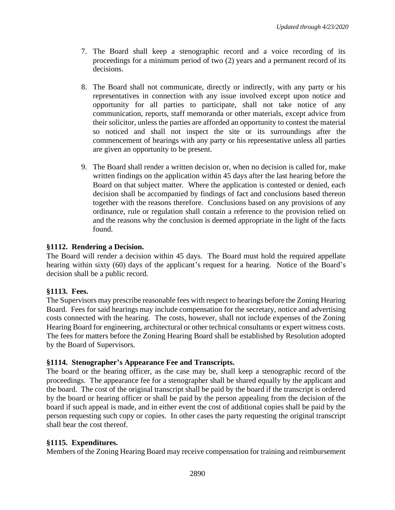- 7. The Board shall keep a stenographic record and a voice recording of its proceedings for a minimum period of two (2) years and a permanent record of its decisions.
- 8. The Board shall not communicate, directly or indirectly, with any party or his representatives in connection with any issue involved except upon notice and opportunity for all parties to participate, shall not take notice of any communication, reports, staff memoranda or other materials, except advice from their solicitor, unless the parties are afforded an opportunity to contest the material so noticed and shall not inspect the site or its surroundings after the commencement of hearings with any party or his representative unless all parties are given an opportunity to be present.
- 9. The Board shall render a written decision or, when no decision is called for, make written findings on the application within 45 days after the last hearing before the Board on that subject matter. Where the application is contested or denied, each decision shall be accompanied by findings of fact and conclusions based thereon together with the reasons therefore. Conclusions based on any provisions of any ordinance, rule or regulation shall contain a reference to the provision relied on and the reasons why the conclusion is deemed appropriate in the light of the facts found.

## **§1112. Rendering a Decision.**

The Board will render a decision within 45 days. The Board must hold the required appellate hearing within sixty (60) days of the applicant's request for a hearing. Notice of the Board's decision shall be a public record.

## **§1113. Fees.**

The Supervisors may prescribe reasonable fees with respect to hearings before the Zoning Hearing Board. Fees for said hearings may include compensation for the secretary, notice and advertising costs connected with the hearing. The costs, however, shall not include expenses of the Zoning Hearing Board for engineering, architectural or other technical consultants or expert witness costs. The fees for matters before the Zoning Hearing Board shall be established by Resolution adopted by the Board of Supervisors.

## **§1114. Stenographer's Appearance Fee and Transcripts.**

The board or the hearing officer, as the case may be, shall keep a stenographic record of the proceedings. The appearance fee for a stenographer shall be shared equally by the applicant and the board. The cost of the original transcript shall be paid by the board if the transcript is ordered by the board or hearing officer or shall be paid by the person appealing from the decision of the board if such appeal is made, and in either event the cost of additional copies shall be paid by the person requesting such copy or copies. In other cases the party requesting the original transcript shall bear the cost thereof.

## **§1115. Expenditures.**

Members of the Zoning Hearing Board may receive compensation for training and reimbursement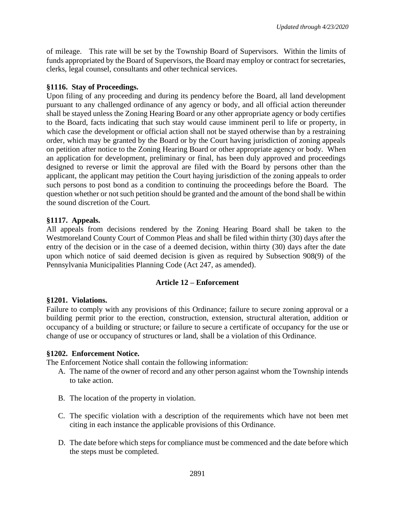of mileage. This rate will be set by the Township Board of Supervisors. Within the limits of funds appropriated by the Board of Supervisors, the Board may employ or contract for secretaries, clerks, legal counsel, consultants and other technical services.

## **§1116. Stay of Proceedings.**

Upon filing of any proceeding and during its pendency before the Board, all land development pursuant to any challenged ordinance of any agency or body, and all official action thereunder shall be stayed unless the Zoning Hearing Board or any other appropriate agency or body certifies to the Board, facts indicating that such stay would cause imminent peril to life or property, in which case the development or official action shall not be stayed otherwise than by a restraining order, which may be granted by the Board or by the Court having jurisdiction of zoning appeals on petition after notice to the Zoning Hearing Board or other appropriate agency or body. When an application for development, preliminary or final, has been duly approved and proceedings designed to reverse or limit the approval are filed with the Board by persons other than the applicant, the applicant may petition the Court haying jurisdiction of the zoning appeals to order such persons to post bond as a condition to continuing the proceedings before the Board. The question whether or not such petition should be granted and the amount of the bond shall be within the sound discretion of the Court.

## **§1117. Appeals.**

All appeals from decisions rendered by the Zoning Hearing Board shall be taken to the Westmoreland County Court of Common Pleas and shall be filed within thirty (30) days after the entry of the decision or in the case of a deemed decision, within thirty (30) days after the date upon which notice of said deemed decision is given as required by Subsection 908(9) of the Pennsylvania Municipalities Planning Code (Act 247, as amended).

## **Article 12 – Enforcement**

## **§1201. Violations.**

Failure to comply with any provisions of this Ordinance; failure to secure zoning approval or a building permit prior to the erection, construction, extension, structural alteration, addition or occupancy of a building or structure; or failure to secure a certificate of occupancy for the use or change of use or occupancy of structures or land, shall be a violation of this Ordinance.

## **§1202. Enforcement Notice.**

The Enforcement Notice shall contain the following information:

- A. The name of the owner of record and any other person against whom the Township intends to take action.
- B. The location of the property in violation.
- C. The specific violation with a description of the requirements which have not been met citing in each instance the applicable provisions of this Ordinance.
- D. The date before which steps for compliance must be commenced and the date before which the steps must be completed.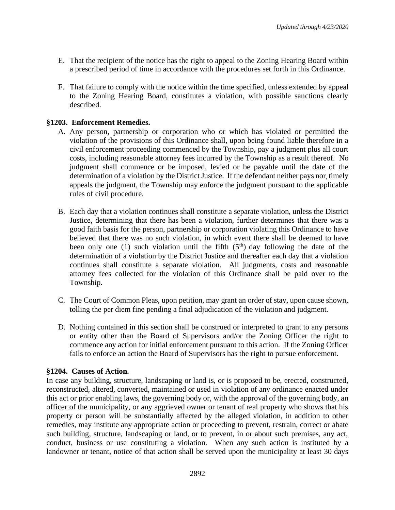- E. That the recipient of the notice has the right to appeal to the Zoning Hearing Board within a prescribed period of time in accordance with the procedures set forth in this Ordinance.
- F. That failure to comply with the notice within the time specified, unless extended by appeal to the Zoning Hearing Board, constitutes a violation, with possible sanctions clearly described.

# **§1203. Enforcement Remedies.**

- A. Any person, partnership or corporation who or which has violated or permitted the violation of the provisions of this Ordinance shall, upon being found liable therefore in a civil enforcement proceeding commenced by the Township, pay a judgment plus all court costs, including reasonable attorney fees incurred by the Township as a result thereof. No judgment shall commence or be imposed, levied or be payable until the date of the determination of a violation by the District Justice. If the defendant neither pays nor, timely appeals the judgment, the Township may enforce the judgment pursuant to the applicable rules of civil procedure.
- B. Each day that a violation continues shall constitute a separate violation, unless the District Justice, determining that there has been a violation, further determines that there was a good faith basis for the person, partnership or corporation violating this Ordinance to have believed that there was no such violation, in which event there shall be deemed to have been only one (1) such violation until the fifth  $(5<sup>th</sup>)$  day following the date of the determination of a violation by the District Justice and thereafter each day that a violation continues shall constitute a separate violation. All judgments, costs and reasonable attorney fees collected for the violation of this Ordinance shall be paid over to the Township.
- C. The Court of Common Pleas, upon petition, may grant an order of stay, upon cause shown, tolling the per diem fine pending a final adjudication of the violation and judgment.
- D. Nothing contained in this section shall be construed or interpreted to grant to any persons or entity other than the Board of Supervisors and/or the Zoning Officer the right to commence any action for initial enforcement pursuant to this action. If the Zoning Officer fails to enforce an action the Board of Supervisors has the right to pursue enforcement.

## **§1204. Causes of Action.**

In case any building, structure, landscaping or land is, or is proposed to be, erected, constructed, reconstructed, altered, converted, maintained or used in violation of any ordinance enacted under this act or prior enabling laws, the governing body or, with the approval of the governing body, an officer of the municipality, or any aggrieved owner or tenant of real property who shows that his property or person will be substantially affected by the alleged violation, in addition to other remedies, may institute any appropriate action or proceeding to prevent, restrain, correct or abate such building, structure, landscaping or land, or to prevent, in or about such premises, any act, conduct, business or use constituting a violation. When any such action is instituted by a landowner or tenant, notice of that action shall be served upon the municipality at least 30 days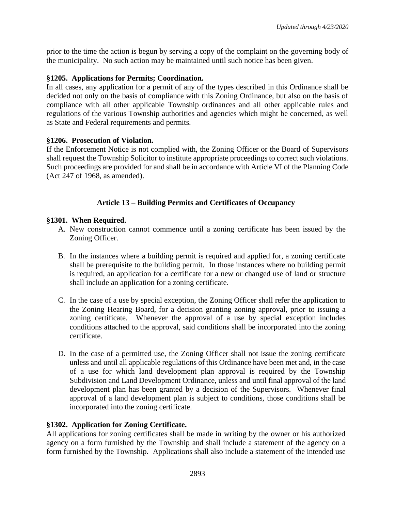prior to the time the action is begun by serving a copy of the complaint on the governing body of the municipality. No such action may be maintained until such notice has been given.

### **§1205. Applications for Permits; Coordination.**

In all cases, any application for a permit of any of the types described in this Ordinance shall be decided not only on the basis of compliance with this Zoning Ordinance, but also on the basis of compliance with all other applicable Township ordinances and all other applicable rules and regulations of the various Township authorities and agencies which might be concerned, as well as State and Federal requirements and permits.

### **§1206. Prosecution of Violation.**

If the Enforcement Notice is not complied with, the Zoning Officer or the Board of Supervisors shall request the Township Solicitor to institute appropriate proceedings to correct such violations. Such proceedings are provided for and shall be in accordance with Article VI of the Planning Code (Act 247 of 1968, as amended).

# **Article 13 – Building Permits and Certificates of Occupancy**

### **§1301. When Required.**

- A. New construction cannot commence until a zoning certificate has been issued by the Zoning Officer.
- B. In the instances where a building permit is required and applied for, a zoning certificate shall be prerequisite to the building permit. In those instances where no building permit is required, an application for a certificate for a new or changed use of land or structure shall include an application for a zoning certificate.
- C. In the case of a use by special exception, the Zoning Officer shall refer the application to the Zoning Hearing Board, for a decision granting zoning approval, prior to issuing a zoning certificate. Whenever the approval of a use by special exception includes conditions attached to the approval, said conditions shall be incorporated into the zoning certificate.
- D. In the case of a permitted use, the Zoning Officer shall not issue the zoning certificate unless and until all applicable regulations of this Ordinance have been met and, in the case of a use for which land development plan approval is required by the Township Subdivision and Land Development Ordinance, unless and until final approval of the land development plan has been granted by a decision of the Supervisors. Whenever final approval of a land development plan is subject to conditions, those conditions shall be incorporated into the zoning certificate.

## **§1302. Application for Zoning Certificate.**

All applications for zoning certificates shall be made in writing by the owner or his authorized agency on a form furnished by the Township and shall include a statement of the agency on a form furnished by the Township. Applications shall also include a statement of the intended use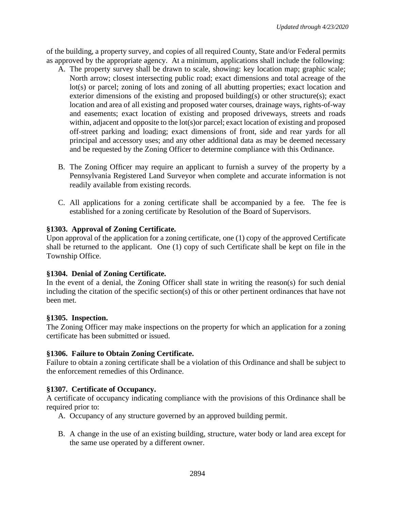of the building, a property survey, and copies of all required County, State and/or Federal permits as approved by the appropriate agency. At a minimum, applications shall include the following:

- A. The property survey shall be drawn to scale, showing: key location map; graphic scale; North arrow; closest intersecting public road; exact dimensions and total acreage of the lot(s) or parcel; zoning of lots and zoning of all abutting properties; exact location and exterior dimensions of the existing and proposed building(s) or other structure(s); exact location and area of all existing and proposed water courses, drainage ways, rights-of-way and easements; exact location of existing and proposed driveways, streets and roads within, adjacent and opposite to the lot(s)or parcel; exact location of existing and proposed off-street parking and loading; exact dimensions of front, side and rear yards for all principal and accessory uses; and any other additional data as may be deemed necessary and be requested by the Zoning Officer to determine compliance with this Ordinance.
- B. The Zoning Officer may require an applicant to furnish a survey of the property by a Pennsylvania Registered Land Surveyor when complete and accurate information is not readily available from existing records.
- C. All applications for a zoning certificate shall be accompanied by a fee. The fee is established for a zoning certificate by Resolution of the Board of Supervisors.

## **§1303. Approval of Zoning Certificate.**

Upon approval of the application for a zoning certificate, one (1) copy of the approved Certificate shall be returned to the applicant. One (1) copy of such Certificate shall be kept on file in the Township Office.

## **§1304. Denial of Zoning Certificate.**

In the event of a denial, the Zoning Officer shall state in writing the reason(s) for such denial including the citation of the specific section(s) of this or other pertinent ordinances that have not been met.

## **§1305. Inspection.**

The Zoning Officer may make inspections on the property for which an application for a zoning certificate has been submitted or issued.

## **§1306. Failure to Obtain Zoning Certificate.**

Failure to obtain a zoning certificate shall be a violation of this Ordinance and shall be subject to the enforcement remedies of this Ordinance.

## **§1307. Certificate of Occupancy.**

A certificate of occupancy indicating compliance with the provisions of this Ordinance shall be required prior to:

- A. Occupancy of any structure governed by an approved building permit.
- B. A change in the use of an existing building, structure, water body or land area except for the same use operated by a different owner.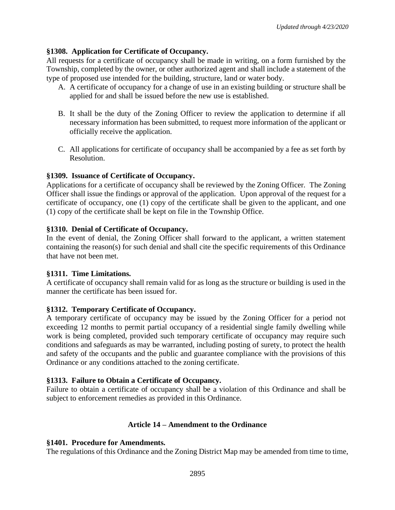# **§1308. Application for Certificate of Occupancy.**

All requests for a certificate of occupancy shall be made in writing, on a form furnished by the Township, completed by the owner, or other authorized agent and shall include a statement of the type of proposed use intended for the building, structure, land or water body.

- A. A certificate of occupancy for a change of use in an existing building or structure shall be applied for and shall be issued before the new use is established.
- B. It shall be the duty of the Zoning Officer to review the application to determine if all necessary information has been submitted, to request more information of the applicant or officially receive the application.
- C. All applications for certificate of occupancy shall be accompanied by a fee as set forth by Resolution.

## **§1309. Issuance of Certificate of Occupancy.**

Applications for a certificate of occupancy shall be reviewed by the Zoning Officer. The Zoning Officer shall issue the findings or approval of the application. Upon approval of the request for a certificate of occupancy, one (1) copy of the certificate shall be given to the applicant, and one (1) copy of the certificate shall be kept on file in the Township Office.

### **§1310. Denial of Certificate of Occupancy.**

In the event of denial, the Zoning Officer shall forward to the applicant, a written statement containing the reason(s) for such denial and shall cite the specific requirements of this Ordinance that have not been met.

#### **§1311. Time Limitations.**

A certificate of occupancy shall remain valid for as long as the structure or building is used in the manner the certificate has been issued for.

## **§1312. Temporary Certificate of Occupancy.**

A temporary certificate of occupancy may be issued by the Zoning Officer for a period not exceeding 12 months to permit partial occupancy of a residential single family dwelling while work is being completed, provided such temporary certificate of occupancy may require such conditions and safeguards as may be warranted, including posting of surety, to protect the health and safety of the occupants and the public and guarantee compliance with the provisions of this Ordinance or any conditions attached to the zoning certificate.

## **§1313. Failure to Obtain a Certificate of Occupancy.**

Failure to obtain a certificate of occupancy shall be a violation of this Ordinance and shall be subject to enforcement remedies as provided in this Ordinance.

## **Article 14 – Amendment to the Ordinance**

## **§1401. Procedure for Amendments.**

The regulations of this Ordinance and the Zoning District Map may be amended from time to time,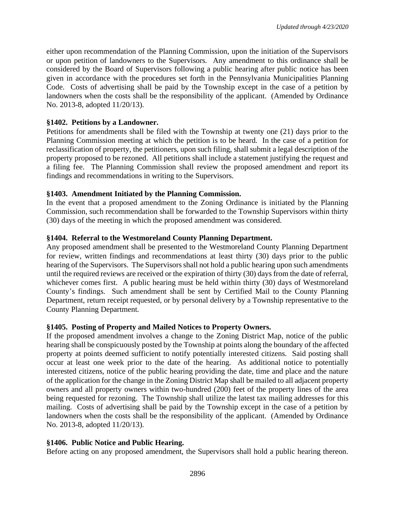either upon recommendation of the Planning Commission, upon the initiation of the Supervisors or upon petition of landowners to the Supervisors. Any amendment to this ordinance shall be considered by the Board of Supervisors following a public hearing after public notice has been given in accordance with the procedures set forth in the Pennsylvania Municipalities Planning Code. Costs of advertising shall be paid by the Township except in the case of a petition by landowners when the costs shall be the responsibility of the applicant. (Amended by Ordinance No. 2013-8, adopted 11/20/13).

### **§1402. Petitions by a Landowner.**

Petitions for amendments shall be filed with the Township at twenty one (21) days prior to the Planning Commission meeting at which the petition is to be heard. In the case of a petition for reclassification of property, the petitioners, upon such filing, shall submit a legal description of the property proposed to be rezoned. All petitions shall include a statement justifying the request and a filing fee. The Planning Commission shall review the proposed amendment and report its findings and recommendations in writing to the Supervisors.

### **§1403. Amendment Initiated by the Planning Commission.**

In the event that a proposed amendment to the Zoning Ordinance is initiated by the Planning Commission, such recommendation shall be forwarded to the Township Supervisors within thirty (30) days of the meeting in which the proposed amendment was considered.

### **§1404. Referral to the Westmoreland County Planning Department.**

Any proposed amendment shall be presented to the Westmoreland County Planning Department for review, written findings and recommendations at least thirty (30) days prior to the public hearing of the Supervisors. The Supervisors shall not hold a public hearing upon such amendments until the required reviews are received or the expiration of thirty (30) days from the date of referral, whichever comes first. A public hearing must be held within thirty (30) days of Westmoreland County's findings. Such amendment shall be sent by Certified Mail to the County Planning Department, return receipt requested, or by personal delivery by a Township representative to the County Planning Department.

#### **§1405. Posting of Property and Mailed Notices to Property Owners.**

If the proposed amendment involves a change to the Zoning District Map, notice of the public hearing shall be conspicuously posted by the Township at points along the boundary of the affected property at points deemed sufficient to notify potentially interested citizens. Said posting shall occur at least one week prior to the date of the hearing. As additional notice to potentially interested citizens, notice of the public hearing providing the date, time and place and the nature of the application for the change in the Zoning District Map shall be mailed to all adjacent property owners and all property owners within two-hundred (200) feet of the property lines of the area being requested for rezoning. The Township shall utilize the latest tax mailing addresses for this mailing. Costs of advertising shall be paid by the Township except in the case of a petition by landowners when the costs shall be the responsibility of the applicant. (Amended by Ordinance No. 2013-8, adopted 11/20/13).

#### **§1406. Public Notice and Public Hearing.**

Before acting on any proposed amendment, the Supervisors shall hold a public hearing thereon.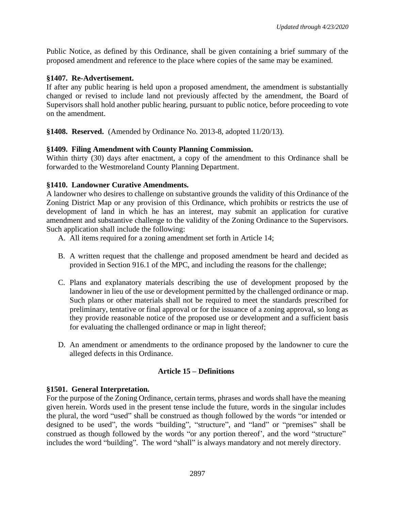Public Notice, as defined by this Ordinance, shall be given containing a brief summary of the proposed amendment and reference to the place where copies of the same may be examined.

### **§1407. Re-Advertisement.**

If after any public hearing is held upon a proposed amendment, the amendment is substantially changed or revised to include land not previously affected by the amendment, the Board of Supervisors shall hold another public hearing, pursuant to public notice, before proceeding to vote on the amendment.

**§1408. Reserved.** (Amended by Ordinance No. 2013-8, adopted 11/20/13).

### **§1409. Filing Amendment with County Planning Commission.**

Within thirty (30) days after enactment, a copy of the amendment to this Ordinance shall be forwarded to the Westmoreland County Planning Department.

### **§1410. Landowner Curative Amendments.**

A landowner who desires to challenge on substantive grounds the validity of this Ordinance of the Zoning District Map or any provision of this Ordinance, which prohibits or restricts the use of development of land in which he has an interest, may submit an application for curative amendment and substantive challenge to the validity of the Zoning Ordinance to the Supervisors. Such application shall include the following:

- A. All items required for a zoning amendment set forth in Article 14;
- B. A written request that the challenge and proposed amendment be heard and decided as provided in Section 916.1 of the MPC, and including the reasons for the challenge;
- C. Plans and explanatory materials describing the use of development proposed by the landowner in lieu of the use or development permitted by the challenged ordinance or map. Such plans or other materials shall not be required to meet the standards prescribed for preliminary, tentative or final approval or for the issuance of a zoning approval, so long as they provide reasonable notice of the proposed use or development and a sufficient basis for evaluating the challenged ordinance or map in light thereof;
- D. An amendment or amendments to the ordinance proposed by the landowner to cure the alleged defects in this Ordinance.

## **Article 15 – Definitions**

#### **§1501. General Interpretation.**

For the purpose of the Zoning Ordinance, certain terms, phrases and words shall have the meaning given herein. Words used in the present tense include the future, words in the singular includes the plural, the word "used" shall be construed as though followed by the words "or intended or designed to be used", the words "building", "structure", and "land" or "premises" shall be construed as though followed by the words "or any portion thereof', and the word "structure" includes the word "building". The word "shall" is always mandatory and not merely directory.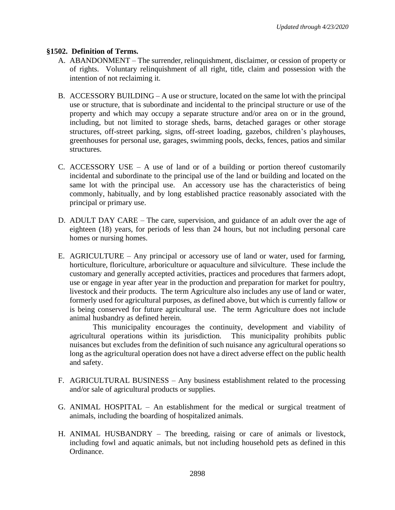## **§1502. Definition of Terms.**

- A. ABANDONMENT The surrender, relinquishment, disclaimer, or cession of property or of rights. Voluntary relinquishment of all right, title, claim and possession with the intention of not reclaiming it.
- B. ACCESSORY BUILDING A use or structure, located on the same lot with the principal use or structure, that is subordinate and incidental to the principal structure or use of the property and which may occupy a separate structure and/or area on or in the ground, including, but not limited to storage sheds, barns, detached garages or other storage structures, off-street parking, signs, off-street loading, gazebos, children's playhouses, greenhouses for personal use, garages, swimming pools, decks, fences, patios and similar structures.
- C. ACCESSORY USE A use of land or of a building or portion thereof customarily incidental and subordinate to the principal use of the land or building and located on the same lot with the principal use. An accessory use has the characteristics of being commonly, habitually, and by long established practice reasonably associated with the principal or primary use.
- D. ADULT DAY CARE The care, supervision, and guidance of an adult over the age of eighteen (18) years, for periods of less than 24 hours, but not including personal care homes or nursing homes.
- E. AGRICULTURE Any principal or accessory use of land or water, used for farming, horticulture, floriculture, arboriculture or aquaculture and silviculture. These include the customary and generally accepted activities, practices and procedures that farmers adopt, use or engage in year after year in the production and preparation for market for poultry, livestock and their products. The term Agriculture also includes any use of land or water, formerly used for agricultural purposes, as defined above, but which is currently fallow or is being conserved for future agricultural use. The term Agriculture does not include animal husbandry as defined herein.

This municipality encourages the continuity, development and viability of agricultural operations within its jurisdiction. This municipality prohibits public nuisances but excludes from the definition of such nuisance any agricultural operations so long as the agricultural operation does not have a direct adverse effect on the public health and safety.

- F. AGRICULTURAL BUSINESS Any business establishment related to the processing and/or sale of agricultural products or supplies.
- G. ANIMAL HOSPITAL An establishment for the medical or surgical treatment of animals, including the boarding of hospitalized animals.
- H. ANIMAL HUSBANDRY The breeding, raising or care of animals or livestock, including fowl and aquatic animals, but not including household pets as defined in this Ordinance.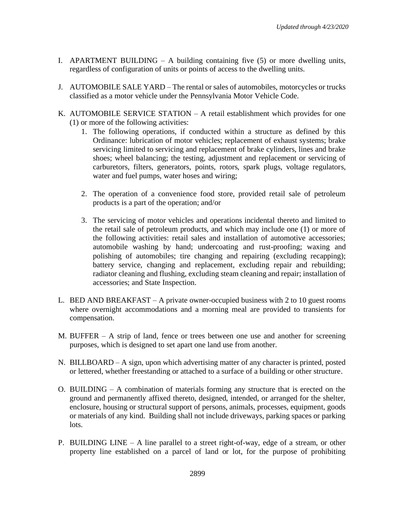- I. APARTMENT BUILDING A building containing five (5) or more dwelling units, regardless of configuration of units or points of access to the dwelling units.
- J. AUTOMOBILE SALE YARD The rental or sales of automobiles, motorcycles or trucks classified as a motor vehicle under the Pennsylvania Motor Vehicle Code.
- K. AUTOMOBILE SERVICE STATION A retail establishment which provides for one (1) or more of the following activities:
	- 1. The following operations, if conducted within a structure as defined by this Ordinance: lubrication of motor vehicles; replacement of exhaust systems; brake servicing limited to servicing and replacement of brake cylinders, lines and brake shoes; wheel balancing; the testing, adjustment and replacement or servicing of carburetors, filters, generators, points, rotors, spark plugs, voltage regulators, water and fuel pumps, water hoses and wiring;
	- 2. The operation of a convenience food store, provided retail sale of petroleum products is a part of the operation; and/or
	- 3. The servicing of motor vehicles and operations incidental thereto and limited to the retail sale of petroleum products, and which may include one (1) or more of the following activities: retail sales and installation of automotive accessories; automobile washing by hand; undercoating and rust-proofing; waxing and polishing of automobiles; tire changing and repairing (excluding recapping); battery service, changing and replacement, excluding repair and rebuilding; radiator cleaning and flushing, excluding steam cleaning and repair; installation of accessories; and State Inspection.
- L. BED AND BREAKFAST A private owner-occupied business with 2 to 10 guest rooms where overnight accommodations and a morning meal are provided to transients for compensation.
- M. BUFFER A strip of land, fence or trees between one use and another for screening purposes, which is designed to set apart one land use from another.
- N. BILLBOARD A sign, upon which advertising matter of any character is printed, posted or lettered, whether freestanding or attached to a surface of a building or other structure.
- O. BUILDING A combination of materials forming any structure that is erected on the ground and permanently affixed thereto, designed, intended, or arranged for the shelter, enclosure, housing or structural support of persons, animals, processes, equipment, goods or materials of any kind. Building shall not include driveways, parking spaces or parking lots.
- P. BUILDING LINE A line parallel to a street right-of-way, edge of a stream, or other property line established on a parcel of land or lot, for the purpose of prohibiting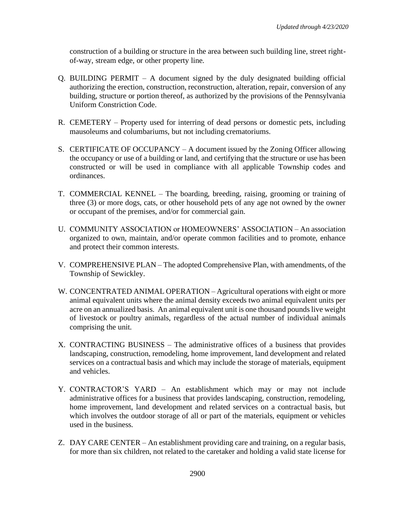construction of a building or structure in the area between such building line, street rightof-way, stream edge, or other property line.

- Q. BUILDING PERMIT  $A$  document signed by the duly designated building official authorizing the erection, construction, reconstruction, alteration, repair, conversion of any building, structure or portion thereof, as authorized by the provisions of the Pennsylvania Uniform Constriction Code.
- R. CEMETERY Property used for interring of dead persons or domestic pets, including mausoleums and columbariums, but not including crematoriums.
- S. CERTIFICATE OF OCCUPANCY A document issued by the Zoning Officer allowing the occupancy or use of a building or land, and certifying that the structure or use has been constructed or will be used in compliance with all applicable Township codes and ordinances.
- T. COMMERCIAL KENNEL The boarding, breeding, raising, grooming or training of three (3) or more dogs, cats, or other household pets of any age not owned by the owner or occupant of the premises, and/or for commercial gain.
- U. COMMUNITY ASSOCIATION or HOMEOWNERS' ASSOCIATION An association organized to own, maintain, and/or operate common facilities and to promote, enhance and protect their common interests.
- V. COMPREHENSIVE PLAN The adopted Comprehensive Plan, with amendments, of the Township of Sewickley.
- W. CONCENTRATED ANIMAL OPERATION Agricultural operations with eight or more animal equivalent units where the animal density exceeds two animal equivalent units per acre on an annualized basis. An animal equivalent unit is one thousand pounds live weight of livestock or poultry animals, regardless of the actual number of individual animals comprising the unit.
- X. CONTRACTING BUSINESS The administrative offices of a business that provides landscaping, construction, remodeling, home improvement, land development and related services on a contractual basis and which may include the storage of materials, equipment and vehicles.
- Y. CONTRACTOR'S YARD An establishment which may or may not include administrative offices for a business that provides landscaping, construction, remodeling, home improvement, land development and related services on a contractual basis, but which involves the outdoor storage of all or part of the materials, equipment or vehicles used in the business.
- Z. DAY CARE CENTER An establishment providing care and training, on a regular basis, for more than six children, not related to the caretaker and holding a valid state license for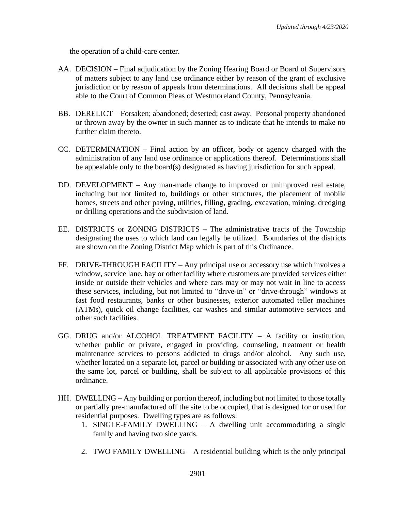the operation of a child-care center.

- AA. DECISION Final adjudication by the Zoning Hearing Board or Board of Supervisors of matters subject to any land use ordinance either by reason of the grant of exclusive jurisdiction or by reason of appeals from determinations. All decisions shall be appeal able to the Court of Common Pleas of Westmoreland County, Pennsylvania.
- BB. DERELICT Forsaken; abandoned; deserted; cast away. Personal property abandoned or thrown away by the owner in such manner as to indicate that he intends to make no further claim thereto.
- CC. DETERMINATION Final action by an officer, body or agency charged with the administration of any land use ordinance or applications thereof. Determinations shall be appealable only to the board(s) designated as having jurisdiction for such appeal.
- DD. DEVELOPMENT Any man-made change to improved or unimproved real estate, including but not limited to, buildings or other structures, the placement of mobile homes, streets and other paving, utilities, filling, grading, excavation, mining, dredging or drilling operations and the subdivision of land.
- EE. DISTRICTS or ZONING DISTRICTS The administrative tracts of the Township designating the uses to which land can legally be utilized. Boundaries of the districts are shown on the Zoning District Map which is part of this Ordinance.
- FF. DRIVE-THROUGH FACILITY Any principal use or accessory use which involves a window, service lane, bay or other facility where customers are provided services either inside or outside their vehicles and where cars may or may not wait in line to access these services, including, but not limited to "drive-in" or "drive-through" windows at fast food restaurants, banks or other businesses, exterior automated teller machines (ATMs), quick oil change facilities, car washes and similar automotive services and other such facilities.
- GG. DRUG and/or ALCOHOL TREATMENT FACILITY A facility or institution, whether public or private, engaged in providing, counseling, treatment or health maintenance services to persons addicted to drugs and/or alcohol. Any such use, whether located on a separate lot, parcel or building or associated with any other use on the same lot, parcel or building, shall be subject to all applicable provisions of this ordinance.
- HH. DWELLING Any building or portion thereof, including but not limited to those totally or partially pre-manufactured off the site to be occupied, that is designed for or used for residential purposes. Dwelling types are as follows:
	- 1. SINGLE-FAMILY DWELLING A dwelling unit accommodating a single family and having two side yards.
	- 2. TWO FAMILY DWELLING A residential building which is the only principal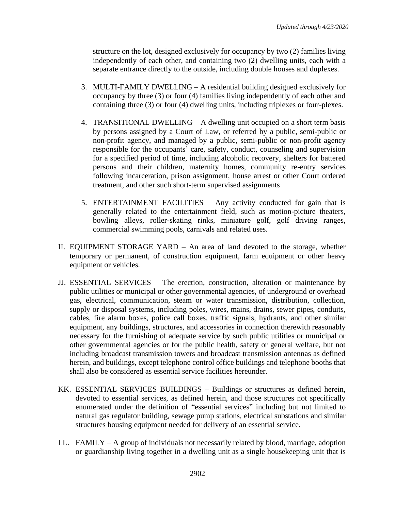structure on the lot, designed exclusively for occupancy by two (2) families living independently of each other, and containing two (2) dwelling units, each with a separate entrance directly to the outside, including double houses and duplexes.

- 3. MULTI-FAMILY DWELLING A residential building designed exclusively for occupancy by three (3) or four (4) families living independently of each other and containing three (3) or four (4) dwelling units, including triplexes or four-plexes.
- 4. TRANSITIONAL DWELLING A dwelling unit occupied on a short term basis by persons assigned by a Court of Law, or referred by a public, semi-public or non-profit agency, and managed by a public, semi-public or non-profit agency responsible for the occupants' care, safety, conduct, counseling and supervision for a specified period of time, including alcoholic recovery, shelters for battered persons and their children, maternity homes, community re-entry services following incarceration, prison assignment, house arrest or other Court ordered treatment, and other such short-term supervised assignments
- 5. ENTERTAINMENT FACILITIES Any activity conducted for gain that is generally related to the entertainment field, such as motion-picture theaters, bowling alleys, roller-skating rinks, miniature golf, golf driving ranges, commercial swimming pools, carnivals and related uses.
- II. EQUIPMENT STORAGE YARD An area of land devoted to the storage, whether temporary or permanent, of construction equipment, farm equipment or other heavy equipment or vehicles.
- JJ. ESSENTIAL SERVICES The erection, construction, alteration or maintenance by public utilities or municipal or other governmental agencies, of underground or overhead gas, electrical, communication, steam or water transmission, distribution, collection, supply or disposal systems, including poles, wires, mains, drains, sewer pipes, conduits, cables, fire alarm boxes, police call boxes, traffic signals, hydrants, and other similar equipment, any buildings, structures, and accessories in connection therewith reasonably necessary for the furnishing of adequate service by such public utilities or municipal or other governmental agencies or for the public health, safety or general welfare, but not including broadcast transmission towers and broadcast transmission antennas as defined herein, and buildings, except telephone control office buildings and telephone booths that shall also be considered as essential service facilities hereunder.
- KK. ESSENTIAL SERVICES BUILDINGS Buildings or structures as defined herein, devoted to essential services, as defined herein, and those structures not specifically enumerated under the definition of "essential services" including but not limited to natural gas regulator building, sewage pump stations, electrical substations and similar structures housing equipment needed for delivery of an essential service.
- LL. FAMILY A group of individuals not necessarily related by blood, marriage, adoption or guardianship living together in a dwelling unit as a single housekeeping unit that is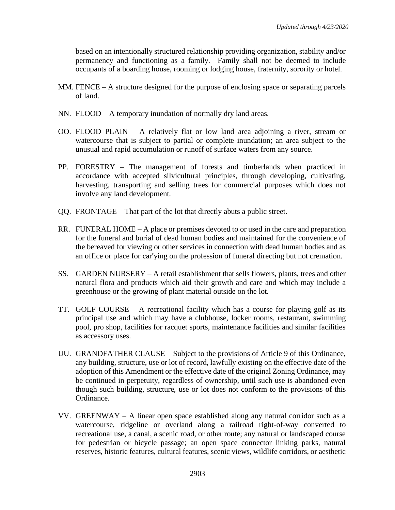based on an intentionally structured relationship providing organization, stability and/or permanency and functioning as a family. Family shall not be deemed to include occupants of a boarding house, rooming or lodging house, fraternity, sorority or hotel.

- MM. FENCE  $-A$  structure designed for the purpose of enclosing space or separating parcels of land.
- NN. FLOOD A temporary inundation of normally dry land areas.
- OO. FLOOD PLAIN A relatively flat or low land area adjoining a river, stream or watercourse that is subject to partial or complete inundation; an area subject to the unusual and rapid accumulation or runoff of surface waters from any source.
- PP. FORESTRY The management of forests and timberlands when practiced in accordance with accepted silvicultural principles, through developing, cultivating, harvesting, transporting and selling trees for commercial purposes which does not involve any land development.
- QQ. FRONTAGE That part of the lot that directly abuts a public street.
- RR. FUNERAL HOME A place or premises devoted to or used in the care and preparation for the funeral and burial of dead human bodies and maintained for the convenience of the bereaved for viewing or other services in connection with dead human bodies and as an office or place for car<sup>r</sup>ying on the profession of funeral directing but not cremation.
- SS. GARDEN NURSERY A retail establishment that sells flowers, plants, trees and other natural flora and products which aid their growth and care and which may include a greenhouse or the growing of plant material outside on the lot.
- TT. GOLF COURSE A recreational facility which has a course for playing golf as its principal use and which may have a clubhouse, locker rooms, restaurant, swimming pool, pro shop, facilities for racquet sports, maintenance facilities and similar facilities as accessory uses.
- UU. GRANDFATHER CLAUSE Subject to the provisions of Article 9 of this Ordinance, any building, structure, use or lot of record, lawfully existing on the effective date of the adoption of this Amendment or the effective date of the original Zoning Ordinance, may be continued in perpetuity, regardless of ownership, until such use is abandoned even though such building, structure, use or lot does not conform to the provisions of this Ordinance.
- VV. GREENWAY A linear open space established along any natural corridor such as a watercourse, ridgeline or overland along a railroad right-of-way converted to recreational use, a canal, a scenic road, or other route; any natural or landscaped course for pedestrian or bicycle passage; an open space connector linking parks, natural reserves, historic features, cultural features, scenic views, wildlife corridors, or aesthetic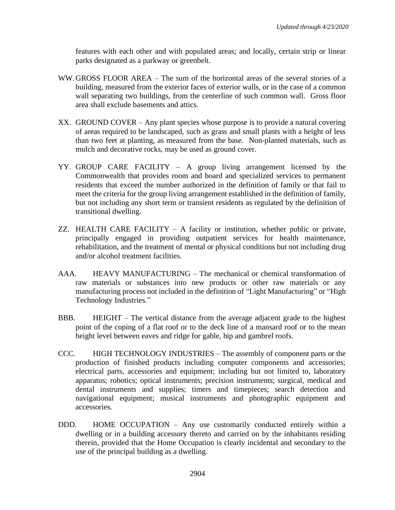features with each other and with populated areas; and locally, certain strip or linear parks designated as a parkway or greenbelt.

- WW.GROSS FLOOR AREA The sum of the horizontal areas of the several stories of a building, measured from the exterior faces of exterior walls, or in the case of a common wall separating two buildings, from the centerline of such common wall. Gross floor area shall exclude basements and attics.
- XX. GROUND COVER Any plant species whose purpose is to provide a natural covering of areas required to be landscaped, such as grass and small plants with a height of less than two feet at planting, as measured from the base. Non-planted materials, such as mulch and decorative rocks, may be used as ground cover.
- YY. GROUP CARE FACILITY A group living arrangement licensed by the Commonwealth that provides room and board and specialized services to permanent residents that exceed the number authorized in the definition of family or that fail to meet the criteria for the group living arrangement established in the definition of family, but not including any short term or transient residents as regulated by the definition of transitional dwelling.
- ZZ. HEALTH CARE FACILITY A facility or institution, whether public or private, principally engaged in providing outpatient services for health maintenance, rehabilitation, and the treatment of mental or physical conditions but not including drug and/or alcohol treatment facilities.
- AAA. HEAVY MANUFACTURING The mechanical or chemical transformation of raw materials or substances into new products or other raw materials or any manufacturing process not included in the definition of "Light Manufacturing" or "High Technology Industries."
- BBB. HEIGHT The vertical distance from the average adjacent grade to the highest point of the coping of a flat roof or to the deck line of a mansard roof or to the mean height level between eaves and ridge for gable, hip and gambrel roofs.
- CCC. HIGH TECHNOLOGY INDUSTRIES The assembly of component parts or the production of finished products including computer components and accessories; electrical parts, accessories and equipment; including but not limited to, laboratory apparatus; robotics; optical instruments; precision instruments; surgical, medical and dental instruments and supplies; timers and timepieces; search detection and navigational equipment; musical instruments and photographic equipment and accessories.
- DDD. HOME OCCUPATION Any use customarily conducted entirely within a dwelling or in a building accessory thereto and carried on by the inhabitants residing therein, provided that the Home Occupation is clearly incidental and secondary to the use of the principal building as a dwelling.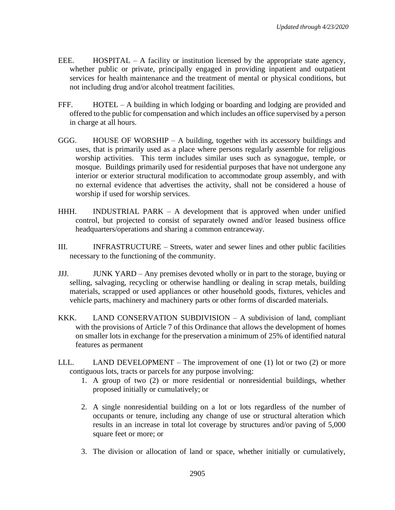- EEE. HOSPITAL A facility or institution licensed by the appropriate state agency, whether public or private, principally engaged in providing inpatient and outpatient services for health maintenance and the treatment of mental or physical conditions, but not including drug and/or alcohol treatment facilities.
- FFF. HOTEL A building in which lodging or boarding and lodging are provided and offered to the public for compensation and which includes an office supervised by a person in charge at all hours.
- GGG. HOUSE OF WORSHIP A building, together with its accessory buildings and uses, that is primarily used as a place where persons regularly assemble for religious worship activities. This term includes similar uses such as synagogue, temple, or mosque. Buildings primarily used for residential purposes that have not undergone any interior or exterior structural modification to accommodate group assembly, and with no external evidence that advertises the activity, shall not be considered a house of worship if used for worship services.
- HHH. INDUSTRIAL PARK A development that is approved when under unified control, but projected to consist of separately owned and/or leased business office headquarters/operations and sharing a common entranceway.
- III. INFRASTRUCTURE Streets, water and sewer lines and other public facilities necessary to the functioning of the community.
- JJJ. JUNK YARD Any premises devoted wholly or in part to the storage, buying or selling, salvaging, recycling or otherwise handling or dealing in scrap metals, building materials, scrapped or used appliances or other household goods, fixtures, vehicles and vehicle parts, machinery and machinery parts or other forms of discarded materials.
- KKK. LAND CONSERVATION SUBDIVISION A subdivision of land, compliant with the provisions of Article 7 of this Ordinance that allows the development of homes on smaller lots in exchange for the preservation a minimum of 25% of identified natural features as permanent
- LLL. LAND DEVELOPMENT The improvement of one  $(1)$  lot or two  $(2)$  or more contiguous lots, tracts or parcels for any purpose involving:
	- 1. A group of two (2) or more residential or nonresidential buildings, whether proposed initially or cumulatively; or
	- 2. A single nonresidential building on a lot or lots regardless of the number of occupants or tenure, including any change of use or structural alteration which results in an increase in total lot coverage by structures and/or paving of 5,000 square feet or more; or
	- 3. The division or allocation of land or space, whether initially or cumulatively,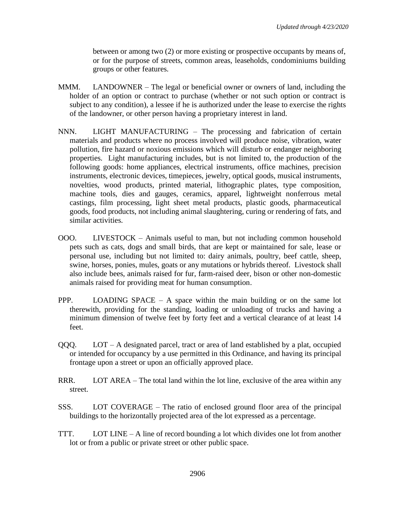between or among two (2) or more existing or prospective occupants by means of, or for the purpose of streets, common areas, leaseholds, condominiums building groups or other features.

- MMM. LANDOWNER The legal or beneficial owner or owners of land, including the holder of an option or contract to purchase (whether or not such option or contract is subject to any condition), a lessee if he is authorized under the lease to exercise the rights of the landowner, or other person having a proprietary interest in land.
- NNN. LIGHT MANUFACTURING The processing and fabrication of certain materials and products where no process involved will produce noise, vibration, water pollution, fire hazard or noxious emissions which will disturb or endanger neighboring properties. Light manufacturing includes, but is not limited to, the production of the following goods: home appliances, electrical instruments, office machines, precision instruments, electronic devices, timepieces, jewelry, optical goods, musical instruments, novelties, wood products, printed material, lithographic plates, type composition, machine tools, dies and gauges, ceramics, apparel, lightweight nonferrous metal castings, film processing, light sheet metal products, plastic goods, pharmaceutical goods, food products, not including animal slaughtering, curing or rendering of fats, and similar activities.
- OOO. LIVESTOCK Animals useful to man, but not including common household pets such as cats, dogs and small birds, that are kept or maintained for sale, lease or personal use, including but not limited to: dairy animals, poultry, beef cattle, sheep, swine, horses, ponies, mules, goats or any mutations or hybrids thereof. Livestock shall also include bees, animals raised for fur, farm-raised deer, bison or other non-domestic animals raised for providing meat for human consumption.
- PPP. LOADING SPACE A space within the main building or on the same lot therewith, providing for the standing, loading or unloading of trucks and having a minimum dimension of twelve feet by forty feet and a vertical clearance of at least 14 feet.
- QQQ. LOT A designated parcel, tract or area of land established by a plat, occupied or intended for occupancy by a use permitted in this Ordinance, and having its principal frontage upon a street or upon an officially approved place.
- RRR. LOT AREA The total land within the lot line, exclusive of the area within any street.
- SSS. LOT COVERAGE The ratio of enclosed ground floor area of the principal buildings to the horizontally projected area of the lot expressed as a percentage.
- TTT. LOT LINE A line of record bounding a lot which divides one lot from another lot or from a public or private street or other public space.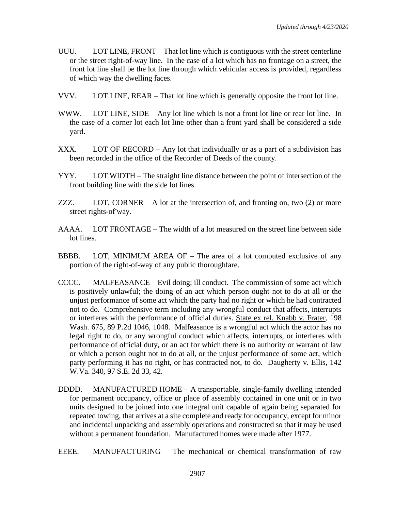- UUU. LOT LINE, FRONT That lot line which is contiguous with the street centerline or the street right-of-way line. In the case of a lot which has no frontage on a street, the front lot line shall be the lot line through which vehicular access is provided, regardless of which way the dwelling faces.
- VVV. LOT LINE, REAR That lot line which is generally opposite the front lot line.
- WWW. LOT LINE, SIDE Any lot line which is not a front lot line or rear lot line. In the case of a corner lot each lot line other than a front yard shall be considered a side yard.
- XXX. LOT OF RECORD Any lot that individually or as a part of a subdivision has been recorded in the office of the Recorder of Deeds of the county.
- YYY. LOT WIDTH The straight line distance between the point of intersection of the front building line with the side lot lines.
- ZZZ. LOT, CORNER A lot at the intersection of, and fronting on, two  $(2)$  or more street rights-of-way.
- AAAA. LOT FRONTAGE The width of a lot measured on the street line between side lot lines.
- BBBB. LOT, MINIMUM AREA OF The area of a lot computed exclusive of any portion of the right-of-way of any public thoroughfare.
- CCCC. MALFEASANCE Evil doing; ill conduct. The commission of some act which is positively unlawful; the doing of an act which person ought not to do at all or the unjust performance of some act which the party had no right or which he had contracted not to do. Comprehensive term including any wrongful conduct that affects, interrupts or interferes with the performance of official duties. State ex rel. Knabb v. Frater, 198 Wash. 675, 89 P.2d 1046, 1048. Malfeasance is a wrongful act which the actor has no legal right to do, or any wrongful conduct which affects, interrupts, or interferes with performance of official duty, or an act for which there is no authority or warrant of law or which a person ought not to do at all, or the unjust performance of some act, which party performing it has no right, or has contracted not, to do. Daugherty v. Ellis, 142 W.Va. 340, 97 S.E. 2d 33, 42.
- DDDD. MANUFACTURED HOME A transportable, single-family dwelling intended for permanent occupancy, office or place of assembly contained in one unit or in two units designed to be joined into one integral unit capable of again being separated for repeated towing, that arrives at a site complete and ready for occupancy, except for minor and incidental unpacking and assembly operations and constructed so that it may be used without a permanent foundation. Manufactured homes were made after 1977.

EEEE. MANUFACTURING – The mechanical or chemical transformation of raw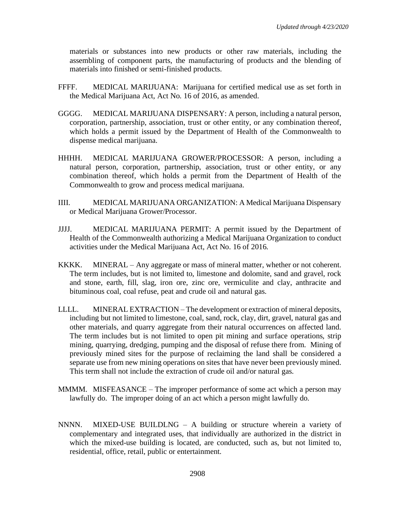materials or substances into new products or other raw materials, including the assembling of component parts, the manufacturing of products and the blending of materials into finished or semi-finished products.

- FFFF. MEDICAL MARIJUANA: Marijuana for certified medical use as set forth in the Medical Marijuana Act, Act No. 16 of 2016, as amended.
- GGGG. MEDICAL MARIJUANA DISPENSARY: A person, including a natural person, corporation, partnership, association, trust or other entity, or any combination thereof, which holds a permit issued by the Department of Health of the Commonwealth to dispense medical marijuana.
- HHHH. MEDICAL MARIJUANA GROWER/PROCESSOR: A person, including a natural person, corporation, partnership, association, trust or other entity, or any combination thereof, which holds a permit from the Department of Health of the Commonwealth to grow and process medical marijuana.
- IIII. MEDICAL MARIJUANA ORGANIZATION: A Medical Marijuana Dispensary or Medical Marijuana Grower/Processor.
- JJJJ. MEDICAL MARIJUANA PERMIT: A permit issued by the Department of Health of the Commonwealth authorizing a Medical Marijuana Organization to conduct activities under the Medical Marijuana Act, Act No. 16 of 2016.
- KKKK. MINERAL Any aggregate or mass of mineral matter, whether or not coherent. The term includes, but is not limited to, limestone and dolomite, sand and gravel, rock and stone, earth, fill, slag, iron ore, zinc ore, vermiculite and clay, anthracite and bituminous coal, coal refuse, peat and crude oil and natural gas.
- LLLL. MINERAL EXTRACTION The development or extraction of mineral deposits, including but not limited to limestone, coal, sand, rock, clay, dirt, gravel, natural gas and other materials, and quarry aggregate from their natural occurrences on affected land. The term includes but is not limited to open pit mining and surface operations, strip mining, quarrying, dredging, pumping and the disposal of refuse there from. Mining of previously mined sites for the purpose of reclaiming the land shall be considered a separate use from new mining operations on sites that have never been previously mined. This term shall not include the extraction of crude oil and/or natural gas.
- MMMM. MISFEASANCE The improper performance of some act which a person may lawfully do. The improper doing of an act which a person might lawfully do.
- NNNN. MIXED-USE BUILDLNG A building or structure wherein a variety of complementary and integrated uses, that individually are authorized in the district in which the mixed-use building is located, are conducted, such as, but not limited to, residential, office, retail, public or entertainment.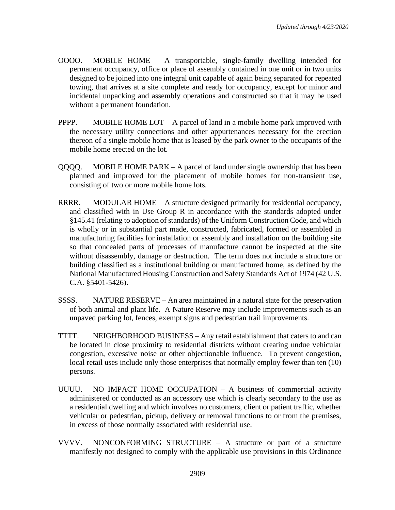- OOOO. MOBILE HOME A transportable, single-family dwelling intended for permanent occupancy, office or place of assembly contained in one unit or in two units designed to be joined into one integral unit capable of again being separated for repeated towing, that arrives at a site complete and ready for occupancy, except for minor and incidental unpacking and assembly operations and constructed so that it may be used without a permanent foundation.
- **PPPP.** MOBILE HOME LOT A parcel of land in a mobile home park improved with the necessary utility connections and other appurtenances necessary for the erection thereon of a single mobile home that is leased by the park owner to the occupants of the mobile home erected on the lot.
- QQQQ. MOBILE HOME PARK A parcel of land under single ownership that has been planned and improved for the placement of mobile homes for non-transient use, consisting of two or more mobile home lots.
- RRRR. MODULAR HOME A structure designed primarily for residential occupancy, and classified with in Use Group R in accordance with the standards adopted under §145.41 (relating to adoption of standards) of the Uniform Construction Code, and which is wholly or in substantial part made, constructed, fabricated, formed or assembled in manufacturing facilities for installation or assembly and installation on the building site so that concealed parts of processes of manufacture cannot be inspected at the site without disassembly, damage or destruction. The term does not include a structure or building classified as a institutional building or manufactured home, as defined by the National Manufactured Housing Construction and Safety Standards Act of 1974 (42 U.S. C.A. §5401-5426).
- SSSS. NATURE RESERVE An area maintained in a natural state for the preservation of both animal and plant life. A Nature Reserve may include improvements such as an unpaved parking lot, fences, exempt signs and pedestrian trail improvements.
- TTTT. NEIGHBORHOOD BUSINESS Any retail establishment that caters to and can be located in close proximity to residential districts without creating undue vehicular congestion, excessive noise or other objectionable influence. To prevent congestion, local retail uses include only those enterprises that normally employ fewer than ten (10) persons.
- UUUU. NO IMPACT HOME OCCUPATION A business of commercial activity administered or conducted as an accessory use which is clearly secondary to the use as a residential dwelling and which involves no customers, client or patient traffic, whether vehicular or pedestrian, pickup, delivery or removal functions to or from the premises, in excess of those normally associated with residential use.
- VVVV. NONCONFORMING STRUCTURE A structure or part of a structure manifestly not designed to comply with the applicable use provisions in this Ordinance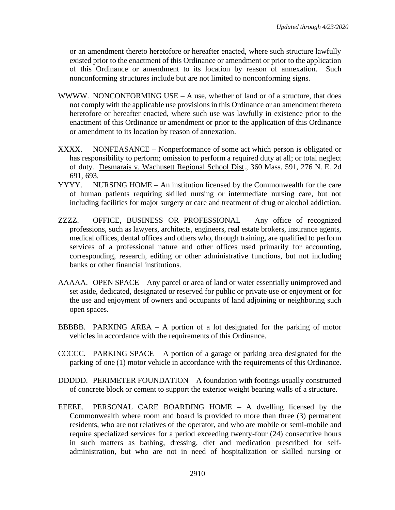or an amendment thereto heretofore or hereafter enacted, where such structure lawfully existed prior to the enactment of this Ordinance or amendment or prior to the application of this Ordinance or amendment to its location by reason of annexation. Such nonconforming structures include but are not limited to nonconforming signs.

- WWWW. NONCONFORMING USE  $-A$  use, whether of land or of a structure, that does not comply with the applicable use provisions in this Ordinance or an amendment thereto heretofore or hereafter enacted, where such use was lawfully in existence prior to the enactment of this Ordinance or amendment or prior to the application of this Ordinance or amendment to its location by reason of annexation.
- XXXX. NONFEASANCE Nonperformance of some act which person is obligated or has responsibility to perform; omission to perform a required duty at all; or total neglect of duty. Desmarais v. Wachusett Regional School Dist., 360 Mass. 591, 276 N. E. 2d 691, 693.
- YYYY. NURSING HOME An institution licensed by the Commonwealth for the care of human patients requiring skilled nursing or intermediate nursing care, but not including facilities for major surgery or care and treatment of drug or alcohol addiction.
- ZZZZ. OFFICE, BUSINESS OR PROFESSIONAL Any office of recognized professions, such as lawyers, architects, engineers, real estate brokers, insurance agents, medical offices, dental offices and others who, through training, are qualified to perform services of a professional nature and other offices used primarily for accounting, corresponding, research, editing or other administrative functions, but not including banks or other financial institutions.
- AAAAA. OPEN SPACE Any parcel or area of land or water essentially unimproved and set aside, dedicated, designated or reserved for public or private use or enjoyment or for the use and enjoyment of owners and occupants of land adjoining or neighboring such open spaces.
- BBBBB. PARKING AREA  $-$  A portion of a lot designated for the parking of motor vehicles in accordance with the requirements of this Ordinance.
- CCCCC. PARKING SPACE A portion of a garage or parking area designated for the parking of one (1) motor vehicle in accordance with the requirements of this Ordinance.
- DDDDD. PERIMETER FOUNDATION A foundation with footings usually constructed of concrete block or cement to support the exterior weight bearing walls of a structure.
- EEEEE. PERSONAL CARE BOARDING HOME A dwelling licensed by the Commonwealth where room and board is provided to more than three (3) permanent residents, who are not relatives of the operator, and who are mobile or semi-mobile and require specialized services for a period exceeding twenty-four (24) consecutive hours in such matters as bathing, dressing, diet and medication prescribed for selfadministration, but who are not in need of hospitalization or skilled nursing or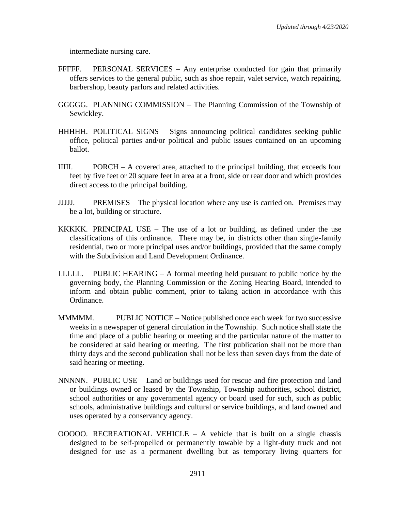intermediate nursing care.

- FFFFF. PERSONAL SERVICES Any enterprise conducted for gain that primarily offers services to the general public, such as shoe repair, valet service, watch repairing, barbershop, beauty parlors and related activities.
- GGGGG. PLANNING COMMISSION The Planning Commission of the Township of Sewickley.
- HHHHH. POLITICAL SIGNS Signs announcing political candidates seeking public office, political parties and/or political and public issues contained on an upcoming ballot.
- IIIII. PORCH A covered area, attached to the principal building, that exceeds four feet by five feet or 20 square feet in area at a front, side or rear door and which provides direct access to the principal building.
- JJJJJ. PREMISES The physical location where any use is carried on. Premises may be a lot, building or structure.
- KKKKK. PRINCIPAL USE The use of a lot or building, as defined under the use classifications of this ordinance. There may be, in districts other than single-family residential, two or more principal uses and/or buildings, provided that the same comply with the Subdivision and Land Development Ordinance.
- LLLLL. PUBLIC HEARING A formal meeting held pursuant to public notice by the governing body, the Planning Commission or the Zoning Hearing Board, intended to inform and obtain public comment, prior to taking action in accordance with this Ordinance.
- MMMMM. PUBLIC NOTICE Notice published once each week for two successive weeks in a newspaper of general circulation in the Township. Such notice shall state the time and place of a public hearing or meeting and the particular nature of the matter to be considered at said hearing or meeting. The first publication shall not be more than thirty days and the second publication shall not be less than seven days from the date of said hearing or meeting.
- NNNNN. PUBLIC USE Land or buildings used for rescue and fire protection and land or buildings owned or leased by the Township, Township authorities, school district, school authorities or any governmental agency or board used for such, such as public schools, administrative buildings and cultural or service buildings, and land owned and uses operated by a conservancy agency.
- $OOOOO$ . RECREATIONAL VEHICLE A vehicle that is built on a single chassis designed to be self-propelled or permanently towable by a light-duty truck and not designed for use as a permanent dwelling but as temporary living quarters for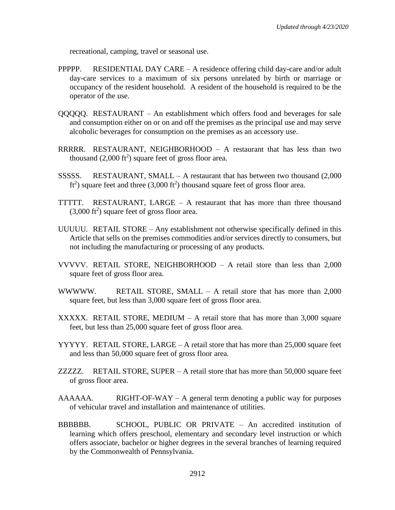recreational, camping, travel or seasonal use.

- PPPPP. RESIDENTIAL DAY CARE A residence offering child day-care and/or adult day-care services to a maximum of six persons unrelated by birth or marriage or occupancy of the resident household. A resident of the household is required to be the operator of the use.
- QQQQQ. RESTAURANT An establishment which offers food and beverages for sale and consumption either on or on and off the premises as the principal use and may serve alcoholic beverages for consumption on the premises as an accessory use.
- RRRRR. RESTAURANT, NEIGHBORHOOD A restaurant that has less than two thousand  $(2,000 \text{ ft}^2)$  square feet of gross floor area.
- SSSSS. RESTAURANT, SMALL A restaurant that has between two thousand  $(2,000)$  $ft<sup>2</sup>$ ) square feet and three (3,000  $ft<sup>2</sup>$ ) thousand square feet of gross floor area.
- **TTTTT.** RESTAURANT, LARGE  $-$  A restaurant that has more than three thousand  $(3,000 \text{ ft}^2)$  square feet of gross floor area.
- UUUUU. RETAIL STORE Any establishment not otherwise specifically defined in this Article that sells on the premises commodities and/or services directly to consumers, but not including the manufacturing or processing of any products.
- VVVVV. RETAIL STORE, NEIGHBORHOOD  $A$  retail store than less than 2,000 square feet of gross floor area.
- WWWWW. RETAIL STORE, SMALL A retail store that has more than 2,000 square feet, but less than 3,000 square feet of gross floor area.
- XXXXX. RETAIL STORE, MEDIUM  $-$  A retail store that has more than 3,000 square feet, but less than 25,000 square feet of gross floor area.
- YYYYY. RETAIL STORE, LARGE A retail store that has more than 25,000 square feet and less than 50,000 square feet of gross floor area.
- ZZZZZ. RETAIL STORE, SUPER  $-$  A retail store that has more than 50,000 square feet of gross floor area.
- $AAAAA$ . RIGHT-OF-WAY A general term denoting a public way for purposes of vehicular travel and installation and maintenance of utilities.
- BBBBBB. SCHOOL, PUBLIC OR PRIVATE An accredited institution of learning which offers preschool, elementary and secondary level instruction or which offers associate, bachelor or higher degrees in the several branches of learning required by the Commonwealth of Pennsylvania.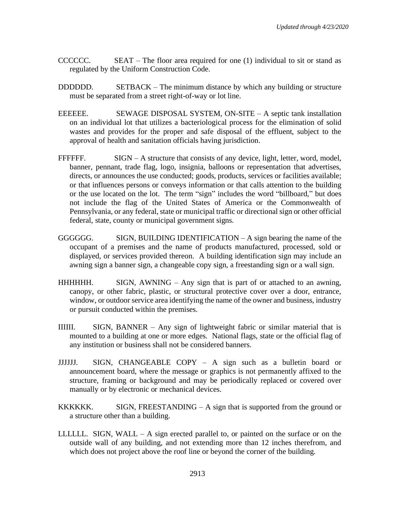- CCCCCC. SEAT The floor area required for one (1) individual to sit or stand as regulated by the Uniform Construction Code.
- DDDDDD. SETBACK The minimum distance by which any building or structure must be separated from a street right-of-way or lot line.
- EEEEEE. SEWAGE DISPOSAL SYSTEM, ON-SITE A septic tank installation on an individual lot that utilizes a bacteriological process for the elimination of solid wastes and provides for the proper and safe disposal of the effluent, subject to the approval of health and sanitation officials having jurisdiction.
- FFFFFF. SIGN A structure that consists of any device, light, letter, word, model, banner, pennant, trade flag, logo, insignia, balloons or representation that advertises, directs, or announces the use conducted; goods, products, services or facilities available; or that influences persons or conveys information or that calls attention to the building or the use located on the lot. The term "sign" includes the word "billboard," but does not include the flag of the United States of America or the Commonwealth of Pennsylvania, or any federal, state or municipal traffic or directional sign or other official federal, state, county or municipal government signs.
- GGGGGG. SIGN, BUILDING IDENTIFICATION A sign bearing the name of the occupant of a premises and the name of products manufactured, processed, sold or displayed, or services provided thereon. A building identification sign may include an awning sign a banner sign, a changeable copy sign, a freestanding sign or a wall sign.
- HHHHHH. SIGN, AWNING Any sign that is part of or attached to an awning, canopy, or other fabric, plastic, or structural protective cover over a door, entrance, window, or outdoor service area identifying the name of the owner and business, industry or pursuit conducted within the premises.
- IIIIII. SIGN, BANNER Any sign of lightweight fabric or similar material that is mounted to a building at one or more edges. National flags, state or the official flag of any institution or business shall not be considered banners.
- JJJJJJ. SIGN, CHANGEABLE COPY A sign such as a bulletin board or announcement board, where the message or graphics is not permanently affixed to the structure, framing or background and may be periodically replaced or covered over manually or by electronic or mechanical devices.
- KKKKKK. SIGN, FREESTANDING A sign that is supported from the ground or a structure other than a building.
- LLLLLL. SIGN, WALL  $A$  sign erected parallel to, or painted on the surface or on the outside wall of any building, and not extending more than 12 inches therefrom, and which does not project above the roof line or beyond the corner of the building.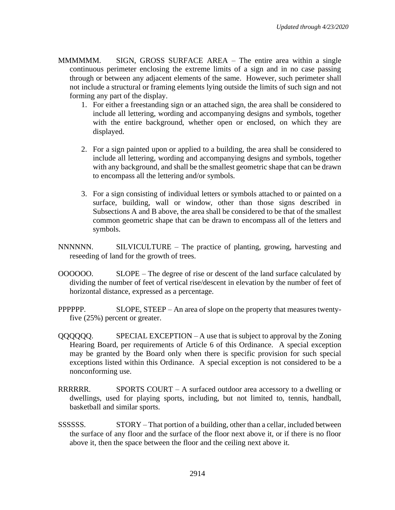MMMMMM. SIGN, GROSS SURFACE AREA – The entire area within a single continuous perimeter enclosing the extreme limits of a sign and in no case passing through or between any adjacent elements of the same. However, such perimeter shall not include a structural or framing elements lying outside the limits of such sign and not forming any part of the display.

- 1. For either a freestanding sign or an attached sign, the area shall be considered to include all lettering, wording and accompanying designs and symbols, together with the entire background, whether open or enclosed, on which they are displayed.
- 2. For a sign painted upon or applied to a building, the area shall be considered to include all lettering, wording and accompanying designs and symbols, together with any background, and shall be the smallest geometric shape that can be drawn to encompass all the lettering and/or symbols.
- 3. For a sign consisting of individual letters or symbols attached to or painted on a surface, building, wall or window, other than those signs described in Subsections A and B above, the area shall be considered to be that of the smallest common geometric shape that can be drawn to encompass all of the letters and symbols.

NNNNNN. SILVICULTURE – The practice of planting, growing, harvesting and reseeding of land for the growth of trees.

- OOOOOO. SLOPE The degree of rise or descent of the land surface calculated by dividing the number of feet of vertical rise/descent in elevation by the number of feet of horizontal distance, expressed as a percentage.
- PPPPPP. SLOPE, STEEP An area of slope on the property that measures twentyfive (25%) percent or greater.
- QQQQQQ. SPECIAL EXCEPTION A use that is subject to approval by the Zoning Hearing Board, per requirements of Article 6 of this Ordinance. A special exception may be granted by the Board only when there is specific provision for such special exceptions listed within this Ordinance. A special exception is not considered to be a nonconforming use.
- RRRRRR. SPORTS COURT A surfaced outdoor area accessory to a dwelling or dwellings, used for playing sports, including, but not limited to, tennis, handball, basketball and similar sports.
- SSSSSS. STORY That portion of a building, other than a cellar, included between the surface of any floor and the surface of the floor next above it, or if there is no floor above it, then the space between the floor and the ceiling next above it.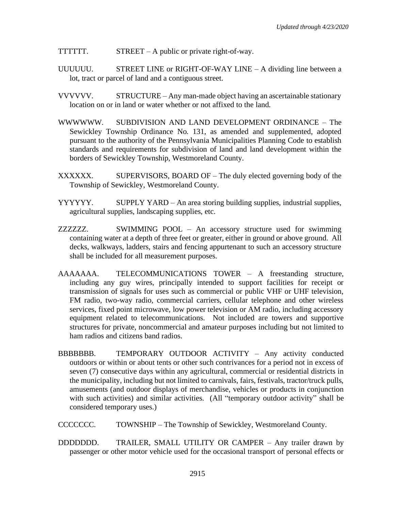TTTTTT.  $STREET - A public or private right-of-way.$ 

- UUUUUU. STREET LINE or RIGHT-OF-WAY LINE A dividing line between a lot, tract or parcel of land and a contiguous street.
- VVVVVV. STRUCTURE Any man-made object having an ascertainable stationary location on or in land or water whether or not affixed to the land.
- WWWWWW. SUBDIVISION AND LAND DEVELOPMENT ORDINANCE The Sewickley Township Ordinance No. 131, as amended and supplemented, adopted pursuant to the authority of the Pennsylvania Municipalities Planning Code to establish standards and requirements for subdivision of land and land development within the borders of Sewickley Township, Westmoreland County.
- XXXXXX. SUPERVISORS, BOARD OF The duly elected governing body of the Township of Sewickley, Westmoreland County.
- YYYYYY. SUPPLY YARD An area storing building supplies, industrial supplies, agricultural supplies, landscaping supplies, etc.
- ZZZZZZ. SWIMMING POOL An accessory structure used for swimming containing water at a depth of three feet or greater, either in ground or above ground. All decks, walkways, ladders, stairs and fencing appurtenant to such an accessory structure shall be included for all measurement purposes.
- AAAAAAA. TELECOMMUNICATIONS TOWER A freestanding structure, including any guy wires, principally intended to support facilities for receipt or transmission of signals for uses such as commercial or public VHF or UHF television, FM radio, two-way radio, commercial carriers, cellular telephone and other wireless services, fixed point microwave, low power television or AM radio, including accessory equipment related to telecommunications. Not included are towers and supportive structures for private, noncommercial and amateur purposes including but not limited to ham radios and citizens band radios.
- BBBBBBB. TEMPORARY OUTDOOR ACTIVITY Any activity conducted outdoors or within or about tents or other such contrivances for a period not in excess of seven (7) consecutive days within any agricultural, commercial or residential districts in the municipality, including but not limited to carnivals, fairs, festivals, tractor/truck pulls, amusements (and outdoor displays of merchandise, vehicles or products in conjunction with such activities) and similar activities. (All "temporary outdoor activity" shall be considered temporary uses.)
- CCCCCCC. TOWNSHIP The Township of Sewickley, Westmoreland County.
- DDDDDDD. TRAILER, SMALL UTILITY OR CAMPER Any trailer drawn by passenger or other motor vehicle used for the occasional transport of personal effects or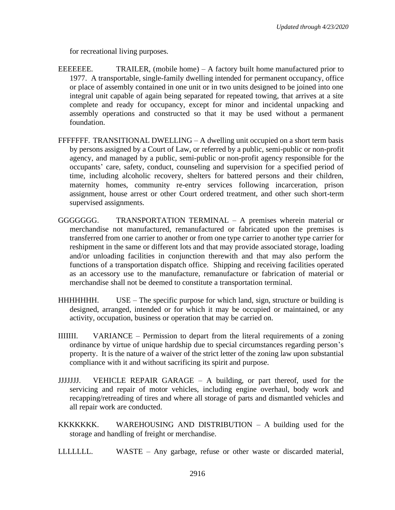for recreational living purposes.

- EEEEEEE. TRAILER, (mobile home) A factory built home manufactured prior to 1977. A transportable, single-family dwelling intended for permanent occupancy, office or place of assembly contained in one unit or in two units designed to be joined into one integral unit capable of again being separated for repeated towing, that arrives at a site complete and ready for occupancy, except for minor and incidental unpacking and assembly operations and constructed so that it may be used without a permanent foundation.
- FFFFFFF. TRANSITIONAL DWELLING A dwelling unit occupied on a short term basis by persons assigned by a Court of Law, or referred by a public, semi-public or non-profit agency, and managed by a public, semi-public or non-profit agency responsible for the occupants' care, safety, conduct, counseling and supervision for a specified period of time, including alcoholic recovery, shelters for battered persons and their children, maternity homes, community re-entry services following incarceration, prison assignment, house arrest or other Court ordered treatment, and other such short-term supervised assignments.
- GGGGGGG. TRANSPORTATION TERMINAL A premises wherein material or merchandise not manufactured, remanufactured or fabricated upon the premises is transferred from one carrier to another or from one type carrier to another type carrier for reshipment in the same or different lots and that may provide associated storage, loading and/or unloading facilities in conjunction therewith and that may also perform the functions of a transportation dispatch office. Shipping and receiving facilities operated as an accessory use to the manufacture, remanufacture or fabrication of material or merchandise shall not be deemed to constitute a transportation terminal.
- HHHHHHH. USE The specific purpose for which land, sign, structure or building is designed, arranged, intended or for which it may be occupied or maintained, or any activity, occupation, business or operation that may be carried on.
- IIIIIII. VARIANCE Permission to depart from the literal requirements of a zoning ordinance by virtue of unique hardship due to special circumstances regarding person's property. It is the nature of a waiver of the strict letter of the zoning law upon substantial compliance with it and without sacrificing its spirit and purpose.
- JJJJJJJ. VEHICLE REPAIR GARAGE A building, or part thereof, used for the servicing and repair of motor vehicles, including engine overhaul, body work and recapping/retreading of tires and where all storage of parts and dismantled vehicles and all repair work are conducted.
- KKKKKKK. WAREHOUSING AND DISTRIBUTION A building used for the storage and handling of freight or merchandise.
- LLLLLLL. WASTE Any garbage, refuse or other waste or discarded material,